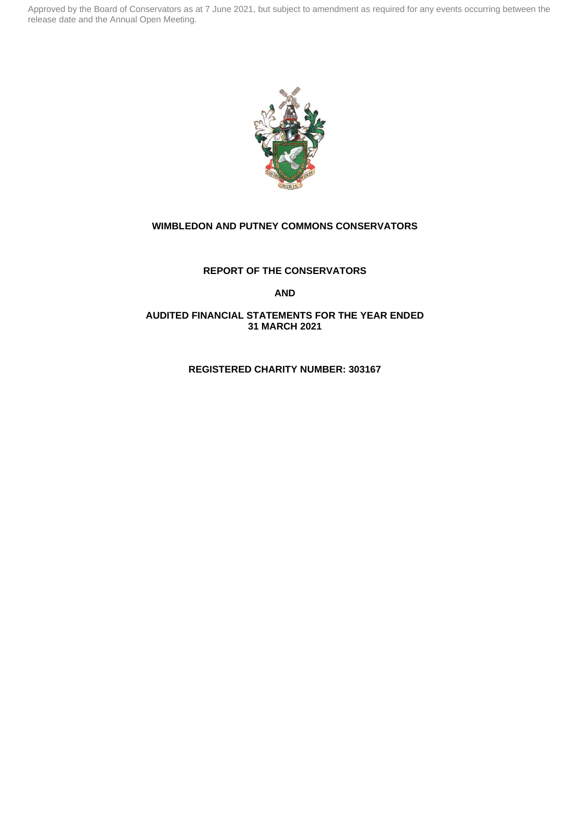

## **WIMBLEDON AND PUTNEY COMMONS CONSERVATORS**

## **REPORT OF THE CONSERVATORS**

**AND**

## **AUDITED FINANCIAL STATEMENTS FOR THE YEAR ENDED 31 MARCH 2021**

## **REGISTERED CHARITY NUMBER: 303167**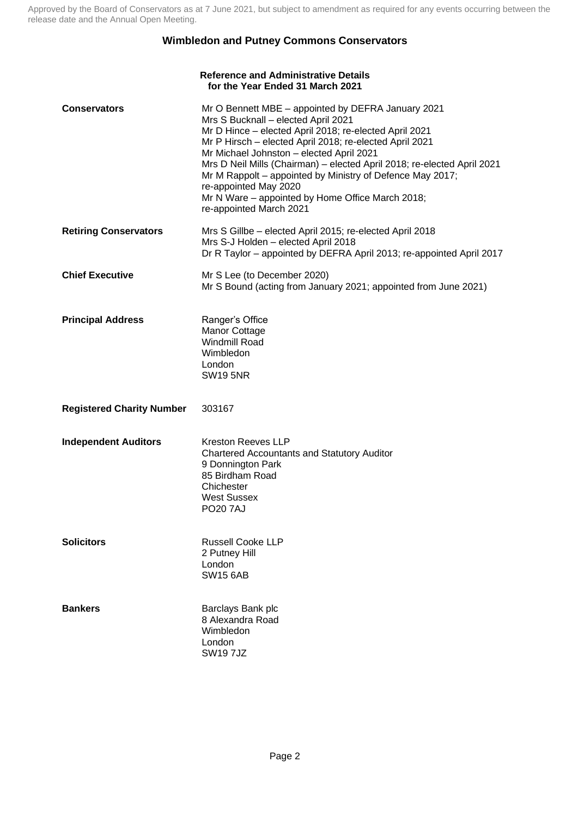# **Wimbledon and Putney Commons Conservators**

|                                  | <b>Reference and Administrative Details</b><br>for the Year Ended 31 March 2021                                                                                                                                                                                                                                                                                                                                                                                                                            |
|----------------------------------|------------------------------------------------------------------------------------------------------------------------------------------------------------------------------------------------------------------------------------------------------------------------------------------------------------------------------------------------------------------------------------------------------------------------------------------------------------------------------------------------------------|
| <b>Conservators</b>              | Mr O Bennett MBE – appointed by DEFRA January 2021<br>Mrs S Bucknall - elected April 2021<br>Mr D Hince - elected April 2018; re-elected April 2021<br>Mr P Hirsch - elected April 2018; re-elected April 2021<br>Mr Michael Johnston - elected April 2021<br>Mrs D Neil Mills (Chairman) - elected April 2018; re-elected April 2021<br>Mr M Rappolt – appointed by Ministry of Defence May 2017;<br>re-appointed May 2020<br>Mr N Ware - appointed by Home Office March 2018;<br>re-appointed March 2021 |
| <b>Retiring Conservators</b>     | Mrs S Gillbe – elected April 2015; re-elected April 2018<br>Mrs S-J Holden - elected April 2018<br>Dr R Taylor - appointed by DEFRA April 2013; re-appointed April 2017                                                                                                                                                                                                                                                                                                                                    |
| <b>Chief Executive</b>           | Mr S Lee (to December 2020)<br>Mr S Bound (acting from January 2021; appointed from June 2021)                                                                                                                                                                                                                                                                                                                                                                                                             |
| <b>Principal Address</b>         | Ranger's Office<br>Manor Cottage<br><b>Windmill Road</b><br>Wimbledon<br>London<br><b>SW19 5NR</b>                                                                                                                                                                                                                                                                                                                                                                                                         |
| <b>Registered Charity Number</b> | 303167                                                                                                                                                                                                                                                                                                                                                                                                                                                                                                     |
| <b>Independent Auditors</b>      | <b>Kreston Reeves LLP</b><br><b>Chartered Accountants and Statutory Auditor</b><br>9 Donnington Park<br>85 Birdham Road<br>Chichester<br>West Sussex<br><b>PO207AJ</b>                                                                                                                                                                                                                                                                                                                                     |
| <b>Solicitors</b>                | <b>Russell Cooke LLP</b><br>2 Putney Hill<br>London<br><b>SW15 6AB</b>                                                                                                                                                                                                                                                                                                                                                                                                                                     |
| <b>Bankers</b>                   | Barclays Bank plc<br>8 Alexandra Road<br>Wimbledon<br>London<br><b>SW197JZ</b>                                                                                                                                                                                                                                                                                                                                                                                                                             |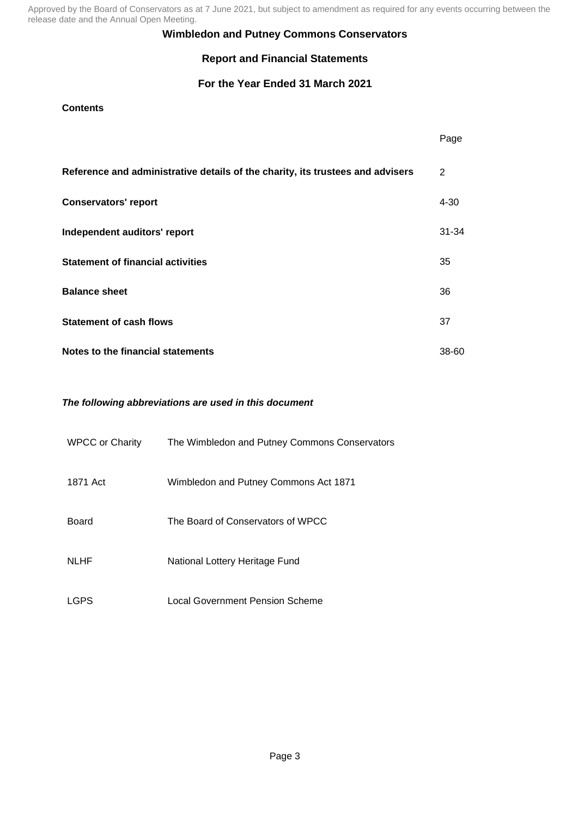## **Wimbledon and Putney Commons Conservators**

# **Report and Financial Statements**

# **For the Year Ended 31 March 2021**

## **Contents**

|                                                                                | Page      |
|--------------------------------------------------------------------------------|-----------|
| Reference and administrative details of the charity, its trustees and advisers | 2         |
| <b>Conservators' report</b>                                                    | $4 - 30$  |
| Independent auditors' report                                                   | $31 - 34$ |
| <b>Statement of financial activities</b>                                       | 35        |
| <b>Balance sheet</b>                                                           | 36        |
| <b>Statement of cash flows</b>                                                 | 37        |
| Notes to the financial statements                                              | 38-60     |

## *The following abbreviations are used in this document*

| <b>WPCC or Charity</b> | The Wimbledon and Putney Commons Conservators |
|------------------------|-----------------------------------------------|
| 1871 Act               | Wimbledon and Putney Commons Act 1871         |
| Board                  | The Board of Conservators of WPCC             |
| <b>NLHF</b>            | National Lottery Heritage Fund                |
| LGPS                   | <b>Local Government Pension Scheme</b>        |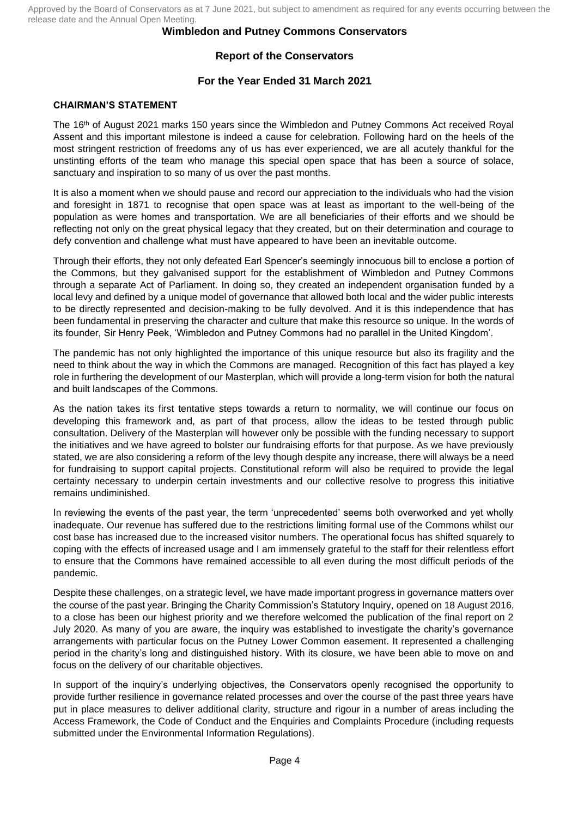## **Wimbledon and Putney Commons Conservators**

## **Report of the Conservators**

## **For the Year Ended 31 March 2021**

### **CHAIRMAN'S STATEMENT**

The 16th of August 2021 marks 150 years since the Wimbledon and Putney Commons Act received Royal Assent and this important milestone is indeed a cause for celebration. Following hard on the heels of the most stringent restriction of freedoms any of us has ever experienced, we are all acutely thankful for the unstinting efforts of the team who manage this special open space that has been a source of solace, sanctuary and inspiration to so many of us over the past months.

It is also a moment when we should pause and record our appreciation to the individuals who had the vision and foresight in 1871 to recognise that open space was at least as important to the well-being of the population as were homes and transportation. We are all beneficiaries of their efforts and we should be reflecting not only on the great physical legacy that they created, but on their determination and courage to defy convention and challenge what must have appeared to have been an inevitable outcome.

Through their efforts, they not only defeated Earl Spencer's seemingly innocuous bill to enclose a portion of the Commons, but they galvanised support for the establishment of Wimbledon and Putney Commons through a separate Act of Parliament. In doing so, they created an independent organisation funded by a local levy and defined by a unique model of governance that allowed both local and the wider public interests to be directly represented and decision-making to be fully devolved. And it is this independence that has been fundamental in preserving the character and culture that make this resource so unique. In the words of its founder, Sir Henry Peek, 'Wimbledon and Putney Commons had no parallel in the United Kingdom'.

The pandemic has not only highlighted the importance of this unique resource but also its fragility and the need to think about the way in which the Commons are managed. Recognition of this fact has played a key role in furthering the development of our Masterplan, which will provide a long-term vision for both the natural and built landscapes of the Commons.

As the nation takes its first tentative steps towards a return to normality, we will continue our focus on developing this framework and, as part of that process, allow the ideas to be tested through public consultation. Delivery of the Masterplan will however only be possible with the funding necessary to support the initiatives and we have agreed to bolster our fundraising efforts for that purpose. As we have previously stated, we are also considering a reform of the levy though despite any increase, there will always be a need for fundraising to support capital projects. Constitutional reform will also be required to provide the legal certainty necessary to underpin certain investments and our collective resolve to progress this initiative remains undiminished.

In reviewing the events of the past year, the term 'unprecedented' seems both overworked and yet wholly inadequate. Our revenue has suffered due to the restrictions limiting formal use of the Commons whilst our cost base has increased due to the increased visitor numbers. The operational focus has shifted squarely to coping with the effects of increased usage and I am immensely grateful to the staff for their relentless effort to ensure that the Commons have remained accessible to all even during the most difficult periods of the pandemic.

Despite these challenges, on a strategic level, we have made important progress in governance matters over the course of the past year. Bringing the Charity Commission's Statutory Inquiry, opened on 18 August 2016, to a close has been our highest priority and we therefore welcomed the publication of the final report on 2 July 2020. As many of you are aware, the inquiry was established to investigate the charity's governance arrangements with particular focus on the Putney Lower Common easement. It represented a challenging period in the charity's long and distinguished history. With its closure, we have been able to move on and focus on the delivery of our charitable objectives.

In support of the inquiry's underlying objectives, the Conservators openly recognised the opportunity to provide further resilience in governance related processes and over the course of the past three years have put in place measures to deliver additional clarity, structure and rigour in a number of areas including the Access Framework, the Code of Conduct and the Enquiries and Complaints Procedure (including requests submitted under the Environmental Information Regulations).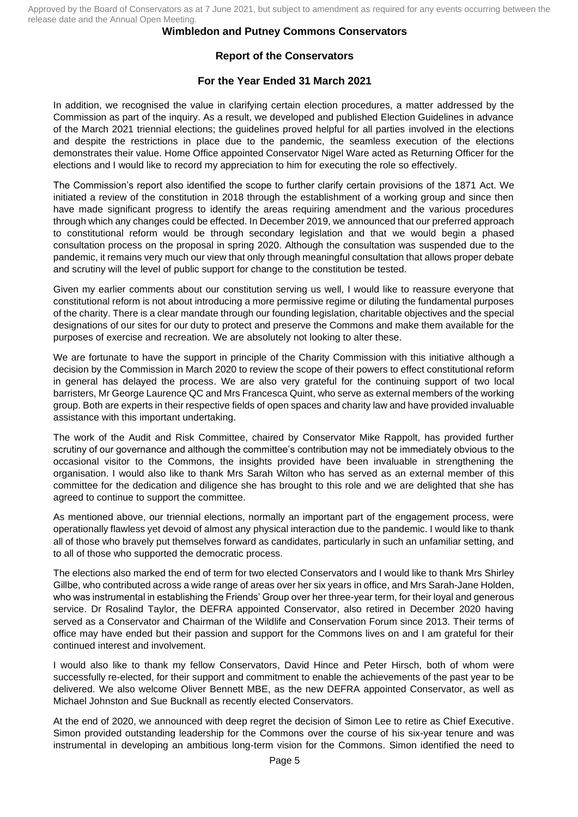### **Wimbledon and Putney Commons Conservators**

## **Report of the Conservators**

## **For the Year Ended 31 March 2021**

In addition, we recognised the value in clarifying certain election procedures, a matter addressed by the Commission as part of the inquiry. As a result, we developed and published Election Guidelines in advance of the March 2021 triennial elections; the guidelines proved helpful for all parties involved in the elections and despite the restrictions in place due to the pandemic, the seamless execution of the elections demonstrates their value. Home Office appointed Conservator Nigel Ware acted as Returning Officer for the elections and I would like to record my appreciation to him for executing the role so effectively.

The Commission's report also identified the scope to further clarify certain provisions of the 1871 Act. We initiated a review of the constitution in 2018 through the establishment of a working group and since then have made significant progress to identify the areas requiring amendment and the various procedures through which any changes could be effected. In December 2019, we announced that our preferred approach to constitutional reform would be through secondary legislation and that we would begin a phased consultation process on the proposal in spring 2020. Although the consultation was suspended due to the pandemic, it remains very much our view that only through meaningful consultation that allows proper debate and scrutiny will the level of public support for change to the constitution be tested.

Given my earlier comments about our constitution serving us well, I would like to reassure everyone that constitutional reform is not about introducing a more permissive regime or diluting the fundamental purposes of the charity. There is a clear mandate through our founding legislation, charitable objectives and the special designations of our sites for our duty to protect and preserve the Commons and make them available for the purposes of exercise and recreation. We are absolutely not looking to alter these.

We are fortunate to have the support in principle of the Charity Commission with this initiative although a decision by the Commission in March 2020 to review the scope of their powers to effect constitutional reform in general has delayed the process. We are also very grateful for the continuing support of two local barristers, Mr George Laurence QC and Mrs Francesca Quint, who serve as external members of the working group. Both are experts in their respective fields of open spaces and charity law and have provided invaluable assistance with this important undertaking.

The work of the Audit and Risk Committee, chaired by Conservator Mike Rappolt, has provided further scrutiny of our governance and although the committee's contribution may not be immediately obvious to the occasional visitor to the Commons, the insights provided have been invaluable in strengthening the organisation. I would also like to thank Mrs Sarah Wilton who has served as an external member of this committee for the dedication and diligence she has brought to this role and we are delighted that she has agreed to continue to support the committee.

As mentioned above, our triennial elections, normally an important part of the engagement process, were operationally flawless yet devoid of almost any physical interaction due to the pandemic. I would like to thank all of those who bravely put themselves forward as candidates, particularly in such an unfamiliar setting, and to all of those who supported the democratic process.

The elections also marked the end of term for two elected Conservators and I would like to thank Mrs Shirley Gillbe, who contributed across a wide range of areas over her six years in office, and Mrs Sarah-Jane Holden, who was instrumental in establishing the Friends' Group over her three-year term, for their loyal and generous service. Dr Rosalind Taylor, the DEFRA appointed Conservator, also retired in December 2020 having served as a Conservator and Chairman of the Wildlife and Conservation Forum since 2013. Their terms of office may have ended but their passion and support for the Commons lives on and I am grateful for their continued interest and involvement.

I would also like to thank my fellow Conservators, David Hince and Peter Hirsch, both of whom were successfully re-elected, for their support and commitment to enable the achievements of the past year to be delivered. We also welcome Oliver Bennett MBE, as the new DEFRA appointed Conservator, as well as Michael Johnston and Sue Bucknall as recently elected Conservators.

At the end of 2020, we announced with deep regret the decision of Simon Lee to retire as Chief Executive. Simon provided outstanding leadership for the Commons over the course of his six-year tenure and was instrumental in developing an ambitious long-term vision for the Commons. Simon identified the need to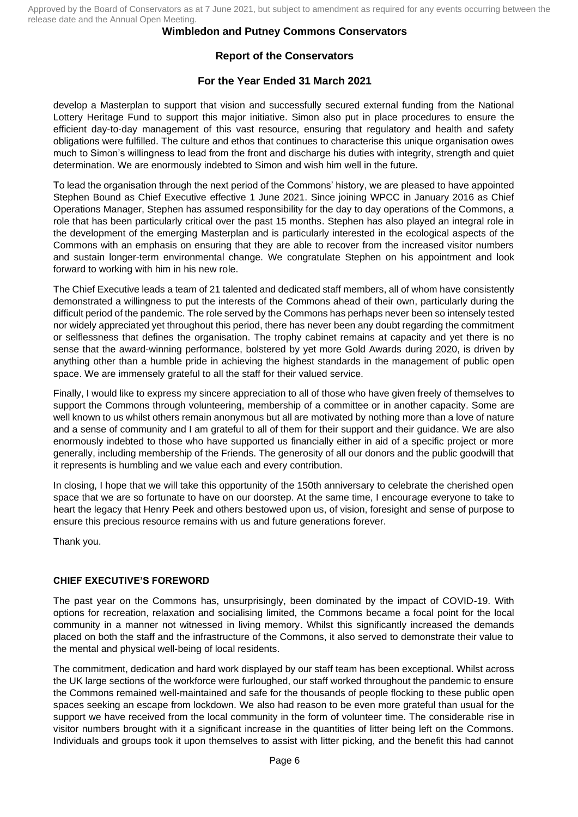### **Wimbledon and Putney Commons Conservators**

## **Report of the Conservators**

## **For the Year Ended 31 March 2021**

develop a Masterplan to support that vision and successfully secured external funding from the National Lottery Heritage Fund to support this major initiative. Simon also put in place procedures to ensure the efficient day-to-day management of this vast resource, ensuring that regulatory and health and safety obligations were fulfilled. The culture and ethos that continues to characterise this unique organisation owes much to Simon's willingness to lead from the front and discharge his duties with integrity, strength and quiet determination. We are enormously indebted to Simon and wish him well in the future.

To lead the organisation through the next period of the Commons' history, we are pleased to have appointed Stephen Bound as Chief Executive effective 1 June 2021. Since joining WPCC in January 2016 as Chief Operations Manager, Stephen has assumed responsibility for the day to day operations of the Commons, a role that has been particularly critical over the past 15 months. Stephen has also played an integral role in the development of the emerging Masterplan and is particularly interested in the ecological aspects of the Commons with an emphasis on ensuring that they are able to recover from the increased visitor numbers and sustain longer-term environmental change. We congratulate Stephen on his appointment and look forward to working with him in his new role.

The Chief Executive leads a team of 21 talented and dedicated staff members, all of whom have consistently demonstrated a willingness to put the interests of the Commons ahead of their own, particularly during the difficult period of the pandemic. The role served by the Commons has perhaps never been so intensely tested nor widely appreciated yet throughout this period, there has never been any doubt regarding the commitment or selflessness that defines the organisation. The trophy cabinet remains at capacity and yet there is no sense that the award-winning performance, bolstered by yet more Gold Awards during 2020, is driven by anything other than a humble pride in achieving the highest standards in the management of public open space. We are immensely grateful to all the staff for their valued service.

Finally, I would like to express my sincere appreciation to all of those who have given freely of themselves to support the Commons through volunteering, membership of a committee or in another capacity. Some are well known to us whilst others remain anonymous but all are motivated by nothing more than a love of nature and a sense of community and I am grateful to all of them for their support and their guidance. We are also enormously indebted to those who have supported us financially either in aid of a specific project or more generally, including membership of the Friends. The generosity of all our donors and the public goodwill that it represents is humbling and we value each and every contribution.

In closing, I hope that we will take this opportunity of the 150th anniversary to celebrate the cherished open space that we are so fortunate to have on our doorstep. At the same time, I encourage everyone to take to heart the legacy that Henry Peek and others bestowed upon us, of vision, foresight and sense of purpose to ensure this precious resource remains with us and future generations forever.

Thank you.

## **CHIEF EXECUTIVE'S FOREWORD**

The past year on the Commons has, unsurprisingly, been dominated by the impact of COVID-19. With options for recreation, relaxation and socialising limited, the Commons became a focal point for the local community in a manner not witnessed in living memory. Whilst this significantly increased the demands placed on both the staff and the infrastructure of the Commons, it also served to demonstrate their value to the mental and physical well-being of local residents.

The commitment, dedication and hard work displayed by our staff team has been exceptional. Whilst across the UK large sections of the workforce were furloughed, our staff worked throughout the pandemic to ensure the Commons remained well-maintained and safe for the thousands of people flocking to these public open spaces seeking an escape from lockdown. We also had reason to be even more grateful than usual for the support we have received from the local community in the form of volunteer time. The considerable rise in visitor numbers brought with it a significant increase in the quantities of litter being left on the Commons. Individuals and groups took it upon themselves to assist with litter picking, and the benefit this had cannot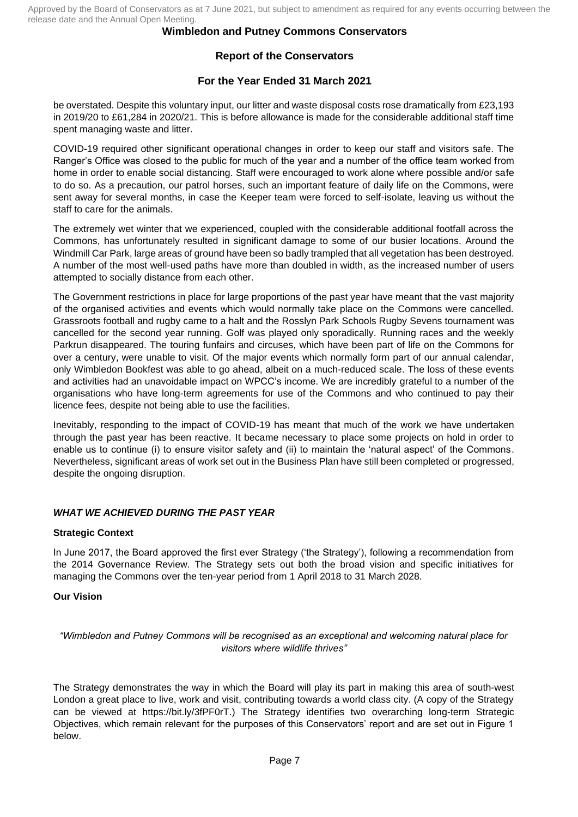# **Report of the Conservators**

## **For the Year Ended 31 March 2021**

be overstated. Despite this voluntary input, our litter and waste disposal costs rose dramatically from £23,193 in 2019/20 to £61,284 in 2020/21. This is before allowance is made for the considerable additional staff time spent managing waste and litter.

COVID-19 required other significant operational changes in order to keep our staff and visitors safe. The Ranger's Office was closed to the public for much of the year and a number of the office team worked from home in order to enable social distancing. Staff were encouraged to work alone where possible and/or safe to do so. As a precaution, our patrol horses, such an important feature of daily life on the Commons, were sent away for several months, in case the Keeper team were forced to self-isolate, leaving us without the staff to care for the animals.

The extremely wet winter that we experienced, coupled with the considerable additional footfall across the Commons, has unfortunately resulted in significant damage to some of our busier locations. Around the Windmill Car Park, large areas of ground have been so badly trampled that all vegetation has been destroyed. A number of the most well-used paths have more than doubled in width, as the increased number of users attempted to socially distance from each other.

The Government restrictions in place for large proportions of the past year have meant that the vast majority of the organised activities and events which would normally take place on the Commons were cancelled. Grassroots football and rugby came to a halt and the Rosslyn Park Schools Rugby Sevens tournament was cancelled for the second year running. Golf was played only sporadically. Running races and the weekly Parkrun disappeared. The touring funfairs and circuses, which have been part of life on the Commons for over a century, were unable to visit. Of the major events which normally form part of our annual calendar, only Wimbledon Bookfest was able to go ahead, albeit on a much-reduced scale. The loss of these events and activities had an unavoidable impact on WPCC's income. We are incredibly grateful to a number of the organisations who have long-term agreements for use of the Commons and who continued to pay their licence fees, despite not being able to use the facilities.

Inevitably, responding to the impact of COVID-19 has meant that much of the work we have undertaken through the past year has been reactive. It became necessary to place some projects on hold in order to enable us to continue (i) to ensure visitor safety and (ii) to maintain the 'natural aspect' of the Commons. Nevertheless, significant areas of work set out in the Business Plan have still been completed or progressed, despite the ongoing disruption.

## *WHAT WE ACHIEVED DURING THE PAST YEAR*

## **Strategic Context**

In June 2017, the Board approved the first ever Strategy ('the Strategy'), following a recommendation from the 2014 Governance Review. The Strategy sets out both the broad vision and specific initiatives for managing the Commons over the ten-year period from 1 April 2018 to 31 March 2028.

## **Our Vision**

*"Wimbledon and Putney Commons will be recognised as an exceptional and welcoming natural place for visitors where wildlife thrives"*

The Strategy demonstrates the way in which the Board will play its part in making this area of south-west London a great place to live, work and visit, contributing towards a world class city. (A copy of the Strategy can be viewed at [https://bit.ly/3fPF0rT.](https://bit.ly/3fPF0rT)) The Strategy identifies two overarching long-term Strategic Objectives, which remain relevant for the purposes of this Conservators' report and are set out in Figure 1 below.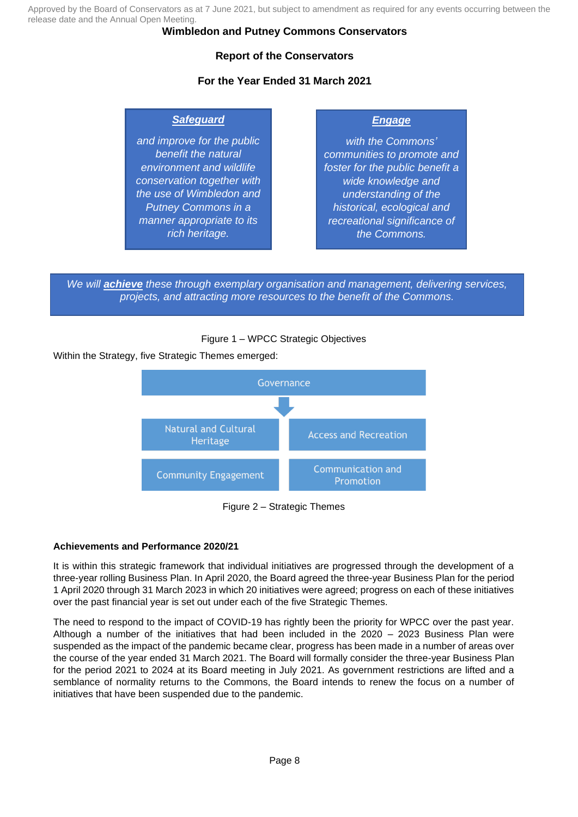## **Wimbledon and Putney Commons Conservators**

# **Report of the Conservators**

# **For the Year Ended 31 March 2021**

## *Safeguard*

*and improve for the public benefit the natural environment and wildlife conservation together with the use of Wimbledon and Putney Commons in a manner appropriate to its rich heritage.*

## *Engage*

*with the Commons' communities to promote and foster for the public benefit a wide knowledge and understanding of the historical, ecological and recreational significance of the Commons.*

*We will achieve these through exemplary organisation and management, delivering services, projects, and attracting more resources to the benefit of the Commons.*

## Figure 1 – WPCC Strategic Objectives

Within the Strategy, five Strategic Themes emerged:



Figure 2 – Strategic Themes

## **Achievements and Performance 2020/21**

It is within this strategic framework that individual initiatives are progressed through the development of a three-year rolling Business Plan. In April 2020, the Board agreed the three-year Business Plan for the period 1 April 2020 through 31 March 2023 in which 20 initiatives were agreed; progress on each of these initiatives over the past financial year is set out under each of the five Strategic Themes.

The need to respond to the impact of COVID-19 has rightly been the priority for WPCC over the past year. Although a number of the initiatives that had been included in the 2020 – 2023 Business Plan were suspended as the impact of the pandemic became clear, progress has been made in a number of areas over the course of the year ended 31 March 2021. The Board will formally consider the three-year Business Plan for the period 2021 to 2024 at its Board meeting in July 2021. As government restrictions are lifted and a semblance of normality returns to the Commons, the Board intends to renew the focus on a number of initiatives that have been suspended due to the pandemic.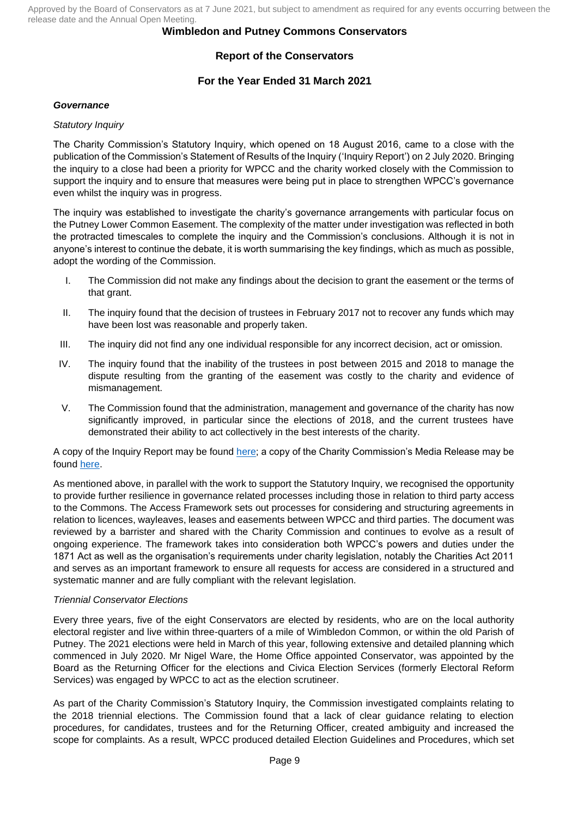## **Wimbledon and Putney Commons Conservators**

# **Report of the Conservators**

# **For the Year Ended 31 March 2021**

### *Governance*

### *Statutory Inquiry*

The Charity Commission's Statutory Inquiry, which opened on 18 August 2016, came to a close with the publication of the Commission's Statement of Results of the Inquiry ('Inquiry Report') on 2 July 2020. Bringing the inquiry to a close had been a priority for WPCC and the charity worked closely with the Commission to support the inquiry and to ensure that measures were being put in place to strengthen WPCC's governance even whilst the inquiry was in progress.

The inquiry was established to investigate the charity's governance arrangements with particular focus on the Putney Lower Common Easement. The complexity of the matter under investigation was reflected in both the protracted timescales to complete the inquiry and the Commission's conclusions. Although it is not in anyone's interest to continue the debate, it is worth summarising the key findings, which as much as possible, adopt the wording of the Commission.

- I. The Commission did not make any findings about the decision to grant the easement or the terms of that grant.
- II. The inquiry found that the decision of trustees in February 2017 not to recover any funds which may have been lost was reasonable and properly taken.
- III. The inquiry did not find any one individual responsible for any incorrect decision, act or omission.
- IV. The inquiry found that the inability of the trustees in post between 2015 and 2018 to manage the dispute resulting from the granting of the easement was costly to the charity and evidence of mismanagement.
- V. The Commission found that the administration, management and governance of the charity has now significantly improved, in particular since the elections of 2018, and the current trustees have demonstrated their ability to act collectively in the best interests of the charity.

A copy of the Inquiry Report may be found [here;](https://www.gov.uk/government/publications/charity-inquiry-wimbledon-and-putney-commons-conservators/charity-inquiry-wimbledon-and-putney-commons-conservators) a copy of the Charity Commission's Media Release may be found [here.](https://www.gov.uk/government/news/charity-commission-concludes-inquiry-prompted-by-dispute-at-south-london-charity)

As mentioned above, in parallel with the work to support the Statutory Inquiry, we recognised the opportunity to provide further resilience in governance related processes including those in relation to third party access to the Commons. The Access Framework sets out processes for considering and structuring agreements in relation to licences, wayleaves, leases and easements between WPCC and third parties. The document was reviewed by a barrister and shared with the Charity Commission and continues to evolve as a result of ongoing experience. The framework takes into consideration both WPCC's powers and duties under the 1871 Act as well as the organisation's requirements under charity legislation, notably the Charities Act 2011 and serves as an important framework to ensure all requests for access are considered in a structured and systematic manner and are fully compliant with the relevant legislation.

## *Triennial Conservator Elections*

Every three years, five of the eight Conservators are elected by residents, who are on the local authority electoral register and live within three-quarters of a mile of Wimbledon Common, or within the old Parish of Putney. The 2021 elections were held in March of this year, following extensive and detailed planning which commenced in July 2020. Mr Nigel Ware, the Home Office appointed Conservator, was appointed by the Board as the Returning Officer for the elections and Civica Election Services (formerly Electoral Reform Services) was engaged by WPCC to act as the election scrutineer.

As part of the Charity Commission's Statutory Inquiry, the Commission investigated complaints relating to the 2018 triennial elections. The Commission found that a lack of clear guidance relating to election procedures, for candidates, trustees and for the Returning Officer, created ambiguity and increased the scope for complaints. As a result, WPCC produced detailed Election Guidelines and Procedures, which set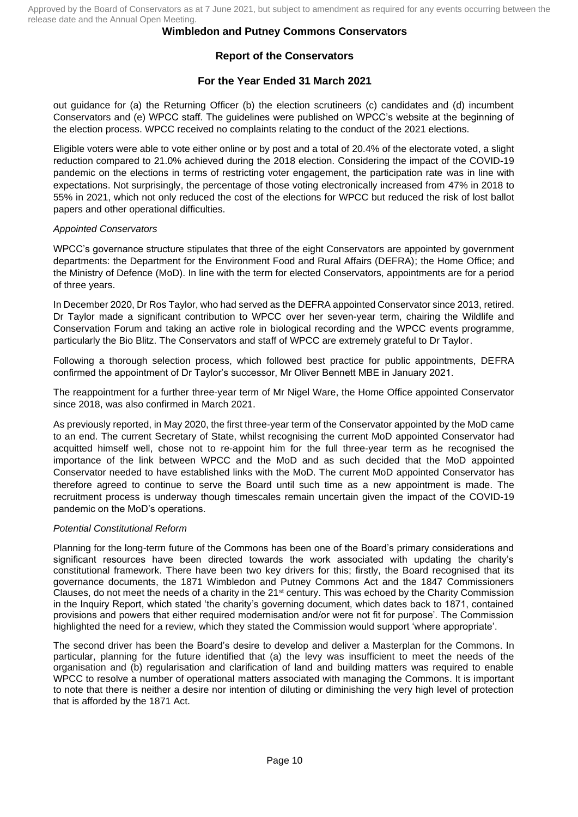# **Report of the Conservators**

## **For the Year Ended 31 March 2021**

out guidance for (a) the Returning Officer (b) the election scrutineers (c) candidates and (d) incumbent Conservators and (e) WPCC staff. The guidelines were published on WPCC's website at the beginning of the election process. WPCC received no complaints relating to the conduct of the 2021 elections.

Eligible voters were able to vote either online or by post and a total of 20.4% of the electorate voted, a slight reduction compared to 21.0% achieved during the 2018 election. Considering the impact of the COVID-19 pandemic on the elections in terms of restricting voter engagement, the participation rate was in line with expectations. Not surprisingly, the percentage of those voting electronically increased from 47% in 2018 to 55% in 2021, which not only reduced the cost of the elections for WPCC but reduced the risk of lost ballot papers and other operational difficulties.

## *Appointed Conservators*

WPCC's governance structure stipulates that three of the eight Conservators are appointed by government departments: the Department for the Environment Food and Rural Affairs (DEFRA); the Home Office; and the Ministry of Defence (MoD). In line with the term for elected Conservators, appointments are for a period of three years.

In December 2020, Dr Ros Taylor, who had served as the DEFRA appointed Conservator since 2013, retired. Dr Taylor made a significant contribution to WPCC over her seven-year term, chairing the Wildlife and Conservation Forum and taking an active role in biological recording and the WPCC events programme, particularly the Bio Blitz. The Conservators and staff of WPCC are extremely grateful to Dr Taylor.

Following a thorough selection process, which followed best practice for public appointments, DEFRA confirmed the appointment of Dr Taylor's successor, Mr Oliver Bennett MBE in January 2021.

The reappointment for a further three-year term of Mr Nigel Ware, the Home Office appointed Conservator since 2018, was also confirmed in March 2021.

As previously reported, in May 2020, the first three-year term of the Conservator appointed by the MoD came to an end. The current Secretary of State, whilst recognising the current MoD appointed Conservator had acquitted himself well, chose not to re-appoint him for the full three-year term as he recognised the importance of the link between WPCC and the MoD and as such decided that the MoD appointed Conservator needed to have established links with the MoD. The current MoD appointed Conservator has therefore agreed to continue to serve the Board until such time as a new appointment is made. The recruitment process is underway though timescales remain uncertain given the impact of the COVID-19 pandemic on the MoD's operations.

## *Potential Constitutional Reform*

Planning for the long-term future of the Commons has been one of the Board's primary considerations and significant resources have been directed towards the work associated with updating the charity's constitutional framework. There have been two key drivers for this; firstly, the Board recognised that its governance documents, the 1871 Wimbledon and Putney Commons Act and the 1847 Commissioners Clauses, do not meet the needs of a charity in the  $21<sup>st</sup>$  century. This was echoed by the Charity Commission in the Inquiry Report, which stated 'the charity's governing document, which dates back to 1871, contained provisions and powers that either required modernisation and/or were not fit for purpose'. The Commission highlighted the need for a review, which they stated the Commission would support 'where appropriate'.

The second driver has been the Board's desire to develop and deliver a Masterplan for the Commons. In particular, planning for the future identified that (a) the levy was insufficient to meet the needs of the organisation and (b) regularisation and clarification of land and building matters was required to enable WPCC to resolve a number of operational matters associated with managing the Commons. It is important to note that there is neither a desire nor intention of diluting or diminishing the very high level of protection that is afforded by the 1871 Act.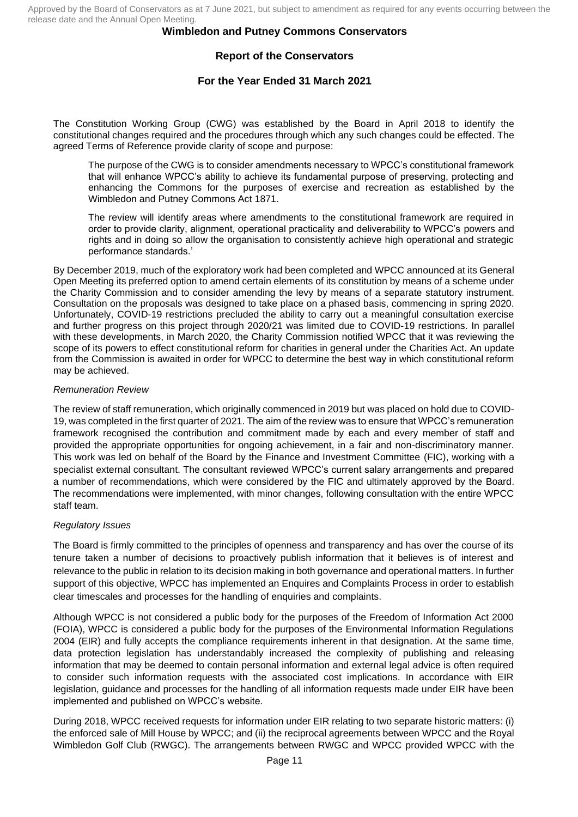## **Report of the Conservators**

## **For the Year Ended 31 March 2021**

The Constitution Working Group (CWG) was established by the Board in April 2018 to identify the constitutional changes required and the procedures through which any such changes could be effected. The agreed Terms of Reference provide clarity of scope and purpose:

The purpose of the CWG is to consider amendments necessary to WPCC's constitutional framework that will enhance WPCC's ability to achieve its fundamental purpose of preserving, protecting and enhancing the Commons for the purposes of exercise and recreation as established by the Wimbledon and Putney Commons Act 1871.

The review will identify areas where amendments to the constitutional framework are required in order to provide clarity, alignment, operational practicality and deliverability to WPCC's powers and rights and in doing so allow the organisation to consistently achieve high operational and strategic performance standards.'

By December 2019, much of the exploratory work had been completed and WPCC announced at its General Open Meeting its preferred option to amend certain elements of its constitution by means of a scheme under the Charity Commission and to consider amending the levy by means of a separate statutory instrument. Consultation on the proposals was designed to take place on a phased basis, commencing in spring 2020. Unfortunately, COVID-19 restrictions precluded the ability to carry out a meaningful consultation exercise and further progress on this project through 2020/21 was limited due to COVID-19 restrictions. In parallel with these developments, in March 2020, the Charity Commission notified WPCC that it was reviewing the scope of its powers to effect constitutional reform for charities in general under the Charities Act. An update from the Commission is awaited in order for WPCC to determine the best way in which constitutional reform may be achieved.

#### *Remuneration Review*

The review of staff remuneration, which originally commenced in 2019 but was placed on hold due to COVID-19, was completed in the first quarter of 2021. The aim of the review was to ensure that WPCC's remuneration framework recognised the contribution and commitment made by each and every member of staff and provided the appropriate opportunities for ongoing achievement, in a fair and non-discriminatory manner. This work was led on behalf of the Board by the Finance and Investment Committee (FIC), working with a specialist external consultant. The consultant reviewed WPCC's current salary arrangements and prepared a number of recommendations, which were considered by the FIC and ultimately approved by the Board. The recommendations were implemented, with minor changes, following consultation with the entire WPCC staff team.

#### *Regulatory Issues*

The Board is firmly committed to the principles of openness and transparency and has over the course of its tenure taken a number of decisions to proactively publish information that it believes is of interest and relevance to the public in relation to its decision making in both governance and operational matters. In further support of this objective, WPCC has implemented an Enquires and Complaints Process in order to establish clear timescales and processes for the handling of enquiries and complaints.

Although WPCC is not considered a public body for the purposes of the Freedom of Information Act 2000 (FOIA), WPCC is considered a public body for the purposes of the Environmental Information Regulations 2004 (EIR) and fully accepts the compliance requirements inherent in that designation. At the same time, data protection legislation has understandably increased the complexity of publishing and releasing information that may be deemed to contain personal information and external legal advice is often required to consider such information requests with the associated cost implications. In accordance with EIR legislation, guidance and processes for the handling of all information requests made under EIR have been implemented and published on WPCC's website.

During 2018, WPCC received requests for information under EIR relating to two separate historic matters: (i) the enforced sale of Mill House by WPCC; and (ii) the reciprocal agreements between WPCC and the Royal Wimbledon Golf Club (RWGC). The arrangements between RWGC and WPCC provided WPCC with the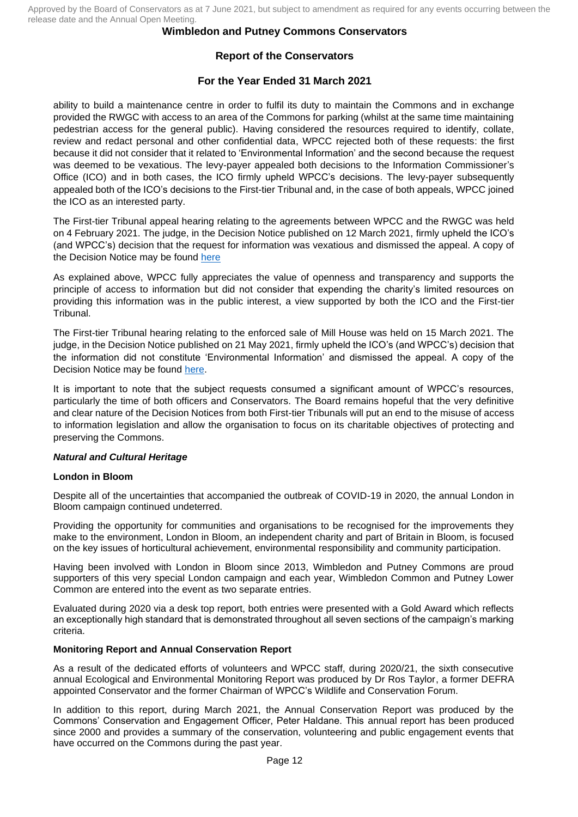## **Wimbledon and Putney Commons Conservators**

# **Report of the Conservators**

## **For the Year Ended 31 March 2021**

ability to build a maintenance centre in order to fulfil its duty to maintain the Commons and in exchange provided the RWGC with access to an area of the Commons for parking (whilst at the same time maintaining pedestrian access for the general public). Having considered the resources required to identify, collate, review and redact personal and other confidential data, WPCC rejected both of these requests: the first because it did not consider that it related to 'Environmental Information' and the second because the request was deemed to be vexatious. The levy-payer appealed both decisions to the Information Commissioner's Office (ICO) and in both cases, the ICO firmly upheld WPCC's decisions. The levy-payer subsequently appealed both of the ICO's decisions to the First-tier Tribunal and, in the case of both appeals, WPCC joined the ICO as an interested party.

The First-tier Tribunal appeal hearing relating to the agreements between WPCC and the RWGC was held on 4 February 2021. The judge, in the Decision Notice published on 12 March 2021, firmly upheld the ICO's (and WPCC's) decision that the request for information was vexatious and dismissed the appeal. A copy of the Decision Notice may be found [here](https://informationrights.decisions.tribunals.gov.uk/DBFiles/Decision/i2807/Cameron,%20J%20-%20EA.2020.0190%20DECISION%20(12.03.21)%20-%20JH%20Dismissed.pdf)

As explained above, WPCC fully appreciates the value of openness and transparency and supports the principle of access to information but did not consider that expending the charity's limited resources on providing this information was in the public interest, a view supported by both the ICO and the First-tier Tribunal.

The First-tier Tribunal hearing relating to the enforced sale of Mill House was held on 15 March 2021. The judge, in the Decision Notice published on 21 May 2021, firmly upheld the ICO's (and WPCC's) decision that the information did not constitute 'Environmental Information' and dismissed the appeal. A copy of the Decision Notice may be found [here.](https://informationrights.decisions.tribunals.gov.uk/DBFiles/Decision/i2851/Cameron,%20J%20-%20EA.2019-0425%20Decision%20-%20JH%20-%20Dismissed.pdf)

It is important to note that the subject requests consumed a significant amount of WPCC's resources, particularly the time of both officers and Conservators. The Board remains hopeful that the very definitive and clear nature of the Decision Notices from both First-tier Tribunals will put an end to the misuse of access to information legislation and allow the organisation to focus on its charitable objectives of protecting and preserving the Commons.

## *Natural and Cultural Heritage*

#### **London in Bloom**

Despite all of the uncertainties that accompanied the outbreak of COVID-19 in 2020, the annual London in Bloom campaign continued undeterred.

Providing the opportunity for communities and organisations to be recognised for the improvements they make to the environment, London in Bloom, an independent charity and part of Britain in Bloom, is focused on the key issues of horticultural achievement, environmental responsibility and community participation.

Having been involved with London in Bloom since 2013, Wimbledon and Putney Commons are proud supporters of this very special London campaign and each year, Wimbledon Common and Putney Lower Common are entered into the event as two separate entries.

Evaluated during 2020 via a desk top report, both entries were presented with a Gold Award which reflects an exceptionally high standard that is demonstrated throughout all seven sections of the campaign's marking criteria.

## **Monitoring Report and Annual Conservation Report**

As a result of the dedicated efforts of volunteers and WPCC staff, during 2020/21, the sixth consecutive annual Ecological and Environmental Monitoring Report was produced by Dr Ros Taylor, a former DEFRA appointed Conservator and the former Chairman of WPCC's Wildlife and Conservation Forum.

In addition to this report, during March 2021, the Annual Conservation Report was produced by the Commons' Conservation and Engagement Officer, Peter Haldane. This annual report has been produced since 2000 and provides a summary of the conservation, volunteering and public engagement events that have occurred on the Commons during the past year.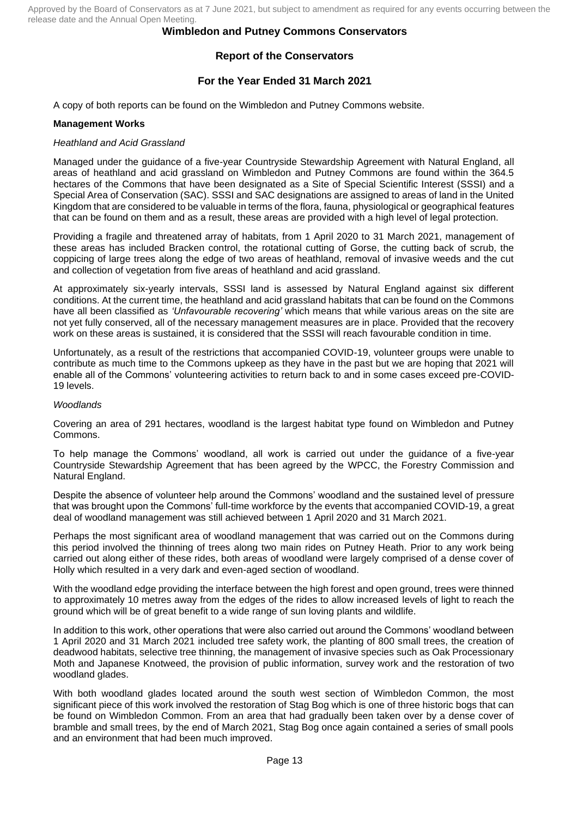## **Wimbledon and Putney Commons Conservators**

# **Report of the Conservators**

## **For the Year Ended 31 March 2021**

A copy of both reports can be found on the Wimbledon and Putney Commons website.

### **Management Works**

### *Heathland and Acid Grassland*

Managed under the guidance of a five-year Countryside Stewardship Agreement with Natural England, all areas of heathland and acid grassland on Wimbledon and Putney Commons are found within the 364.5 hectares of the Commons that have been designated as a Site of Special Scientific Interest (SSSI) and a Special Area of Conservation (SAC). SSSI and SAC designations are assigned to areas of land in the United Kingdom that are considered to be valuable in terms of the flora, fauna, physiological or geographical features that can be found on them and as a result, these areas are provided with a high level of legal protection.

Providing a fragile and threatened array of habitats, from 1 April 2020 to 31 March 2021, management of these areas has included Bracken control, the rotational cutting of Gorse, the cutting back of scrub, the coppicing of large trees along the edge of two areas of heathland, removal of invasive weeds and the cut and collection of vegetation from five areas of heathland and acid grassland.

At approximately six-yearly intervals, SSSI land is assessed by Natural England against six different conditions. At the current time, the heathland and acid grassland habitats that can be found on the Commons have all been classified as *'Unfavourable recovering'* which means that while various areas on the site are not yet fully conserved, all of the necessary management measures are in place. Provided that the recovery work on these areas is sustained, it is considered that the SSSI will reach favourable condition in time.

Unfortunately, as a result of the restrictions that accompanied COVID-19, volunteer groups were unable to contribute as much time to the Commons upkeep as they have in the past but we are hoping that 2021 will enable all of the Commons' volunteering activities to return back to and in some cases exceed pre-COVID-19 levels.

### *Woodlands*

Covering an area of 291 hectares, woodland is the largest habitat type found on Wimbledon and Putney Commons.

To help manage the Commons' woodland, all work is carried out under the guidance of a five-year Countryside Stewardship Agreement that has been agreed by the WPCC, the Forestry Commission and Natural England.

Despite the absence of volunteer help around the Commons' woodland and the sustained level of pressure that was brought upon the Commons' full-time workforce by the events that accompanied COVID-19, a great deal of woodland management was still achieved between 1 April 2020 and 31 March 2021.

Perhaps the most significant area of woodland management that was carried out on the Commons during this period involved the thinning of trees along two main rides on Putney Heath. Prior to any work being carried out along either of these rides, both areas of woodland were largely comprised of a dense cover of Holly which resulted in a very dark and even-aged section of woodland.

With the woodland edge providing the interface between the high forest and open ground, trees were thinned to approximately 10 metres away from the edges of the rides to allow increased levels of light to reach the ground which will be of great benefit to a wide range of sun loving plants and wildlife.

In addition to this work, other operations that were also carried out around the Commons' woodland between 1 April 2020 and 31 March 2021 included tree safety work, the planting of 800 small trees, the creation of deadwood habitats, selective tree thinning, the management of invasive species such as Oak Processionary Moth and Japanese Knotweed, the provision of public information, survey work and the restoration of two woodland glades.

With both woodland glades located around the south west section of Wimbledon Common, the most significant piece of this work involved the restoration of Stag Bog which is one of three historic bogs that can be found on Wimbledon Common. From an area that had gradually been taken over by a dense cover of bramble and small trees, by the end of March 2021, Stag Bog once again contained a series of small pools and an environment that had been much improved.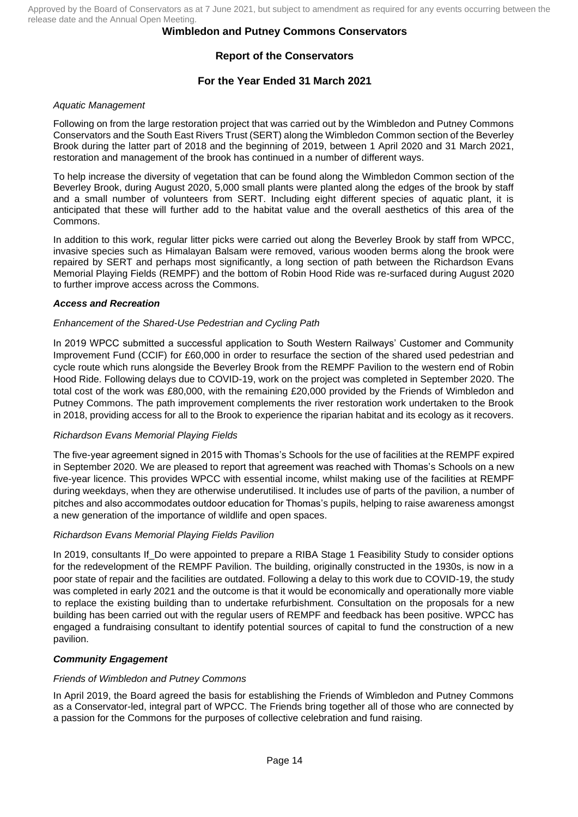## **Wimbledon and Putney Commons Conservators**

# **Report of the Conservators**

## **For the Year Ended 31 March 2021**

### *Aquatic Management*

Following on from the large restoration project that was carried out by the Wimbledon and Putney Commons Conservators and the South East Rivers Trust (SERT) along the Wimbledon Common section of the Beverley Brook during the latter part of 2018 and the beginning of 2019, between 1 April 2020 and 31 March 2021, restoration and management of the brook has continued in a number of different ways.

To help increase the diversity of vegetation that can be found along the Wimbledon Common section of the Beverley Brook, during August 2020, 5,000 small plants were planted along the edges of the brook by staff and a small number of volunteers from SERT. Including eight different species of aquatic plant, it is anticipated that these will further add to the habitat value and the overall aesthetics of this area of the Commons.

In addition to this work, regular litter picks were carried out along the Beverley Brook by staff from WPCC, invasive species such as Himalayan Balsam were removed, various wooden berms along the brook were repaired by SERT and perhaps most significantly, a long section of path between the Richardson Evans Memorial Playing Fields (REMPF) and the bottom of Robin Hood Ride was re-surfaced during August 2020 to further improve access across the Commons.

#### *Access and Recreation*

### *Enhancement of the Shared-Use Pedestrian and Cycling Path*

In 2019 WPCC submitted a successful application to South Western Railways' Customer and Community Improvement Fund (CCIF) for £60,000 in order to resurface the section of the shared used pedestrian and cycle route which runs alongside the Beverley Brook from the REMPF Pavilion to the western end of Robin Hood Ride. Following delays due to COVID-19, work on the project was completed in September 2020. The total cost of the work was £80,000, with the remaining £20,000 provided by the Friends of Wimbledon and Putney Commons. The path improvement complements the river restoration work undertaken to the Brook in 2018, providing access for all to the Brook to experience the riparian habitat and its ecology as it recovers.

## *Richardson Evans Memorial Playing Fields*

The five-year agreement signed in 2015 with Thomas's Schools for the use of facilities at the REMPF expired in September 2020. We are pleased to report that agreement was reached with Thomas's Schools on a new five-year licence. This provides WPCC with essential income, whilst making use of the facilities at REMPF during weekdays, when they are otherwise underutilised. It includes use of parts of the pavilion, a number of pitches and also accommodates outdoor education for Thomas's pupils, helping to raise awareness amongst a new generation of the importance of wildlife and open spaces.

#### *Richardson Evans Memorial Playing Fields Pavilion*

In 2019, consultants If\_Do were appointed to prepare a RIBA Stage 1 Feasibility Study to consider options for the redevelopment of the REMPF Pavilion. The building, originally constructed in the 1930s, is now in a poor state of repair and the facilities are outdated. Following a delay to this work due to COVID-19, the study was completed in early 2021 and the outcome is that it would be economically and operationally more viable to replace the existing building than to undertake refurbishment. Consultation on the proposals for a new building has been carried out with the regular users of REMPF and feedback has been positive. WPCC has engaged a fundraising consultant to identify potential sources of capital to fund the construction of a new pavilion.

## *Community Engagement*

#### *Friends of Wimbledon and Putney Commons*

In April 2019, the Board agreed the basis for establishing the Friends of Wimbledon and Putney Commons as a Conservator-led, integral part of WPCC. The Friends bring together all of those who are connected by a passion for the Commons for the purposes of collective celebration and fund raising.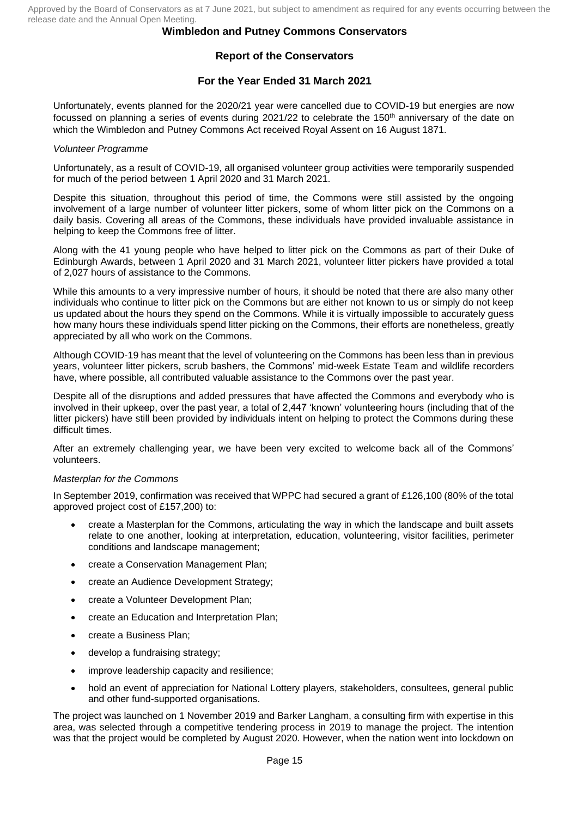# **Report of the Conservators**

## **For the Year Ended 31 March 2021**

Unfortunately, events planned for the 2020/21 year were cancelled due to COVID-19 but energies are now focussed on planning a series of events during 2021/22 to celebrate the 150<sup>th</sup> anniversary of the date on which the Wimbledon and Putney Commons Act received Royal Assent on 16 August 1871.

### *Volunteer Programme*

Unfortunately, as a result of COVID-19, all organised volunteer group activities were temporarily suspended for much of the period between 1 April 2020 and 31 March 2021.

Despite this situation, throughout this period of time, the Commons were still assisted by the ongoing involvement of a large number of volunteer litter pickers, some of whom litter pick on the Commons on a daily basis. Covering all areas of the Commons, these individuals have provided invaluable assistance in helping to keep the Commons free of litter.

Along with the 41 young people who have helped to litter pick on the Commons as part of their Duke of Edinburgh Awards, between 1 April 2020 and 31 March 2021, volunteer litter pickers have provided a total of 2,027 hours of assistance to the Commons.

While this amounts to a very impressive number of hours, it should be noted that there are also many other individuals who continue to litter pick on the Commons but are either not known to us or simply do not keep us updated about the hours they spend on the Commons. While it is virtually impossible to accurately guess how many hours these individuals spend litter picking on the Commons, their efforts are nonetheless, greatly appreciated by all who work on the Commons.

Although COVID-19 has meant that the level of volunteering on the Commons has been less than in previous years, volunteer litter pickers, scrub bashers, the Commons' mid-week Estate Team and wildlife recorders have, where possible, all contributed valuable assistance to the Commons over the past year.

Despite all of the disruptions and added pressures that have affected the Commons and everybody who is involved in their upkeep, over the past year, a total of 2,447 'known' volunteering hours (including that of the litter pickers) have still been provided by individuals intent on helping to protect the Commons during these difficult times.

After an extremely challenging year, we have been very excited to welcome back all of the Commons' volunteers.

#### *Masterplan for the Commons*

In September 2019, confirmation was received that WPPC had secured a grant of £126,100 (80% of the total approved project cost of £157,200) to:

- create a Masterplan for the Commons, articulating the way in which the landscape and built assets relate to one another, looking at interpretation, education, volunteering, visitor facilities, perimeter conditions and landscape management;
- create a Conservation Management Plan;
- create an Audience Development Strategy;
- create a Volunteer Development Plan;
- create an Education and Interpretation Plan;
- create a Business Plan;
- develop a fundraising strategy;
- improve leadership capacity and resilience;
- hold an event of appreciation for National Lottery players, stakeholders, consultees, general public and other fund-supported organisations.

The project was launched on 1 November 2019 and Barker Langham, a consulting firm with expertise in this area, was selected through a competitive tendering process in 2019 to manage the project. The intention was that the project would be completed by August 2020. However, when the nation went into lockdown on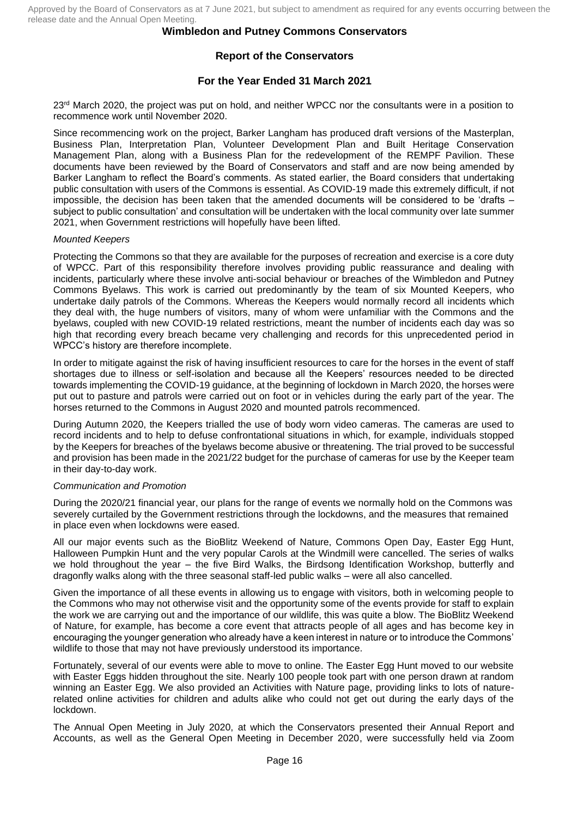# **Report of the Conservators**

## **For the Year Ended 31 March 2021**

23<sup>rd</sup> March 2020, the project was put on hold, and neither WPCC nor the consultants were in a position to recommence work until November 2020.

Since recommencing work on the project, Barker Langham has produced draft versions of the Masterplan, Business Plan, Interpretation Plan, Volunteer Development Plan and Built Heritage Conservation Management Plan, along with a Business Plan for the redevelopment of the REMPF Pavilion. These documents have been reviewed by the Board of Conservators and staff and are now being amended by Barker Langham to reflect the Board's comments. As stated earlier, the Board considers that undertaking public consultation with users of the Commons is essential. As COVID-19 made this extremely difficult, if not impossible, the decision has been taken that the amended documents will be considered to be 'drafts – subject to public consultation' and consultation will be undertaken with the local community over late summer 2021, when Government restrictions will hopefully have been lifted.

#### *Mounted Keepers*

Protecting the Commons so that they are available for the purposes of recreation and exercise is a core duty of WPCC. Part of this responsibility therefore involves providing public reassurance and dealing with incidents, particularly where these involve anti-social behaviour or breaches of the Wimbledon and Putney Commons Byelaws. This work is carried out predominantly by the team of six Mounted Keepers, who undertake daily patrols of the Commons. Whereas the Keepers would normally record all incidents which they deal with, the huge numbers of visitors, many of whom were unfamiliar with the Commons and the byelaws, coupled with new COVID-19 related restrictions, meant the number of incidents each day was so high that recording every breach became very challenging and records for this unprecedented period in WPCC's history are therefore incomplete.

In order to mitigate against the risk of having insufficient resources to care for the horses in the event of staff shortages due to illness or self-isolation and because all the Keepers' resources needed to be directed towards implementing the COVID-19 guidance, at the beginning of lockdown in March 2020, the horses were put out to pasture and patrols were carried out on foot or in vehicles during the early part of the year. The horses returned to the Commons in August 2020 and mounted patrols recommenced.

During Autumn 2020, the Keepers trialled the use of body worn video cameras. The cameras are used to record incidents and to help to defuse confrontational situations in which, for example, individuals stopped by the Keepers for breaches of the byelaws become abusive or threatening. The trial proved to be successful and provision has been made in the 2021/22 budget for the purchase of cameras for use by the Keeper team in their day-to-day work.

## *Communication and Promotion*

During the 2020/21 financial year, our plans for the range of events we normally hold on the Commons was severely curtailed by the Government restrictions through the lockdowns, and the measures that remained in place even when lockdowns were eased.

All our major events such as the BioBlitz Weekend of Nature, Commons Open Day, Easter Egg Hunt, Halloween Pumpkin Hunt and the very popular Carols at the Windmill were cancelled. The series of walks we hold throughout the year – the five Bird Walks, the Birdsong Identification Workshop, butterfly and dragonfly walks along with the three seasonal staff-led public walks – were all also cancelled.

Given the importance of all these events in allowing us to engage with visitors, both in welcoming people to the Commons who may not otherwise visit and the opportunity some of the events provide for staff to explain the work we are carrying out and the importance of our wildlife, this was quite a blow. The BioBlitz Weekend of Nature, for example, has become a core event that attracts people of all ages and has become key in encouraging the younger generation who already have a keen interest in nature or to introduce the Commons' wildlife to those that may not have previously understood its importance.

Fortunately, several of our events were able to move to online. The Easter Egg Hunt moved to our website with Easter Eggs hidden throughout the site. Nearly 100 people took part with one person drawn at random winning an Easter Egg. We also provided an Activities with Nature page, providing links to lots of naturerelated online activities for children and adults alike who could not get out during the early days of the lockdown.

The Annual Open Meeting in July 2020, at which the Conservators presented their Annual Report and Accounts, as well as the General Open Meeting in December 2020, were successfully held via Zoom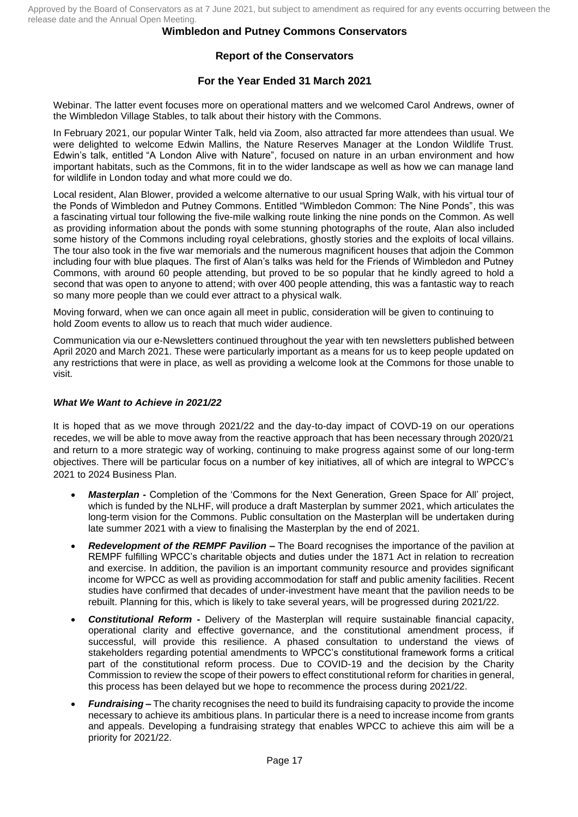## **Wimbledon and Putney Commons Conservators**

# **Report of the Conservators**

## **For the Year Ended 31 March 2021**

Webinar. The latter event focuses more on operational matters and we welcomed Carol Andrews, owner of the Wimbledon Village Stables, to talk about their history with the Commons.

In February 2021, our popular Winter Talk, held via Zoom, also attracted far more attendees than usual. We were delighted to welcome Edwin Mallins, the Nature Reserves Manager at the London Wildlife Trust. Edwin's talk, entitled "A London Alive with Nature", focused on nature in an urban environment and how important habitats, such as the Commons, fit in to the wider landscape as well as how we can manage land for wildlife in London today and what more could we do.

Local resident, Alan Blower, provided a welcome alternative to our usual Spring Walk, with his virtual tour of the Ponds of Wimbledon and Putney Commons. Entitled "Wimbledon Common: The Nine Ponds", this was a fascinating virtual tour following the five-mile walking route linking the nine ponds on the Common. As well as providing information about the ponds with some stunning photographs of the route, Alan also included some history of the Commons including royal celebrations, ghostly stories and the exploits of local villains. The tour also took in the five war memorials and the numerous magnificent houses that adjoin the Common including four with blue plaques. The first of Alan's talks was held for the Friends of Wimbledon and Putney Commons, with around 60 people attending, but proved to be so popular that he kindly agreed to hold a second that was open to anyone to attend; with over 400 people attending, this was a fantastic way to reach so many more people than we could ever attract to a physical walk.

Moving forward, when we can once again all meet in public, consideration will be given to continuing to hold Zoom events to allow us to reach that much wider audience.

Communication via our e-Newsletters continued throughout the year with ten newsletters published between April 2020 and March 2021. These were particularly important as a means for us to keep people updated on any restrictions that were in place, as well as providing a welcome look at the Commons for those unable to visit.

### *What We Want to Achieve in 2021/22*

It is hoped that as we move through 2021/22 and the day-to-day impact of COVD-19 on our operations recedes, we will be able to move away from the reactive approach that has been necessary through 2020/21 and return to a more strategic way of working, continuing to make progress against some of our long-term objectives. There will be particular focus on a number of key initiatives, all of which are integral to WPCC's 2021 to 2024 Business Plan.

- *Masterplan -* Completion of the 'Commons for the Next Generation, Green Space for All' project, which is funded by the NLHF, will produce a draft Masterplan by summer 2021, which articulates the long-term vision for the Commons. Public consultation on the Masterplan will be undertaken during late summer 2021 with a view to finalising the Masterplan by the end of 2021.
- *Redevelopment of the REMPF Pavilion –* The Board recognises the importance of the pavilion at REMPF fulfilling WPCC's charitable objects and duties under the 1871 Act in relation to recreation and exercise. In addition, the pavilion is an important community resource and provides significant income for WPCC as well as providing accommodation for staff and public amenity facilities. Recent studies have confirmed that decades of under-investment have meant that the pavilion needs to be rebuilt. Planning for this, which is likely to take several years, will be progressed during 2021/22.
- *Constitutional Reform -* Delivery of the Masterplan will require sustainable financial capacity, operational clarity and effective governance, and the constitutional amendment process, if successful, will provide this resilience. A phased consultation to understand the views of stakeholders regarding potential amendments to WPCC's constitutional framework forms a critical part of the constitutional reform process. Due to COVID-19 and the decision by the Charity Commission to review the scope of their powers to effect constitutional reform for charities in general, this process has been delayed but we hope to recommence the process during 2021/22.
- *Fundraising –* The charity recognises the need to build its fundraising capacity to provide the income necessary to achieve its ambitious plans. In particular there is a need to increase income from grants and appeals. Developing a fundraising strategy that enables WPCC to achieve this aim will be a priority for 2021/22.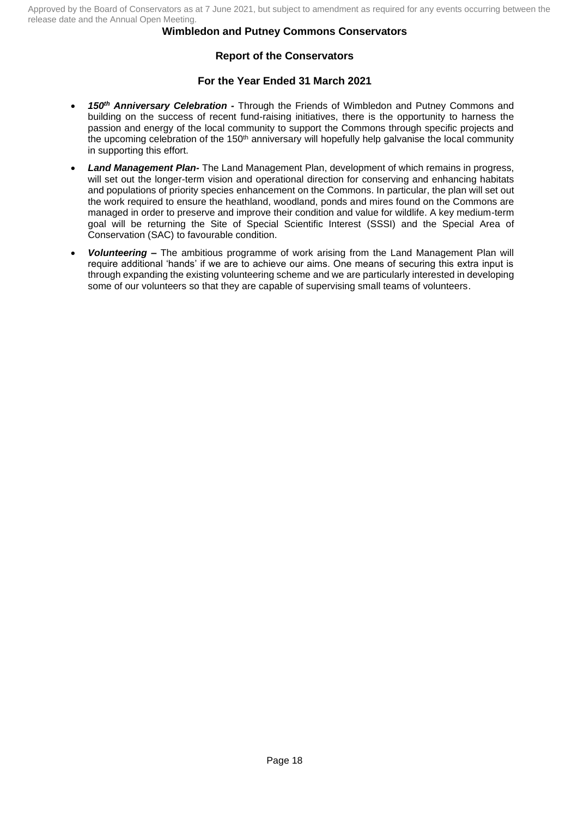# **Report of the Conservators**

## **For the Year Ended 31 March 2021**

- *150th Anniversary Celebration -* Through the Friends of Wimbledon and Putney Commons and building on the success of recent fund-raising initiatives, there is the opportunity to harness the passion and energy of the local community to support the Commons through specific projects and the upcoming celebration of the 150<sup>th</sup> anniversary will hopefully help galvanise the local community in supporting this effort.
- *Land Management Plan-* The Land Management Plan, development of which remains in progress, will set out the longer-term vision and operational direction for conserving and enhancing habitats and populations of priority species enhancement on the Commons. In particular, the plan will set out the work required to ensure the heathland, woodland, ponds and mires found on the Commons are managed in order to preserve and improve their condition and value for wildlife. A key medium-term goal will be returning the Site of Special Scientific Interest (SSSI) and the Special Area of Conservation (SAC) to favourable condition.
- *Volunteering –* The ambitious programme of work arising from the Land Management Plan will require additional 'hands' if we are to achieve our aims. One means of securing this extra input is through expanding the existing volunteering scheme and we are particularly interested in developing some of our volunteers so that they are capable of supervising small teams of volunteers.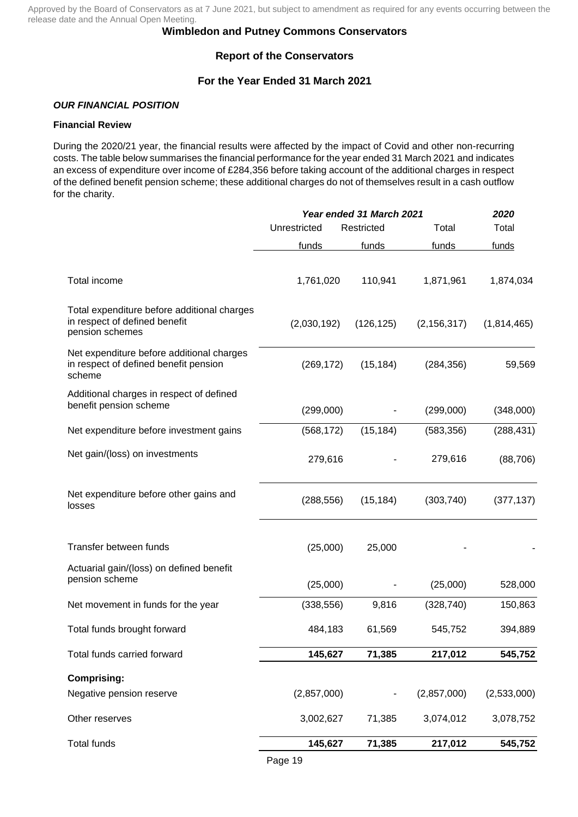## **Wimbledon and Putney Commons Conservators**

## **Report of the Conservators**

## **For the Year Ended 31 March 2021**

## *OUR FINANCIAL POSITION*

### **Financial Review**

During the 2020/21 year, the financial results were affected by the impact of Covid and other non-recurring costs. The table below summarises the financial performance for the year ended 31 March 2021 and indicates an excess of expenditure over income of £284,356 before taking account of the additional charges in respect of the defined benefit pension scheme; these additional charges do not of themselves result in a cash outflow for the charity.

|                                                                                                 |              | <b>Year ended 31 March 2021</b> |               | 2020        |  |
|-------------------------------------------------------------------------------------------------|--------------|---------------------------------|---------------|-------------|--|
|                                                                                                 | Unrestricted | Restricted                      | Total         | Total       |  |
|                                                                                                 | funds        | funds                           | funds         | funds       |  |
| Total income                                                                                    | 1,761,020    | 110,941                         | 1,871,961     | 1,874,034   |  |
| Total expenditure before additional charges<br>in respect of defined benefit<br>pension schemes | (2,030,192)  | (126, 125)                      | (2, 156, 317) | (1,814,465) |  |
| Net expenditure before additional charges<br>in respect of defined benefit pension<br>scheme    | (269, 172)   | (15, 184)                       | (284, 356)    | 59,569      |  |
| Additional charges in respect of defined<br>benefit pension scheme                              | (299,000)    |                                 | (299,000)     | (348,000)   |  |
| Net expenditure before investment gains                                                         | (568, 172)   | (15, 184)                       | (583, 356)    | (288, 431)  |  |
| Net gain/(loss) on investments                                                                  | 279,616      |                                 | 279,616       | (88, 706)   |  |
| Net expenditure before other gains and<br>losses                                                | (288, 556)   | (15, 184)                       | (303, 740)    | (377, 137)  |  |
| Transfer between funds                                                                          | (25,000)     | 25,000                          |               |             |  |
| Actuarial gain/(loss) on defined benefit<br>pension scheme                                      | (25,000)     |                                 | (25,000)      | 528,000     |  |
| Net movement in funds for the year                                                              | (338, 556)   | 9,816                           | (328, 740)    | 150,863     |  |
| Total funds brought forward                                                                     | 484,183      | 61,569                          | 545,752       | 394,889     |  |
| Total funds carried forward                                                                     | 145,627      | 71,385                          | 217,012       | 545,752     |  |
| <b>Comprising:</b>                                                                              |              |                                 |               |             |  |
| Negative pension reserve                                                                        | (2,857,000)  |                                 | (2,857,000)   | (2,533,000) |  |
| Other reserves                                                                                  | 3,002,627    | 71,385                          | 3,074,012     | 3,078,752   |  |
| <b>Total funds</b>                                                                              | 145,627      | 71,385                          | 217,012       | 545,752     |  |
|                                                                                                 |              |                                 |               |             |  |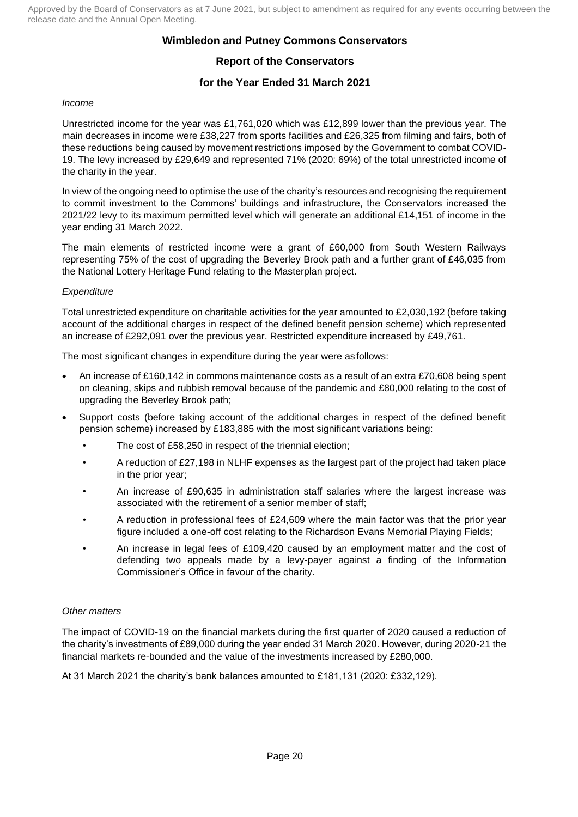## **Wimbledon and Putney Commons Conservators**

# **Report of the Conservators**

## **for the Year Ended 31 March 2021**

### *Income*

Unrestricted income for the year was £1,761,020 which was £12,899 lower than the previous year. The main decreases in income were £38,227 from sports facilities and £26,325 from filming and fairs, both of these reductions being caused by movement restrictions imposed by the Government to combat COVID-19. The levy increased by £29,649 and represented 71% (2020: 69%) of the total unrestricted income of the charity in the year.

In view of the ongoing need to optimise the use of the charity's resources and recognising the requirement to commit investment to the Commons' buildings and infrastructure, the Conservators increased the 2021/22 levy to its maximum permitted level which will generate an additional £14,151 of income in the year ending 31 March 2022.

The main elements of restricted income were a grant of £60,000 from South Western Railways representing 75% of the cost of upgrading the Beverley Brook path and a further grant of £46,035 from the National Lottery Heritage Fund relating to the Masterplan project.

### *Expenditure*

Total unrestricted expenditure on charitable activities for the year amounted to £2,030,192 (before taking account of the additional charges in respect of the defined benefit pension scheme) which represented an increase of £292,091 over the previous year. Restricted expenditure increased by £49,761.

The most significant changes in expenditure during the year were as follows:

- An increase of £160,142 in commons maintenance costs as a result of an extra £70,608 being spent on cleaning, skips and rubbish removal because of the pandemic and £80,000 relating to the cost of upgrading the Beverley Brook path;
- Support costs (before taking account of the additional charges in respect of the defined benefit pension scheme) increased by £183,885 with the most significant variations being:
	- The cost of £58,250 in respect of the triennial election;
	- A reduction of £27,198 in NLHF expenses as the largest part of the project had taken place in the prior year;
	- An increase of £90,635 in administration staff salaries where the largest increase was associated with the retirement of a senior member of staff;
	- A reduction in professional fees of £24,609 where the main factor was that the prior year figure included a one-off cost relating to the Richardson Evans Memorial Playing Fields;
	- An increase in legal fees of £109,420 caused by an employment matter and the cost of defending two appeals made by a levy-payer against a finding of the Information Commissioner's Office in favour of the charity.

#### *Other matters*

The impact of COVID-19 on the financial markets during the first quarter of 2020 caused a reduction of the charity's investments of £89,000 during the year ended 31 March 2020. However, during 2020-21 the financial markets re-bounded and the value of the investments increased by £280,000.

At 31 March 2021 the charity's bank balances amounted to £181,131 (2020: £332,129).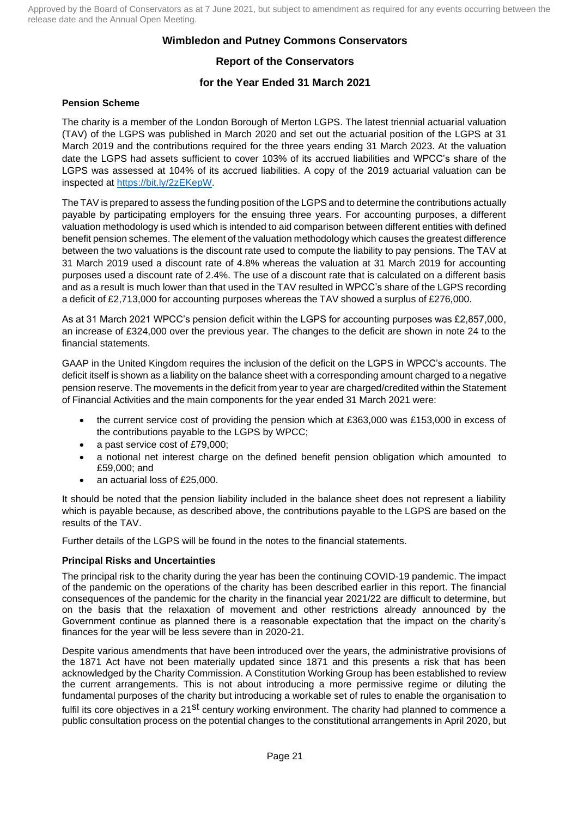## **Wimbledon and Putney Commons Conservators**

# **Report of the Conservators**

# **for the Year Ended 31 March 2021**

## **Pension Scheme**

The charity is a member of the London Borough of Merton LGPS. The latest triennial actuarial valuation (TAV) of the LGPS was published in March 2020 and set out the actuarial position of the LGPS at 31 March 2019 and the contributions required for the three years ending 31 March 2023. At the valuation date the LGPS had assets sufficient to cover 103% of its accrued liabilities and WPCC's share of the LGPS was assessed at 104% of its accrued liabilities. A copy of the 2019 actuarial valuation can be inspected at https://bit.ly/2zEKepW.

The TAV is prepared to assess the funding position of the LGPS and to determine the contributions actually payable by participating employers for the ensuing three years. For accounting purposes, a different valuation methodology is used which is intended to aid comparison between different entities with defined benefit pension schemes. The element of the valuation methodology which causes the greatest difference between the two valuations is the discount rate used to compute the liability to pay pensions. The TAV at 31 March 2019 used a discount rate of 4.8% whereas the valuation at 31 March 2019 for accounting purposes used a discount rate of 2.4%. The use of a discount rate that is calculated on a different basis and as a result is much lower than that used in the TAV resulted in WPCC's share of the LGPS recording a deficit of £2,713,000 for accounting purposes whereas the TAV showed a surplus of £276,000.

As at 31 March 2021 WPCC's pension deficit within the LGPS for accounting purposes was £2,857,000, an increase of £324,000 over the previous year. The changes to the deficit are shown in note 24 to the financial statements.

GAAP in the United Kingdom requires the inclusion of the deficit on the LGPS in WPCC's accounts. The deficit itself is shown as a liability on the balance sheet with a corresponding amount charged to a negative pension reserve. The movements in the deficit from year to year are charged/credited within the Statement of Financial Activities and the main components for the year ended 31 March 2021 were:

- the current service cost of providing the pension which at £363,000 was £153,000 in excess of the contributions payable to the LGPS by WPCC;
- a past service cost of £79,000;
- a notional net interest charge on the defined benefit pension obligation which amounted to £59,000; and
- an actuarial loss of £25,000.

It should be noted that the pension liability included in the balance sheet does not represent a liability which is payable because, as described above, the contributions payable to the LGPS are based on the results of the TAV.

Further details of the LGPS will be found in the notes to the financial statements.

## **Principal Risks and Uncertainties**

The principal risk to the charity during the year has been the continuing COVID-19 pandemic. The impact of the pandemic on the operations of the charity has been described earlier in this report. The financial consequences of the pandemic for the charity in the financial year 2021/22 are difficult to determine, but on the basis that the relaxation of movement and other restrictions already announced by the Government continue as planned there is a reasonable expectation that the impact on the charity's finances for the year will be less severe than in 2020-21.

Despite various amendments that have been introduced over the years, the administrative provisions of the 1871 Act have not been materially updated since 1871 and this presents a risk that has been acknowledged by the Charity Commission. A Constitution Working Group has been established to review the current arrangements. This is not about introducing a more permissive regime or diluting the fundamental purposes of the charity but introducing a workable set of rules to enable the organisation to fulfil its core objectives in a 21<sup>st</sup> century working environment. The charity had planned to commence a public consultation process on the potential changes to the constitutional arrangements in April 2020, but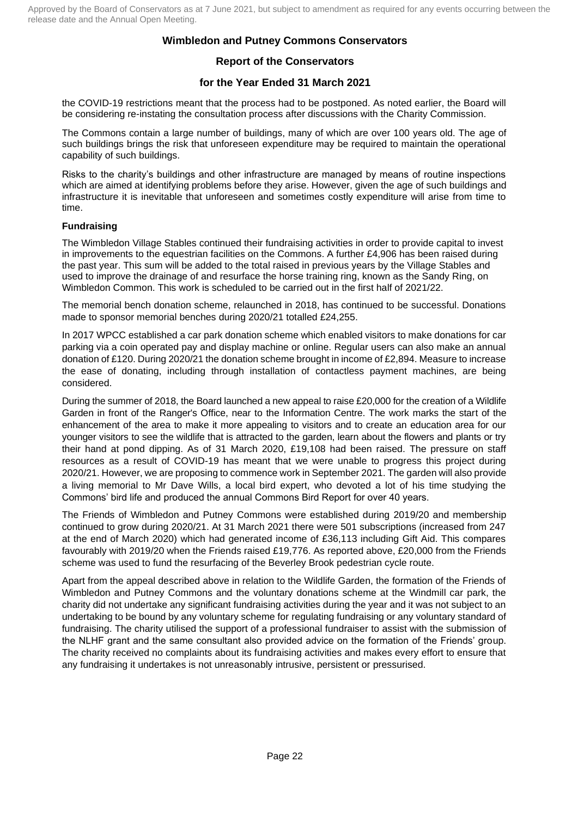## **Report of the Conservators**

# **for the Year Ended 31 March 2021**

the COVID-19 restrictions meant that the process had to be postponed. As noted earlier, the Board will be considering re-instating the consultation process after discussions with the Charity Commission.

The Commons contain a large number of buildings, many of which are over 100 years old. The age of such buildings brings the risk that unforeseen expenditure may be required to maintain the operational capability of such buildings.

Risks to the charity's buildings and other infrastructure are managed by means of routine inspections which are aimed at identifying problems before they arise. However, given the age of such buildings and infrastructure it is inevitable that unforeseen and sometimes costly expenditure will arise from time to time.

## **Fundraising**

The Wimbledon Village Stables continued their fundraising activities in order to provide capital to invest in improvements to the equestrian facilities on the Commons. A further £4,906 has been raised during the past year. This sum will be added to the total raised in previous years by the Village Stables and used to improve the drainage of and resurface the horse training ring, known as the Sandy Ring, on Wimbledon Common. This work is scheduled to be carried out in the first half of 2021/22.

The memorial bench donation scheme, relaunched in 2018, has continued to be successful. Donations made to sponsor memorial benches during 2020/21 totalled £24,255.

In 2017 WPCC established a car park donation scheme which enabled visitors to make donations for car parking via a coin operated pay and display machine or online. Regular users can also make an annual donation of £120. During 2020/21 the donation scheme brought in income of £2,894. Measure to increase the ease of donating, including through installation of contactless payment machines, are being considered.

During the summer of 2018, the Board launched a new appeal to raise £20,000 for the creation of a Wildlife Garden in front of the Ranger's Office, near to the Information Centre. The work marks the start of the enhancement of the area to make it more appealing to visitors and to create an education area for our younger visitors to see the wildlife that is attracted to the garden, learn about the flowers and plants or try their hand at pond dipping. As of 31 March 2020, £19,108 had been raised. The pressure on staff resources as a result of COVID-19 has meant that we were unable to progress this project during 2020/21. However, we are proposing to commence work in September 2021. The garden will also provide a living memorial to Mr Dave Wills, a local bird expert, who devoted a lot of his time studying the Commons' bird life and produced the annual Commons Bird Report for over 40 years.

The Friends of Wimbledon and Putney Commons were established during 2019/20 and membership continued to grow during 2020/21. At 31 March 2021 there were 501 subscriptions (increased from 247 at the end of March 2020) which had generated income of £36,113 including Gift Aid. This compares favourably with 2019/20 when the Friends raised £19,776. As reported above, £20,000 from the Friends scheme was used to fund the resurfacing of the Beverley Brook pedestrian cycle route.

Apart from the appeal described above in relation to the Wildlife Garden, the formation of the Friends of Wimbledon and Putney Commons and the voluntary donations scheme at the Windmill car park, the charity did not undertake any significant fundraising activities during the year and it was not subject to an undertaking to be bound by any voluntary scheme for regulating fundraising or any voluntary standard of fundraising. The charity utilised the support of a professional fundraiser to assist with the submission of the NLHF grant and the same consultant also provided advice on the formation of the Friends' group. The charity received no complaints about its fundraising activities and makes every effort to ensure that any fundraising it undertakes is not unreasonably intrusive, persistent or pressurised.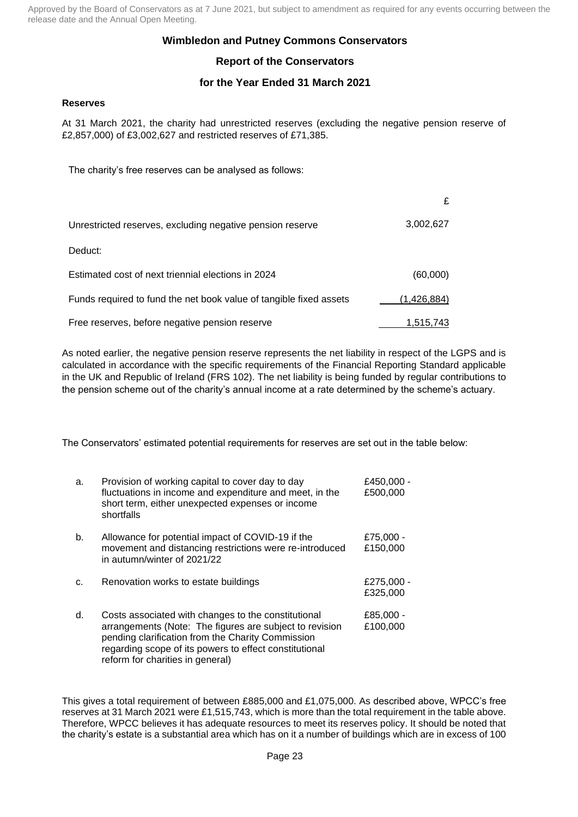## **Wimbledon and Putney Commons Conservators**

# **Report of the Conservators**

## **for the Year Ended 31 March 2021**

#### **Reserves**

At 31 March 2021, the charity had unrestricted reserves (excluding the negative pension reserve of £2,857,000) of £3,002,627 and restricted reserves of £71,385.

The charity's free reserves can be analysed as follows:

|                                                                    | £           |
|--------------------------------------------------------------------|-------------|
| Unrestricted reserves, excluding negative pension reserve          | 3,002,627   |
| Deduct:                                                            |             |
| Estimated cost of next triennial elections in 2024                 | (60,000)    |
| Funds required to fund the net book value of tangible fixed assets | (1,426,884) |
| Free reserves, before negative pension reserve                     | 1,515,743   |

As noted earlier, the negative pension reserve represents the net liability in respect of the LGPS and is calculated in accordance with the specific requirements of the Financial Reporting Standard applicable in the UK and Republic of Ireland (FRS 102). The net liability is being funded by regular contributions to the pension scheme out of the charity's annual income at a rate determined by the scheme's actuary.

The Conservators' estimated potential requirements for reserves are set out in the table below:

| a. | Provision of working capital to cover day to day<br>fluctuations in income and expenditure and meet, in the<br>short term, either unexpected expenses or income<br>shortfalls                                                                                     | £450,000 -<br>£500,000 |
|----|-------------------------------------------------------------------------------------------------------------------------------------------------------------------------------------------------------------------------------------------------------------------|------------------------|
| b. | Allowance for potential impact of COVID-19 if the<br>movement and distancing restrictions were re-introduced<br>in autumn/winter of 2021/22                                                                                                                       | £75,000 -<br>£150,000  |
| c. | Renovation works to estate buildings                                                                                                                                                                                                                              | £275,000 -<br>£325,000 |
| d. | Costs associated with changes to the constitutional<br>arrangements (Note: The figures are subject to revision<br>pending clarification from the Charity Commission<br>regarding scope of its powers to effect constitutional<br>reform for charities in general) | £85,000 -<br>£100,000  |

This gives a total requirement of between £885,000 and £1,075,000. As described above, WPCC's free reserves at 31 March 2021 were £1,515,743, which is more than the total requirement in the table above. Therefore, WPCC believes it has adequate resources to meet its reserves policy. It should be noted that the charity's estate is a substantial area which has on it a number of buildings which are in excess of 100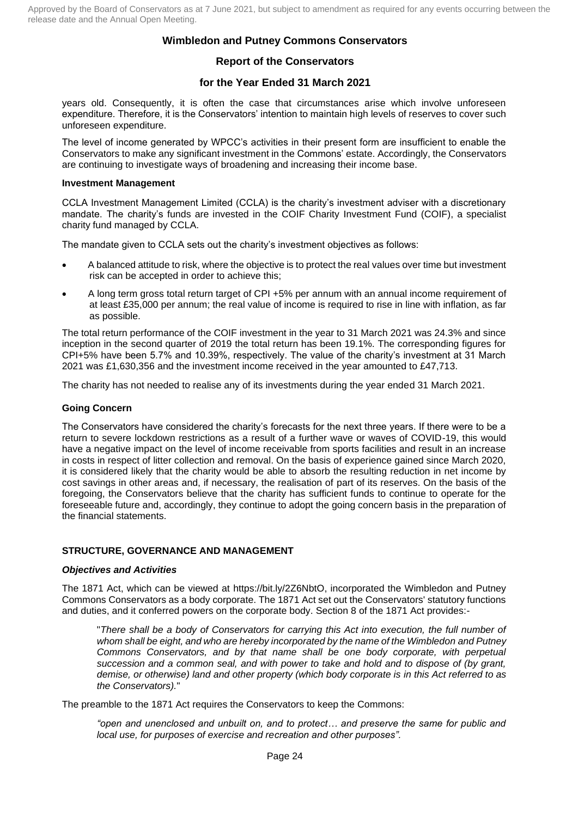## **Report of the Conservators**

## **for the Year Ended 31 March 2021**

years old. Consequently, it is often the case that circumstances arise which involve unforeseen expenditure. Therefore, it is the Conservators' intention to maintain high levels of reserves to cover such unforeseen expenditure.

The level of income generated by WPCC's activities in their present form are insufficient to enable the Conservators to make any significant investment in the Commons' estate. Accordingly, the Conservators are continuing to investigate ways of broadening and increasing their income base.

#### **Investment Management**

CCLA Investment Management Limited (CCLA) is the charity's investment adviser with a discretionary mandate. The charity's funds are invested in the COIF Charity Investment Fund (COIF), a specialist charity fund managed by CCLA.

The mandate given to CCLA sets out the charity's investment objectives as follows:

- A balanced attitude to risk, where the objective is to protect the real values over time but investment risk can be accepted in order to achieve this;
- A long term gross total return target of CPI +5% per annum with an annual income requirement of at least £35,000 per annum; the real value of income is required to rise in line with inflation, as far as possible.

The total return performance of the COIF investment in the year to 31 March 2021 was 24.3% and since inception in the second quarter of 2019 the total return has been 19.1%. The corresponding figures for CPI+5% have been 5.7% and 10.39%, respectively. The value of the charity's investment at 31 March 2021 was £1,630,356 and the investment income received in the year amounted to £47,713.

The charity has not needed to realise any of its investments during the year ended 31 March 2021.

#### **Going Concern**

The Conservators have considered the charity's forecasts for the next three years. If there were to be a return to severe lockdown restrictions as a result of a further wave or waves of COVID-19, this would have a negative impact on the level of income receivable from sports facilities and result in an increase in costs in respect of litter collection and removal. On the basis of experience gained since March 2020, it is considered likely that the charity would be able to absorb the resulting reduction in net income by cost savings in other areas and, if necessary, the realisation of part of its reserves. On the basis of the foregoing, the Conservators believe that the charity has sufficient funds to continue to operate for the foreseeable future and, accordingly, they continue to adopt the going concern basis in the preparation of the financial statements.

#### **STRUCTURE, GOVERNANCE AND MANAGEMENT**

#### *Objectives and Activities*

The 1871 Act, which can be viewed at [https://bit.ly/2Z6NbtO,](https://bit.ly/2Z6NbtO) incorporated the Wimbledon and Putney Commons Conservators as a body corporate. The 1871 Act set out the Conservators' statutory functions and duties, and it conferred powers on the corporate body. Section 8 of the 1871 Act provides:-

"*There shall be a body of Conservators for carrying this Act into execution, the full number of whom shall be eight, and who are hereby incorporated by the name of the Wimbledon and Putney Commons Conservators, and by that name shall be one body corporate, with perpetual succession and a common seal, and with power to take and hold and to dispose of (by grant, demise, or otherwise) land and other property (which body corporate is in this Act referred to as the Conservators).*"

The preamble to the 1871 Act requires the Conservators to keep the Commons:

*"open and unenclosed and unbuilt on, and to protect… and preserve the same for public and local use, for purposes of exercise and recreation and other purposes".*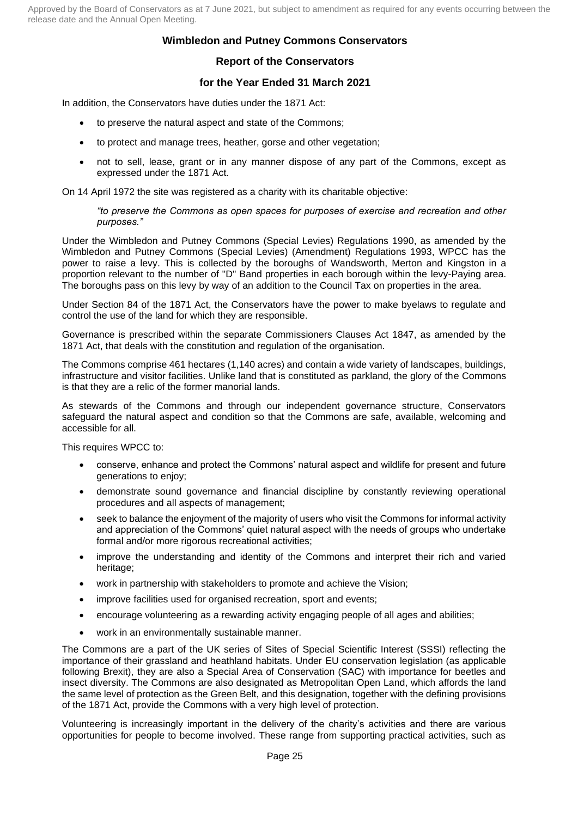## **Wimbledon and Putney Commons Conservators**

## **Report of the Conservators**

## **for the Year Ended 31 March 2021**

In addition, the Conservators have duties under the 1871 Act:

- to preserve the natural aspect and state of the Commons;
- to protect and manage trees, heather, gorse and other vegetation;
- not to sell, lease, grant or in any manner dispose of any part of the Commons, except as expressed under the 1871 Act.

On 14 April 1972 the site was registered as a charity with its charitable objective:

*"to preserve the Commons as open spaces for purposes of exercise and recreation and other purposes."*

Under the Wimbledon and Putney Commons (Special Levies) Regulations 1990, as amended by the Wimbledon and Putney Commons (Special Levies) (Amendment) Regulations 1993, WPCC has the power to raise a levy. This is collected by the boroughs of Wandsworth, Merton and Kingston in a proportion relevant to the number of "D" Band properties in each borough within the levy-Paying area. The boroughs pass on this levy by way of an addition to the Council Tax on properties in the area.

Under Section 84 of the 1871 Act, the Conservators have the power to make byelaws to regulate and control the use of the land for which they are responsible.

Governance is prescribed within the separate Commissioners Clauses Act 1847, as amended by the 1871 Act, that deals with the constitution and regulation of the organisation.

The Commons comprise 461 hectares (1,140 acres) and contain a wide variety of landscapes, buildings, infrastructure and visitor facilities. Unlike land that is constituted as parkland, the glory of the Commons is that they are a relic of the former manorial lands.

As stewards of the Commons and through our independent governance structure, Conservators safeguard the natural aspect and condition so that the Commons are safe, available, welcoming and accessible for all.

This requires WPCC to:

- conserve, enhance and protect the Commons' natural aspect and wildlife for present and future generations to enjoy;
- demonstrate sound governance and financial discipline by constantly reviewing operational procedures and all aspects of management;
- seek to balance the enjoyment of the majority of users who visit the Commons for informal activity and appreciation of the Commons' quiet natural aspect with the needs of groups who undertake formal and/or more rigorous recreational activities;
- improve the understanding and identity of the Commons and interpret their rich and varied heritage;
- work in partnership with stakeholders to promote and achieve the Vision;
- improve facilities used for organised recreation, sport and events;
- encourage volunteering as a rewarding activity engaging people of all ages and abilities;
- work in an environmentally sustainable manner.

The Commons are a part of the UK series of Sites of Special Scientific Interest (SSSI) reflecting the importance of their grassland and heathland habitats. Under EU conservation legislation (as applicable following Brexit), they are also a Special Area of Conservation (SAC) with importance for beetles and insect diversity. The Commons are also designated as Metropolitan Open Land, which affords the land the same level of protection as the Green Belt, and this designation, together with the defining provisions of the 1871 Act, provide the Commons with a very high level of protection.

Volunteering is increasingly important in the delivery of the charity's activities and there are various opportunities for people to become involved. These range from supporting practical activities, such as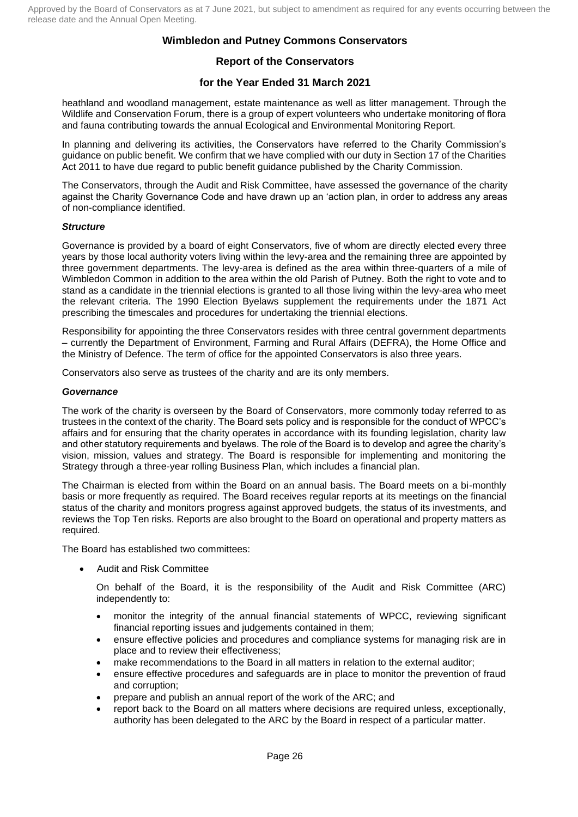## **Report of the Conservators**

## **for the Year Ended 31 March 2021**

heathland and woodland management, estate maintenance as well as litter management. Through the Wildlife and Conservation Forum, there is a group of expert volunteers who undertake monitoring of flora and fauna contributing towards the annual Ecological and Environmental Monitoring Report.

In planning and delivering its activities, the Conservators have referred to the Charity Commission's guidance on public benefit. We confirm that we have complied with our duty in Section 17 of the Charities Act 2011 to have due regard to public benefit guidance published by the Charity Commission.

The Conservators, through the Audit and Risk Committee, have assessed the governance of the charity against the Charity Governance Code and have drawn up an 'action plan, in order to address any areas of non-compliance identified.

### *Structure*

Governance is provided by a board of eight Conservators, five of whom are directly elected every three years by those local authority voters living within the levy-area and the remaining three are appointed by three government departments. The levy-area is defined as the area within three-quarters of a mile of Wimbledon Common in addition to the area within the old Parish of Putney. Both the right to vote and to stand as a candidate in the triennial elections is granted to all those living within the levy-area who meet the relevant criteria. The 1990 Election Byelaws supplement the requirements under the 1871 Act prescribing the timescales and procedures for undertaking the triennial elections.

Responsibility for appointing the three Conservators resides with three central government departments – currently the Department of Environment, Farming and Rural Affairs (DEFRA), the Home Office and the Ministry of Defence. The term of office for the appointed Conservators is also three years.

Conservators also serve as trustees of the charity and are its only members.

### *Governance*

The work of the charity is overseen by the Board of Conservators, more commonly today referred to as trustees in the context of the charity. The Board sets policy and is responsible for the conduct of WPCC's affairs and for ensuring that the charity operates in accordance with its founding legislation, charity law and other statutory requirements and byelaws. The role of the Board is to develop and agree the charity's vision, mission, values and strategy. The Board is responsible for implementing and monitoring the Strategy through a three-year rolling Business Plan, which includes a financial plan.

The Chairman is elected from within the Board on an annual basis. The Board meets on a bi-monthly basis or more frequently as required. The Board receives regular reports at its meetings on the financial status of the charity and monitors progress against approved budgets, the status of its investments, and reviews the Top Ten risks. Reports are also brought to the Board on operational and property matters as required.

The Board has established two committees:

• Audit and Risk Committee

On behalf of the Board, it is the responsibility of the Audit and Risk Committee (ARC) independently to:

- monitor the integrity of the annual financial statements of WPCC, reviewing significant financial reporting issues and judgements contained in them;
- ensure effective policies and procedures and compliance systems for managing risk are in place and to review their effectiveness;
- make recommendations to the Board in all matters in relation to the external auditor;
- ensure effective procedures and safeguards are in place to monitor the prevention of fraud and corruption;
- prepare and publish an annual report of the work of the ARC; and
- report back to the Board on all matters where decisions are required unless, exceptionally, authority has been delegated to the ARC by the Board in respect of a particular matter.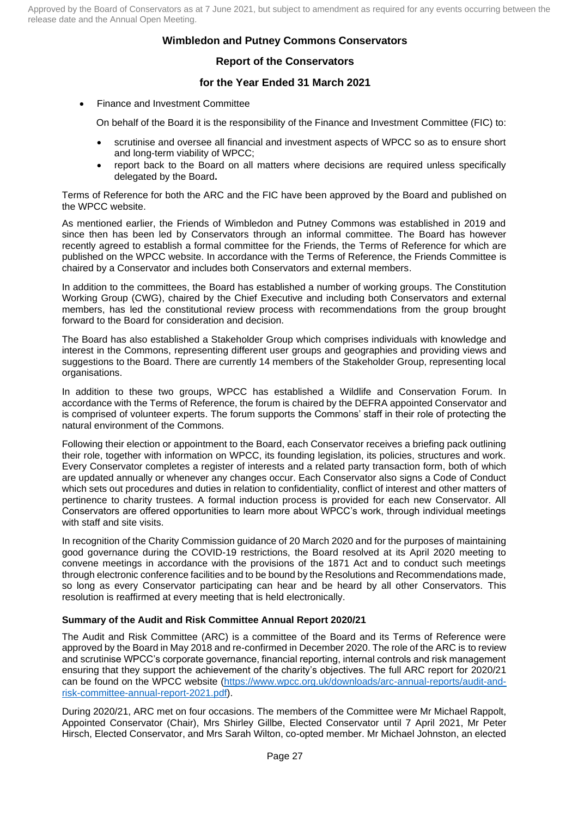## **Wimbledon and Putney Commons Conservators**

## **Report of the Conservators**

## **for the Year Ended 31 March 2021**

• Finance and Investment Committee

On behalf of the Board it is the responsibility of the Finance and Investment Committee (FIC) to:

- scrutinise and oversee all financial and investment aspects of WPCC so as to ensure short and long-term viability of WPCC;
- report back to the Board on all matters where decisions are required unless specifically delegated by the Board**.**

Terms of Reference for both the ARC and the FIC have been approved by the Board and published on the WPCC website.

As mentioned earlier, the Friends of Wimbledon and Putney Commons was established in 2019 and since then has been led by Conservators through an informal committee. The Board has however recently agreed to establish a formal committee for the Friends, the Terms of Reference for which are published on the WPCC website. In accordance with the Terms of Reference, the Friends Committee is chaired by a Conservator and includes both Conservators and external members.

In addition to the committees, the Board has established a number of working groups. The Constitution Working Group (CWG), chaired by the Chief Executive and including both Conservators and external members, has led the constitutional review process with recommendations from the group brought forward to the Board for consideration and decision.

The Board has also established a Stakeholder Group which comprises individuals with knowledge and interest in the Commons, representing different user groups and geographies and providing views and suggestions to the Board. There are currently 14 members of the Stakeholder Group, representing local organisations.

In addition to these two groups, WPCC has established a Wildlife and Conservation Forum. In accordance with the Terms of Reference, the forum is chaired by the DEFRA appointed Conservator and is comprised of volunteer experts. The forum supports the Commons' staff in their role of protecting the natural environment of the Commons.

Following their election or appointment to the Board, each Conservator receives a briefing pack outlining their role, together with information on WPCC, its founding legislation, its policies, structures and work. Every Conservator completes a register of interests and a related party transaction form, both of which are updated annually or whenever any changes occur. Each Conservator also signs a Code of Conduct which sets out procedures and duties in relation to confidentiality, conflict of interest and other matters of pertinence to charity trustees. A formal induction process is provided for each new Conservator. All Conservators are offered opportunities to learn more about WPCC's work, through individual meetings with staff and site visits.

In recognition of the Charity Commission guidance of 20 March 2020 and for the purposes of maintaining good governance during the COVID-19 restrictions, the Board resolved at its April 2020 meeting to convene meetings in accordance with the provisions of the 1871 Act and to conduct such meetings through electronic conference facilities and to be bound by the Resolutions and Recommendations made, so long as every Conservator participating can hear and be heard by all other Conservators. This resolution is reaffirmed at every meeting that is held electronically.

## **Summary of the Audit and Risk Committee Annual Report 2020/21**

The Audit and Risk Committee (ARC) is a committee of the Board and its Terms of Reference were approved by the Board in May 2018 and re-confirmed in December 2020. The role of the ARC is to review and scrutinise WPCC's corporate governance, financial reporting, internal controls and risk management ensuring that they support the achievement of the charity's objectives. The full ARC report for 2020/21 can be found on the WPCC website [\(https://www.wpcc.org.uk/downloads/arc-annual-reports/audit-and](https://www.wpcc.org.uk/downloads/arc-annual-reports/audit-and-risk-committee-annual-report-2021.pdf)[risk-committee-annual-report-2021.pdf\)](https://www.wpcc.org.uk/downloads/arc-annual-reports/audit-and-risk-committee-annual-report-2021.pdf).

During 2020/21, ARC met on four occasions. The members of the Committee were Mr Michael Rappolt, Appointed Conservator (Chair), Mrs Shirley Gillbe, Elected Conservator until 7 April 2021, Mr Peter Hirsch, Elected Conservator, and Mrs Sarah Wilton, co-opted member. Mr Michael Johnston, an elected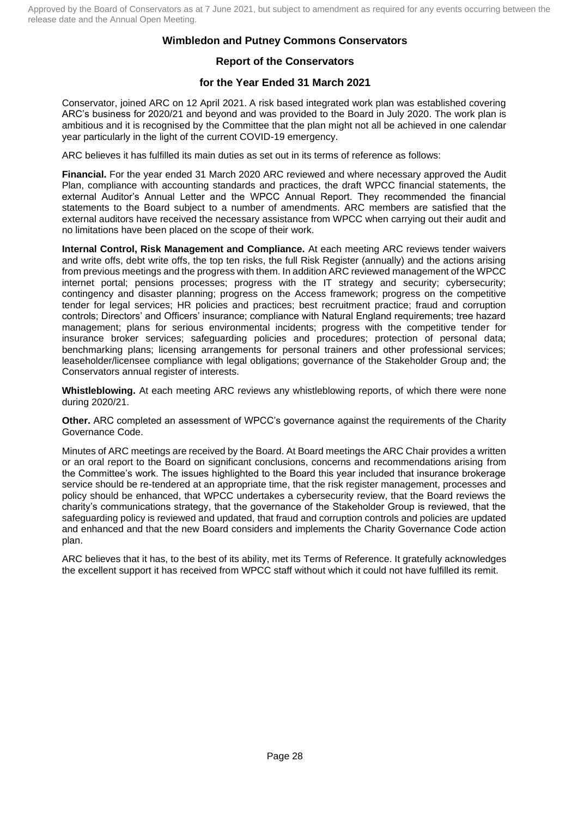## **Wimbledon and Putney Commons Conservators**

## **Report of the Conservators**

## **for the Year Ended 31 March 2021**

Conservator, joined ARC on 12 April 2021. A risk based integrated work plan was established covering ARC's business for 2020/21 and beyond and was provided to the Board in July 2020. The work plan is ambitious and it is recognised by the Committee that the plan might not all be achieved in one calendar year particularly in the light of the current COVID-19 emergency.

ARC believes it has fulfilled its main duties as set out in its terms of reference as follows:

**Financial.** For the year ended 31 March 2020 ARC reviewed and where necessary approved the Audit Plan, compliance with accounting standards and practices, the draft WPCC financial statements, the external Auditor's Annual Letter and the WPCC Annual Report. They recommended the financial statements to the Board subject to a number of amendments. ARC members are satisfied that the external auditors have received the necessary assistance from WPCC when carrying out their audit and no limitations have been placed on the scope of their work.

**Internal Control, Risk Management and Compliance.** At each meeting ARC reviews tender waivers and write offs, debt write offs, the top ten risks, the full Risk Register (annually) and the actions arising from previous meetings and the progress with them. In addition ARC reviewed management of the WPCC internet portal; pensions processes; progress with the IT strategy and security; cybersecurity; contingency and disaster planning; progress on the Access framework; progress on the competitive tender for legal services; HR policies and practices; best recruitment practice; fraud and corruption controls; Directors' and Officers' insurance; compliance with Natural England requirements; tree hazard management; plans for serious environmental incidents; progress with the competitive tender for insurance broker services; safeguarding policies and procedures; protection of personal data; benchmarking plans; licensing arrangements for personal trainers and other professional services; leaseholder/licensee compliance with legal obligations; governance of the Stakeholder Group and; the Conservators annual register of interests.

**Whistleblowing.** At each meeting ARC reviews any whistleblowing reports, of which there were none during 2020/21.

**Other.** ARC completed an assessment of WPCC's governance against the requirements of the Charity Governance Code.

Minutes of ARC meetings are received by the Board. At Board meetings the ARC Chair provides a written or an oral report to the Board on significant conclusions, concerns and recommendations arising from the Committee's work. The issues highlighted to the Board this year included that insurance brokerage service should be re-tendered at an appropriate time, that the risk register management, processes and policy should be enhanced, that WPCC undertakes a cybersecurity review, that the Board reviews the charity's communications strategy, that the governance of the Stakeholder Group is reviewed, that the safeguarding policy is reviewed and updated, that fraud and corruption controls and policies are updated and enhanced and that the new Board considers and implements the Charity Governance Code action plan.

ARC believes that it has, to the best of its ability, met its Terms of Reference. It gratefully acknowledges the excellent support it has received from WPCC staff without which it could not have fulfilled its remit.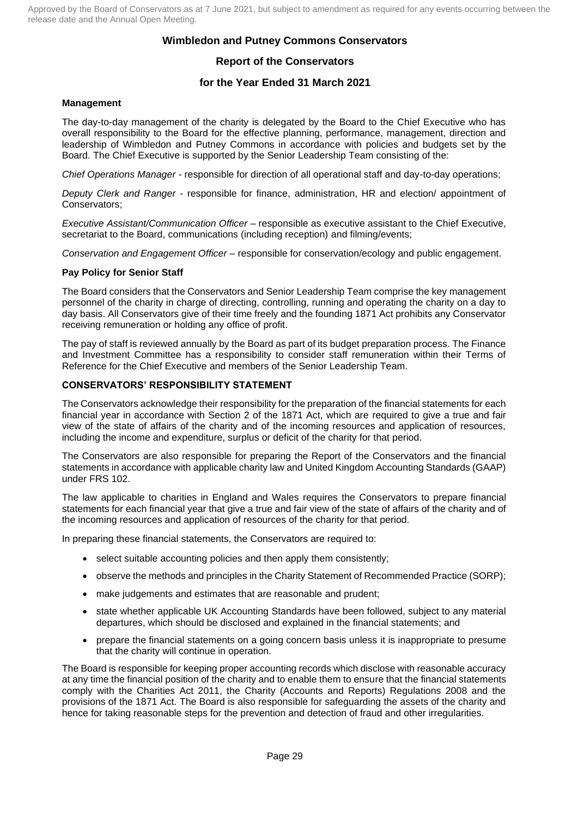## **Wimbledon and Putney Commons Conservators**

## **Report of the Conservators**

## **for the Year Ended 31 March 2021**

#### **Management**

The day-to-day management of the charity is delegated by the Board to the Chief Executive who has overall responsibility to the Board for the effective planning, performance, management, direction and leadership of Wimbledon and Putney Commons in accordance with policies and budgets set by the Board. The Chief Executive is supported by the Senior Leadership Team consisting of the:

*Chief Operations Manager* - responsible for direction of all operational staff and day-to-day operations;

*Deputy Clerk and Ranger* - responsible for finance, administration, HR and election/ appointment of Conservators;

*Executive Assistant/Communication Officer* – responsible as executive assistant to the Chief Executive, secretariat to the Board, communications (including reception) and filming/events;

*Conservation and Engagement Officer* – responsible for conservation/ecology and public engagement.

#### **Pay Policy for Senior Staff**

The Board considers that the Conservators and Senior Leadership Team comprise the key management personnel of the charity in charge of directing, controlling, running and operating the charity on a day to day basis. All Conservators give of their time freely and the founding 1871 Act prohibits any Conservator receiving remuneration or holding any office of profit.

The pay of staff is reviewed annually by the Board as part of its budget preparation process. The Finance and Investment Committee has a responsibility to consider staff remuneration within their Terms of Reference for the Chief Executive and members of the Senior Leadership Team.

#### **CONSERVATORS' RESPONSIBILITY STATEMENT**

The Conservators acknowledge their responsibility for the preparation of the financial statements for each financial year in accordance with Section 2 of the 1871 Act, which are required to give a true and fair view of the state of affairs of the charity and of the incoming resources and application of resources, including the income and expenditure, surplus or deficit of the charity for that period.

The Conservators are also responsible for preparing the Report of the Conservators and the financial statements in accordance with applicable charity law and United Kingdom Accounting Standards (GAAP) under FRS 102.

The law applicable to charities in England and Wales requires the Conservators to prepare financial statements for each financial year that give a true and fair view of the state of affairs of the charity and of the incoming resources and application of resources of the charity for that period.

In preparing these financial statements, the Conservators are required to:

- select suitable accounting policies and then apply them consistently;
- observe the methods and principles in the Charity Statement of Recommended Practice (SORP);
- make judgements and estimates that are reasonable and prudent;
- state whether applicable UK Accounting Standards have been followed, subject to any material departures, which should be disclosed and explained in the financial statements; and
- prepare the financial statements on a going concern basis unless it is inappropriate to presume that the charity will continue in operation.

The Board is responsible for keeping proper accounting records which disclose with reasonable accuracy at any time the financial position of the charity and to enable them to ensure that the financial statements comply with the Charities Act 2011, the Charity (Accounts and Reports) Regulations 2008 and the provisions of the 1871 Act. The Board is also responsible for safeguarding the assets of the charity and hence for taking reasonable steps for the prevention and detection of fraud and other irregularities.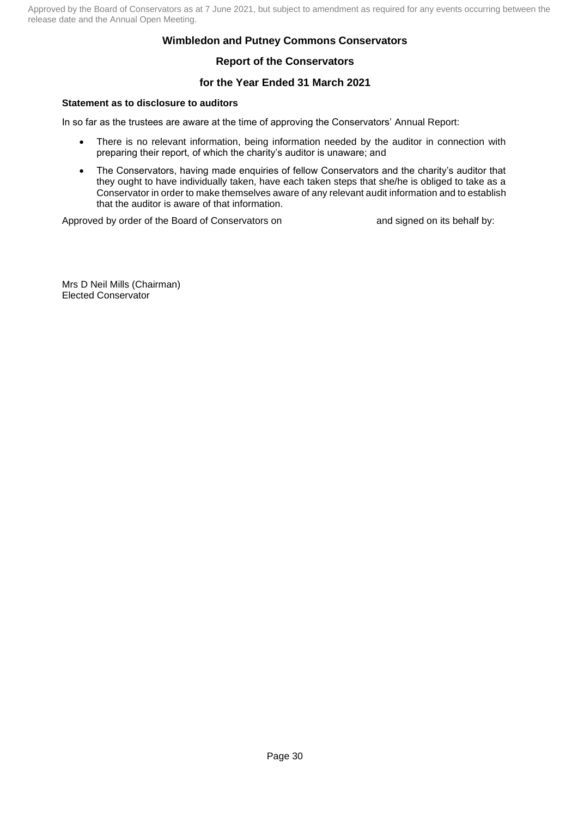## **Wimbledon and Putney Commons Conservators**

## **Report of the Conservators**

## **for the Year Ended 31 March 2021**

### **Statement as to disclosure to auditors**

In so far as the trustees are aware at the time of approving the Conservators' Annual Report:

- There is no relevant information, being information needed by the auditor in connection with preparing their report, of which the charity's auditor is unaware; and
- The Conservators, having made enquiries of fellow Conservators and the charity's auditor that they ought to have individually taken, have each taken steps that she/he is obliged to take as a Conservator in order to make themselves aware of any relevant audit information and to establish that the auditor is aware of that information.

Approved by order of the Board of Conservators on and signed on its behalf by:

Mrs D Neil Mills (Chairman) Elected Conservator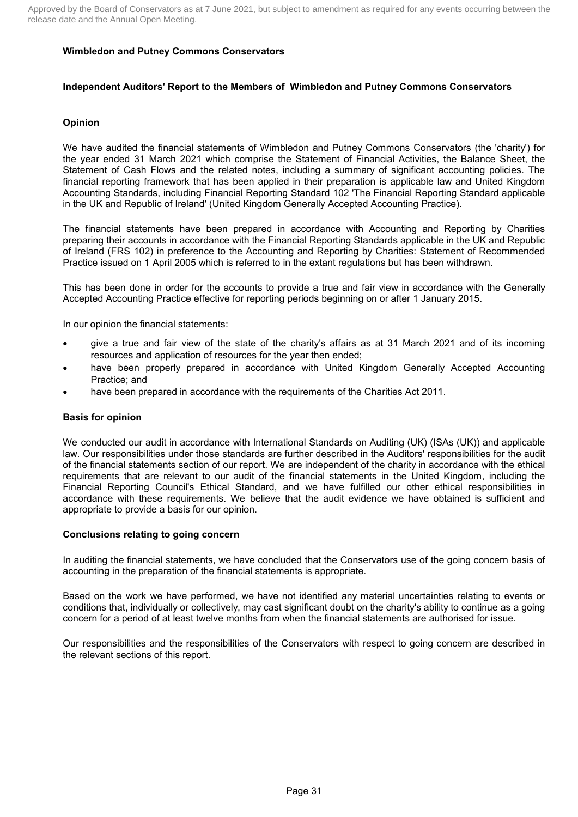#### **Independent Auditors' Report to the Members of Wimbledon and Putney Commons Conservators**

### **Opinion**

We have audited the financial statements of Wimbledon and Putney Commons Conservators (the 'charity') for the year ended 31 March 2021 which comprise the Statement of Financial Activities, the Balance Sheet, the Statement of Cash Flows and the related notes, including a summary of significant accounting policies. The financial reporting framework that has been applied in their preparation is applicable law and United Kingdom Accounting Standards, including Financial Reporting Standard 102 'The Financial Reporting Standard applicable in the UK and Republic of Ireland' (United Kingdom Generally Accepted Accounting Practice).

The financial statements have been prepared in accordance with Accounting and Reporting by Charities preparing their accounts in accordance with the Financial Reporting Standards applicable in the UK and Republic of Ireland (FRS 102) in preference to the Accounting and Reporting by Charities: Statement of Recommended Practice issued on 1 April 2005 which is referred to in the extant regulations but has been withdrawn.

This has been done in order for the accounts to provide a true and fair view in accordance with the Generally Accepted Accounting Practice effective for reporting periods beginning on or after 1 January 2015.

In our opinion the financial statements:

- give a true and fair view of the state of the charity's affairs as at 31 March 2021 and of its incoming resources and application of resources for the year then ended;
- have been properly prepared in accordance with United Kingdom Generally Accepted Accounting Practice; and
- have been prepared in accordance with the requirements of the Charities Act 2011.

#### **Basis for opinion**

We conducted our audit in accordance with International Standards on Auditing (UK) (ISAs (UK)) and applicable law. Our responsibilities under those standards are further described in the Auditors' responsibilities for the audit of the financial statements section of our report. We are independent of the charity in accordance with the ethical requirements that are relevant to our audit of the financial statements in the United Kingdom, including the Financial Reporting Council's Ethical Standard, and we have fulfilled our other ethical responsibilities in accordance with these requirements. We believe that the audit evidence we have obtained is sufficient and appropriate to provide a basis for our opinion.

#### **Conclusions relating to going concern**

In auditing the financial statements, we have concluded that the Conservators use of the going concern basis of accounting in the preparation of the financial statements is appropriate.

Based on the work we have performed, we have not identified any material uncertainties relating to events or conditions that, individually or collectively, may cast significant doubt on the charity's ability to continue as a going concern for a period of at least twelve months from when the financial statements are authorised for issue.

Our responsibilities and the responsibilities of the Conservators with respect to going concern are described in the relevant sections of this report.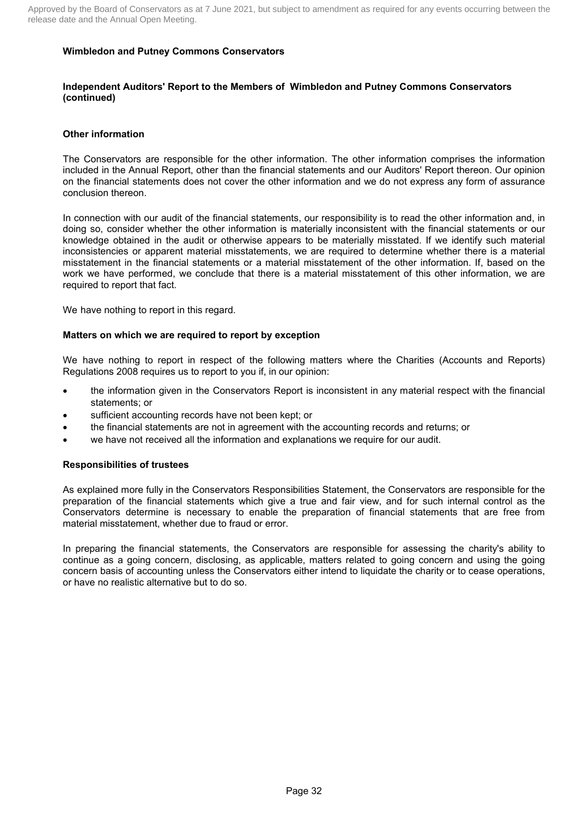#### **Independent Auditors' Report to the Members of Wimbledon and Putney Commons Conservators (continued)**

#### **Other information**

The Conservators are responsible for the other information. The other information comprises the information included in the Annual Report, other than the financial statements and our Auditors' Report thereon. Our opinion on the financial statements does not cover the other information and we do not express any form of assurance conclusion thereon.

In connection with our audit of the financial statements, our responsibility is to read the other information and, in doing so, consider whether the other information is materially inconsistent with the financial statements or our knowledge obtained in the audit or otherwise appears to be materially misstated. If we identify such material inconsistencies or apparent material misstatements, we are required to determine whether there is a material misstatement in the financial statements or a material misstatement of the other information. If, based on the work we have performed, we conclude that there is a material misstatement of this other information, we are required to report that fact.

We have nothing to report in this regard.

#### **Matters on which we are required to report by exception**

We have nothing to report in respect of the following matters where the Charities (Accounts and Reports) Regulations 2008 requires us to report to you if, in our opinion:

- the information given in the Conservators Report is inconsistent in any material respect with the financial statements; or
- sufficient accounting records have not been kept; or
- the financial statements are not in agreement with the accounting records and returns; or
- we have not received all the information and explanations we require for our audit.

#### **Responsibilities of trustees**

As explained more fully in the Conservators Responsibilities Statement, the Conservators are responsible for the preparation of the financial statements which give a true and fair view, and for such internal control as the Conservators determine is necessary to enable the preparation of financial statements that are free from material misstatement, whether due to fraud or error.

In preparing the financial statements, the Conservators are responsible for assessing the charity's ability to continue as a going concern, disclosing, as applicable, matters related to going concern and using the going concern basis of accounting unless the Conservators either intend to liquidate the charity or to cease operations, or have no realistic alternative but to do so.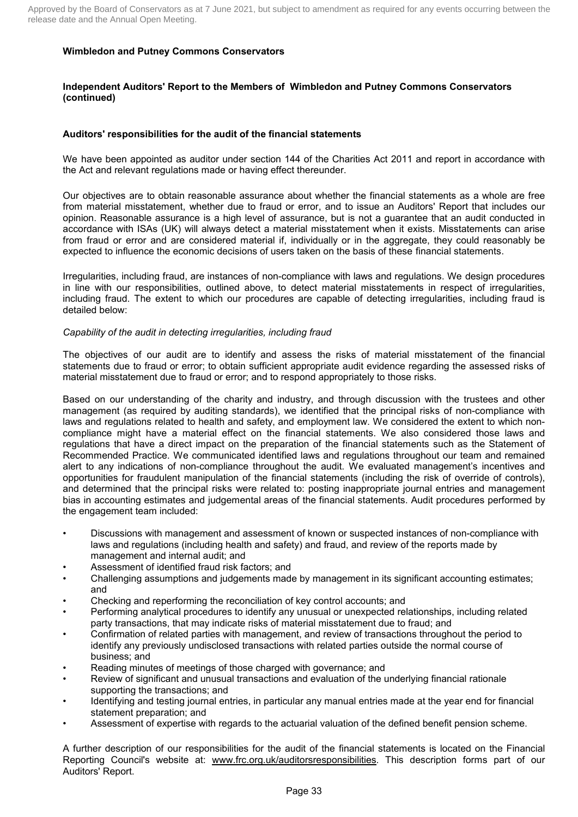#### **Independent Auditors' Report to the Members of Wimbledon and Putney Commons Conservators (continued)**

### **Auditors' responsibilities for the audit of the financial statements**

We have been appointed as auditor under section 144 of the Charities Act 2011 and report in accordance with the Act and relevant regulations made or having effect thereunder.

Our objectives are to obtain reasonable assurance about whether the financial statements as a whole are free from material misstatement, whether due to fraud or error, and to issue an Auditors' Report that includes our opinion. Reasonable assurance is a high level of assurance, but is not a guarantee that an audit conducted in accordance with ISAs (UK) will always detect a material misstatement when it exists. Misstatements can arise from fraud or error and are considered material if, individually or in the aggregate, they could reasonably be expected to influence the economic decisions of users taken on the basis of these financial statements.

Irregularities, including fraud, are instances of non-compliance with laws and regulations. We design procedures in line with our responsibilities, outlined above, to detect material misstatements in respect of irregularities, including fraud. The extent to which our procedures are capable of detecting irregularities, including fraud is detailed below:

#### *Capability of the audit in detecting irregularities, including fraud*

The objectives of our audit are to identify and assess the risks of material misstatement of the financial statements due to fraud or error; to obtain sufficient appropriate audit evidence regarding the assessed risks of material misstatement due to fraud or error; and to respond appropriately to those risks.

Based on our understanding of the charity and industry, and through discussion with the trustees and other management (as required by auditing standards), we identified that the principal risks of non-compliance with laws and regulations related to health and safety, and employment law. We considered the extent to which noncompliance might have a material effect on the financial statements. We also considered those laws and regulations that have a direct impact on the preparation of the financial statements such as the Statement of Recommended Practice. We communicated identified laws and regulations throughout our team and remained alert to any indications of non-compliance throughout the audit. We evaluated management's incentives and opportunities for fraudulent manipulation of the financial statements (including the risk of override of controls), and determined that the principal risks were related to: posting inappropriate journal entries and management bias in accounting estimates and judgemental areas of the financial statements. Audit procedures performed by the engagement team included:

- Discussions with management and assessment of known or suspected instances of non-compliance with laws and regulations (including health and safety) and fraud, and review of the reports made by management and internal audit; and
- Assessment of identified fraud risk factors; and
- Challenging assumptions and judgements made by management in its significant accounting estimates; and
- Checking and reperforming the reconciliation of key control accounts; and
- Performing analytical procedures to identify any unusual or unexpected relationships, including related party transactions, that may indicate risks of material misstatement due to fraud; and
- Confirmation of related parties with management, and review of transactions throughout the period to identify any previously undisclosed transactions with related parties outside the normal course of business; and
- Reading minutes of meetings of those charged with governance; and
- Review of significant and unusual transactions and evaluation of the underlying financial rationale supporting the transactions; and
- Identifying and testing journal entries, in particular any manual entries made at the year end for financial statement preparation; and
- Assessment of expertise with regards to the actuarial valuation of the defined benefit pension scheme.

A further description of our responsibilities for the audit of the financial statements is located on the Financial Reporting Council's website at: www.frc.org.uk/auditorsresponsibilities. This description forms part of our Auditors' Report.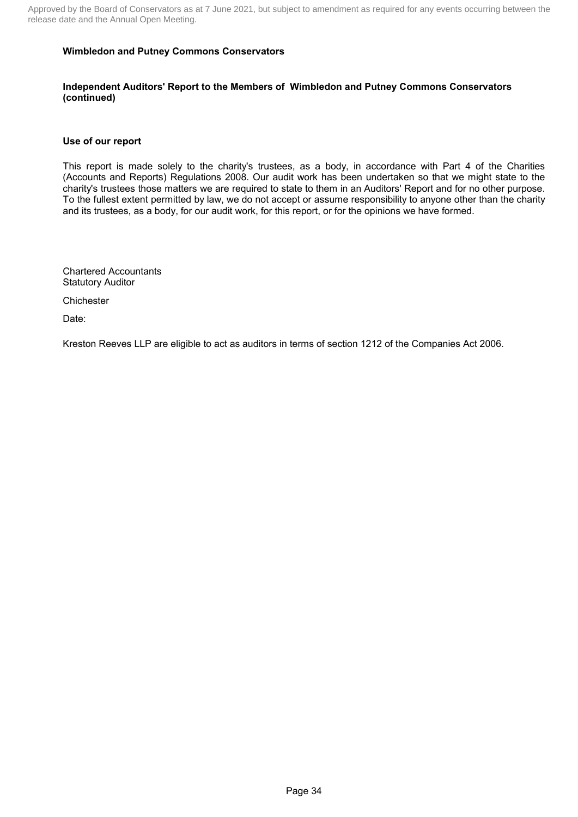### **Wimbledon and Putney Commons Conservators**

#### **Independent Auditors' Report to the Members of Wimbledon and Putney Commons Conservators (continued)**

#### **Use of our report**

This report is made solely to the charity's trustees, as a body, in accordance with Part 4 of the Charities (Accounts and Reports) Regulations 2008. Our audit work has been undertaken so that we might state to the charity's trustees those matters we are required to state to them in an Auditors' Report and for no other purpose. To the fullest extent permitted by law, we do not accept or assume responsibility to anyone other than the charity and its trustees, as a body, for our audit work, for this report, or for the opinions we have formed.

Chartered Accountants Statutory Auditor

**Chichester** 

Date:

Kreston Reeves LLP are eligible to act as auditors in terms of section 1212 of the Companies Act 2006.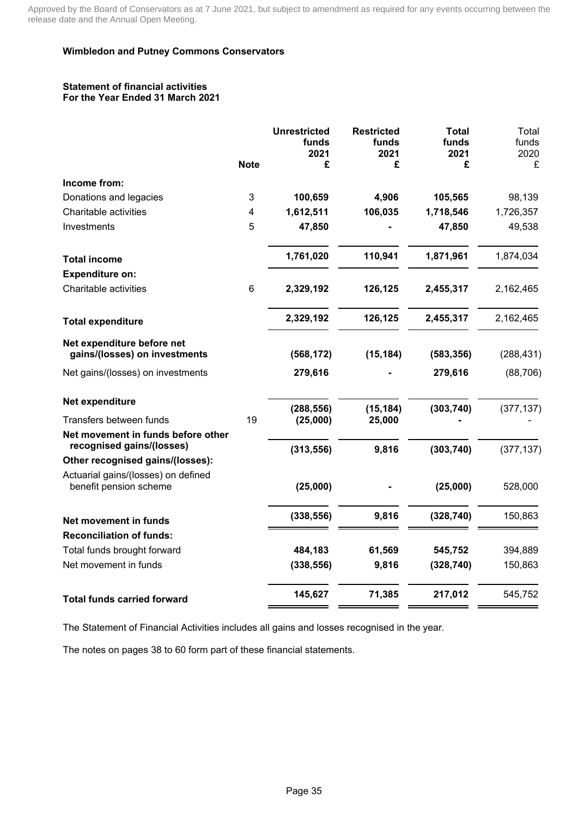#### **Statement of financial activities For the Year Ended 31 March 2021**

|    | <b>Unrestricted</b><br>funds<br>2021 | <b>Restricted</b><br>funds<br>2021                                                     | <b>Total</b><br>funds<br>2021                                   | Total<br>funds<br>2020                                                     |
|----|--------------------------------------|----------------------------------------------------------------------------------------|-----------------------------------------------------------------|----------------------------------------------------------------------------|
|    |                                      |                                                                                        |                                                                 | £                                                                          |
|    |                                      |                                                                                        |                                                                 |                                                                            |
|    |                                      |                                                                                        |                                                                 | 98,139                                                                     |
|    |                                      |                                                                                        |                                                                 | 1,726,357                                                                  |
|    |                                      |                                                                                        |                                                                 | 49,538                                                                     |
|    | 1,761,020                            | 110,941                                                                                | 1,871,961                                                       | 1,874,034                                                                  |
|    |                                      |                                                                                        |                                                                 |                                                                            |
| 6  | 2,329,192                            | 126,125                                                                                | 2,455,317                                                       | 2,162,465                                                                  |
|    | 2,329,192                            | 126,125                                                                                | 2,455,317                                                       | 2,162,465                                                                  |
|    | (568, 172)                           | (15, 184)                                                                              | (583, 356)                                                      | (288, 431)                                                                 |
|    | 279,616                              |                                                                                        | 279,616                                                         | (88, 706)                                                                  |
|    |                                      |                                                                                        |                                                                 | (377, 137)                                                                 |
| 19 |                                      |                                                                                        |                                                                 |                                                                            |
|    |                                      |                                                                                        |                                                                 |                                                                            |
|    |                                      |                                                                                        |                                                                 | (377, 137)                                                                 |
|    |                                      |                                                                                        |                                                                 |                                                                            |
|    | (25,000)                             |                                                                                        | (25,000)                                                        | 528,000                                                                    |
|    | (338, 556)                           | 9,816                                                                                  | (328, 740)                                                      | 150,863                                                                    |
|    |                                      |                                                                                        |                                                                 |                                                                            |
|    |                                      |                                                                                        |                                                                 | 394,889                                                                    |
|    | (338, 556)                           | 9,816                                                                                  | (328, 740)                                                      | 150,863                                                                    |
|    | 145,627                              | 71,385                                                                                 | 217,012                                                         | 545,752                                                                    |
|    | <b>Note</b><br>3<br>4<br>5           | £<br>100,659<br>1,612,511<br>47,850<br>(288, 556)<br>(25,000)<br>(313, 556)<br>484,183 | £<br>4,906<br>106,035<br>(15, 184)<br>25,000<br>9,816<br>61,569 | £<br>105,565<br>1,718,546<br>47,850<br>(303, 740)<br>(303, 740)<br>545,752 |

The Statement of Financial Activities includes all gains and losses recognised in the year.

The notes on pages 38 to 60 form part of these financial statements.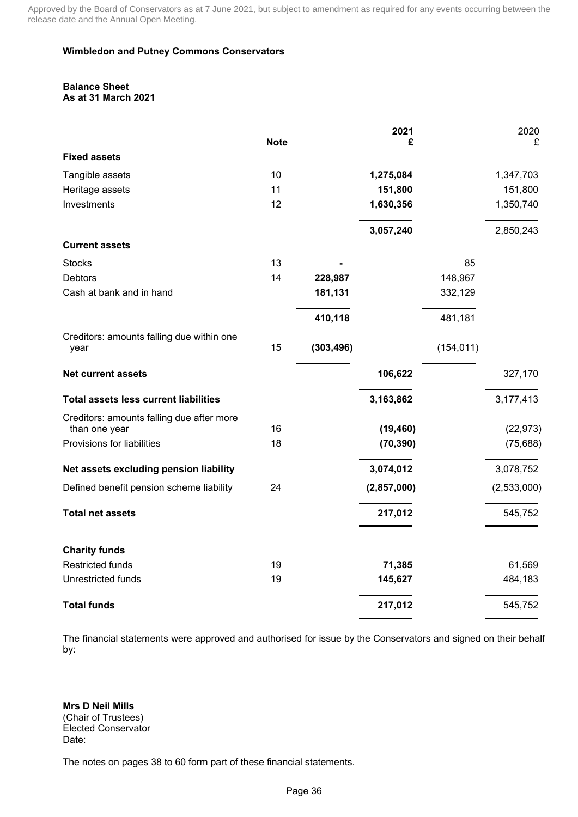### **Wimbledon and Putney Commons Conservators**

#### **Balance Sheet As at 31 March 2021**

|                                              |             |            | 2021        |            | 2020        |
|----------------------------------------------|-------------|------------|-------------|------------|-------------|
| <b>Fixed assets</b>                          | <b>Note</b> |            | £           |            | £           |
|                                              |             |            |             |            |             |
| Tangible assets                              | 10          |            | 1,275,084   |            | 1,347,703   |
| Heritage assets                              | 11          |            | 151,800     |            | 151,800     |
| Investments                                  | 12          |            | 1,630,356   |            | 1,350,740   |
|                                              |             |            | 3,057,240   |            | 2,850,243   |
| <b>Current assets</b>                        |             |            |             |            |             |
| <b>Stocks</b>                                | 13          |            |             | 85         |             |
| <b>Debtors</b>                               | 14          | 228,987    |             | 148,967    |             |
| Cash at bank and in hand                     |             | 181,131    |             | 332,129    |             |
|                                              |             | 410,118    |             | 481,181    |             |
| Creditors: amounts falling due within one    |             |            |             |            |             |
| year                                         | 15          | (303, 496) |             | (154, 011) |             |
| <b>Net current assets</b>                    |             |            | 106,622     |            | 327,170     |
| <b>Total assets less current liabilities</b> |             |            | 3,163,862   |            | 3,177,413   |
| Creditors: amounts falling due after more    |             |            |             |            |             |
| than one year                                | 16          |            | (19, 460)   |            | (22, 973)   |
| Provisions for liabilities                   | 18          |            | (70, 390)   |            | (75, 688)   |
| Net assets excluding pension liability       |             |            | 3,074,012   |            | 3,078,752   |
| Defined benefit pension scheme liability     | 24          |            | (2,857,000) |            | (2,533,000) |
| <b>Total net assets</b>                      |             |            | 217,012     |            | 545,752     |
|                                              |             |            |             |            |             |
| <b>Charity funds</b>                         |             |            |             |            |             |
| <b>Restricted funds</b>                      | 19          |            | 71,385      |            | 61,569      |
| Unrestricted funds                           | 19          |            | 145,627     |            | 484,183     |
| <b>Total funds</b>                           |             |            | 217,012     |            | 545,752     |

The financial statements were approved and authorised for issue by the Conservators and signed on their behalf by:

**Mrs D Neil Mills** (Chair of Trustees) Elected Conservator Date:

The notes on pages 38 to 60 form part of these financial statements.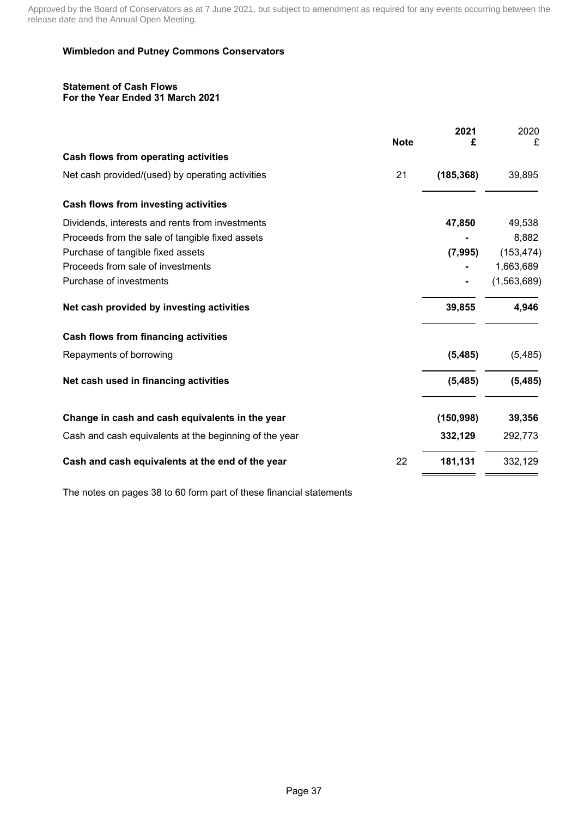### **Wimbledon and Putney Commons Conservators**

#### **Statement of Cash Flows For the Year Ended 31 March 2021**

|                                                        |             | 2021       | 2020        |
|--------------------------------------------------------|-------------|------------|-------------|
|                                                        | <b>Note</b> | £          | £           |
| Cash flows from operating activities                   |             |            |             |
| Net cash provided/(used) by operating activities       | 21          | (185, 368) | 39,895      |
| Cash flows from investing activities                   |             |            |             |
| Dividends, interests and rents from investments        |             | 47,850     | 49,538      |
| Proceeds from the sale of tangible fixed assets        |             |            | 8,882       |
| Purchase of tangible fixed assets                      |             | (7, 995)   | (153, 474)  |
| Proceeds from sale of investments                      |             |            | 1,663,689   |
| Purchase of investments                                |             |            | (1,563,689) |
| Net cash provided by investing activities              |             | 39,855     | 4,946       |
| Cash flows from financing activities                   |             |            |             |
| Repayments of borrowing                                |             | (5, 485)   | (5,485)     |
| Net cash used in financing activities                  |             | (5, 485)   | (5, 485)    |
| Change in cash and cash equivalents in the year        |             | (150, 998) | 39,356      |
| Cash and cash equivalents at the beginning of the year |             | 332,129    | 292,773     |
| Cash and cash equivalents at the end of the year       | 22          | 181,131    | 332,129     |
|                                                        |             |            |             |

The notes on pages 38 to 60 form part of these financial statements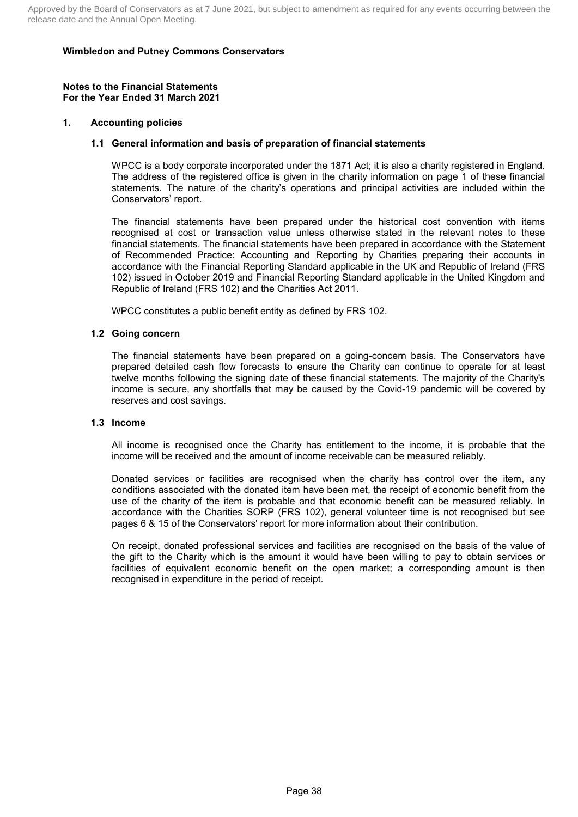#### **Notes to the Financial Statements For the Year Ended 31 March 2021**

### **1. Accounting policies**

### **1.1 General information and basis of preparation of financial statements**

WPCC is a body corporate incorporated under the 1871 Act; it is also a charity registered in England. The address of the registered office is given in the charity information on page 1 of these financial statements. The nature of the charity's operations and principal activities are included within the Conservators' report.

The financial statements have been prepared under the historical cost convention with items recognised at cost or transaction value unless otherwise stated in the relevant notes to these financial statements. The financial statements have been prepared in accordance with the Statement of Recommended Practice: Accounting and Reporting by Charities preparing their accounts in accordance with the Financial Reporting Standard applicable in the UK and Republic of Ireland (FRS 102) issued in October 2019 and Financial Reporting Standard applicable in the United Kingdom and Republic of Ireland (FRS 102) and the Charities Act 2011.

WPCC constitutes a public benefit entity as defined by FRS 102.

#### **1.2 Going concern**

The financial statements have been prepared on a going-concern basis. The Conservators have prepared detailed cash flow forecasts to ensure the Charity can continue to operate for at least twelve months following the signing date of these financial statements. The majority of the Charity's income is secure, any shortfalls that may be caused by the Covid-19 pandemic will be covered by reserves and cost savings.

#### **1.3 Income**

All income is recognised once the Charity has entitlement to the income, it is probable that the income will be received and the amount of income receivable can be measured reliably.

Donated services or facilities are recognised when the charity has control over the item, any conditions associated with the donated item have been met, the receipt of economic benefit from the use of the charity of the item is probable and that economic benefit can be measured reliably. In accordance with the Charities SORP (FRS 102), general volunteer time is not recognised but see pages 6 & 15 of the Conservators' report for more information about their contribution.

On receipt, donated professional services and facilities are recognised on the basis of the value of the gift to the Charity which is the amount it would have been willing to pay to obtain services or facilities of equivalent economic benefit on the open market; a corresponding amount is then recognised in expenditure in the period of receipt.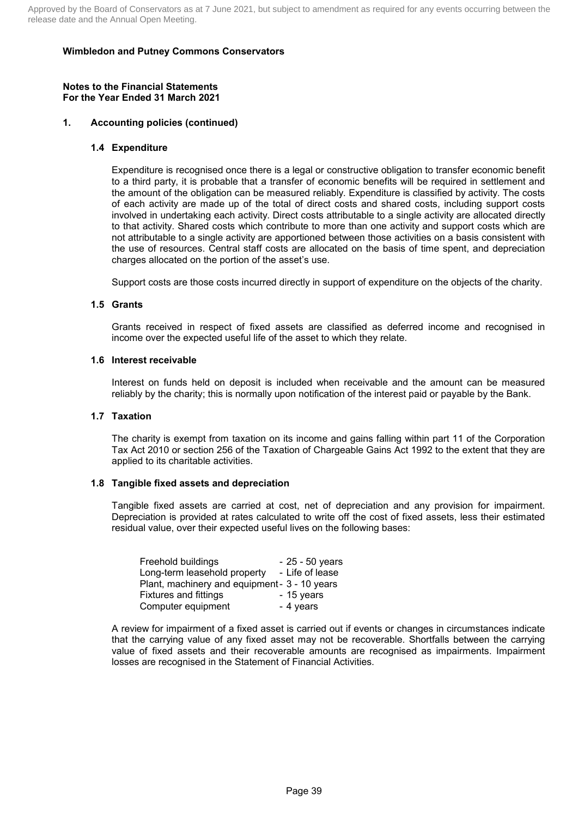#### **Notes to the Financial Statements For the Year Ended 31 March 2021**

### **1. Accounting policies (continued)**

#### **1.4 Expenditure**

Expenditure is recognised once there is a legal or constructive obligation to transfer economic benefit to a third party, it is probable that a transfer of economic benefits will be required in settlement and the amount of the obligation can be measured reliably. Expenditure is classified by activity. The costs of each activity are made up of the total of direct costs and shared costs, including support costs involved in undertaking each activity. Direct costs attributable to a single activity are allocated directly to that activity. Shared costs which contribute to more than one activity and support costs which are not attributable to a single activity are apportioned between those activities on a basis consistent with the use of resources. Central staff costs are allocated on the basis of time spent, and depreciation charges allocated on the portion of the asset's use.

Support costs are those costs incurred directly in support of expenditure on the objects of the charity.

#### **1.5 Grants**

Grants received in respect of fixed assets are classified as deferred income and recognised in income over the expected useful life of the asset to which they relate.

#### **1.6 Interest receivable**

Interest on funds held on deposit is included when receivable and the amount can be measured reliably by the charity; this is normally upon notification of the interest paid or payable by the Bank.

#### **1.7 Taxation**

The charity is exempt from taxation on its income and gains falling within part 11 of the Corporation Tax Act 2010 or section 256 of the Taxation of Chargeable Gains Act 1992 to the extent that they are applied to its charitable activities.

#### **1.8 Tangible fixed assets and depreciation**

Tangible fixed assets are carried at cost, net of depreciation and any provision for impairment. Depreciation is provided at rates calculated to write off the cost of fixed assets, less their estimated residual value, over their expected useful lives on the following bases:

| Freehold buildings                            | $-25 - 50$ years |
|-----------------------------------------------|------------------|
| Long-term leasehold property                  | - Life of lease  |
| Plant, machinery and equipment - 3 - 10 years |                  |
| Fixtures and fittings                         | - 15 years       |
| Computer equipment                            | - 4 years        |

A review for impairment of a fixed asset is carried out if events or changes in circumstances indicate that the carrying value of any fixed asset may not be recoverable. Shortfalls between the carrying value of fixed assets and their recoverable amounts are recognised as impairments. Impairment losses are recognised in the Statement of Financial Activities.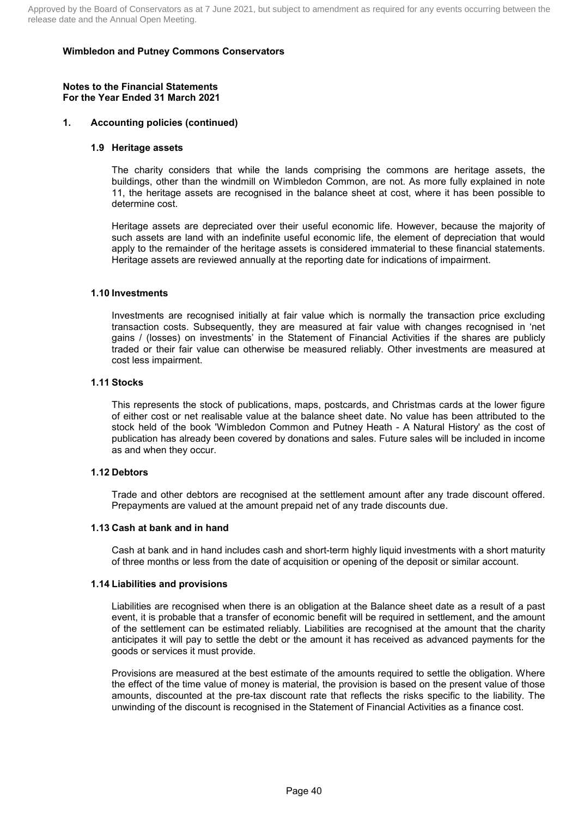#### **Notes to the Financial Statements For the Year Ended 31 March 2021**

### **1. Accounting policies (continued)**

#### **1.9 Heritage assets**

The charity considers that while the lands comprising the commons are heritage assets, the buildings, other than the windmill on Wimbledon Common, are not. As more fully explained in note 11, the heritage assets are recognised in the balance sheet at cost, where it has been possible to determine cost.

Heritage assets are depreciated over their useful economic life. However, because the majority of such assets are land with an indefinite useful economic life, the element of depreciation that would apply to the remainder of the heritage assets is considered immaterial to these financial statements. Heritage assets are reviewed annually at the reporting date for indications of impairment.

#### **1.10 Investments**

Investments are recognised initially at fair value which is normally the transaction price excluding transaction costs. Subsequently, they are measured at fair value with changes recognised in 'net gains / (losses) on investments' in the Statement of Financial Activities if the shares are publicly traded or their fair value can otherwise be measured reliably. Other investments are measured at cost less impairment.

### **1.11 Stocks**

This represents the stock of publications, maps, postcards, and Christmas cards at the lower figure of either cost or net realisable value at the balance sheet date. No value has been attributed to the stock held of the book 'Wimbledon Common and Putney Heath - A Natural History' as the cost of publication has already been covered by donations and sales. Future sales will be included in income as and when they occur.

### **1.12 Debtors**

Trade and other debtors are recognised at the settlement amount after any trade discount offered. Prepayments are valued at the amount prepaid net of any trade discounts due.

### **1.13 Cash at bank and in hand**

Cash at bank and in hand includes cash and short-term highly liquid investments with a short maturity of three months or less from the date of acquisition or opening of the deposit or similar account.

#### **1.14 Liabilities and provisions**

Liabilities are recognised when there is an obligation at the Balance sheet date as a result of a past event, it is probable that a transfer of economic benefit will be required in settlement, and the amount of the settlement can be estimated reliably. Liabilities are recognised at the amount that the charity anticipates it will pay to settle the debt or the amount it has received as advanced payments for the goods or services it must provide.

Provisions are measured at the best estimate of the amounts required to settle the obligation. Where the effect of the time value of money is material, the provision is based on the present value of those amounts, discounted at the pre-tax discount rate that reflects the risks specific to the liability. The unwinding of the discount is recognised in the Statement of Financial Activities as a finance cost.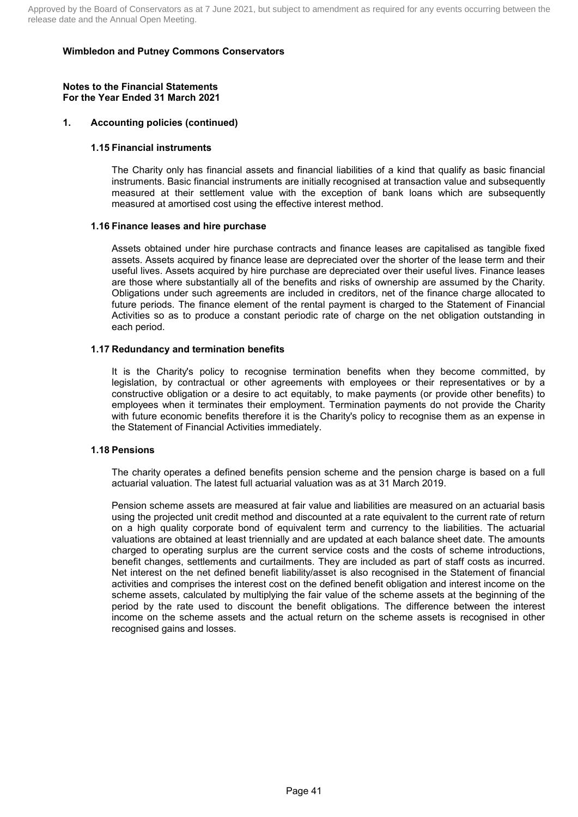#### **Notes to the Financial Statements For the Year Ended 31 March 2021**

### **1. Accounting policies (continued)**

### **1.15 Financial instruments**

The Charity only has financial assets and financial liabilities of a kind that qualify as basic financial instruments. Basic financial instruments are initially recognised at transaction value and subsequently measured at their settlement value with the exception of bank loans which are subsequently measured at amortised cost using the effective interest method.

### **1.16 Finance leases and hire purchase**

Assets obtained under hire purchase contracts and finance leases are capitalised as tangible fixed assets. Assets acquired by finance lease are depreciated over the shorter of the lease term and their useful lives. Assets acquired by hire purchase are depreciated over their useful lives. Finance leases are those where substantially all of the benefits and risks of ownership are assumed by the Charity. Obligations under such agreements are included in creditors, net of the finance charge allocated to future periods. The finance element of the rental payment is charged to the Statement of Financial Activities so as to produce a constant periodic rate of charge on the net obligation outstanding in each period.

### **1.17 Redundancy and termination benefits**

It is the Charity's policy to recognise termination benefits when they become committed, by legislation, by contractual or other agreements with employees or their representatives or by a constructive obligation or a desire to act equitably, to make payments (or provide other benefits) to employees when it terminates their employment. Termination payments do not provide the Charity with future economic benefits therefore it is the Charity's policy to recognise them as an expense in the Statement of Financial Activities immediately.

#### **1.18 Pensions**

The charity operates a defined benefits pension scheme and the pension charge is based on a full actuarial valuation. The latest full actuarial valuation was as at 31 March 2019.

Pension scheme assets are measured at fair value and liabilities are measured on an actuarial basis using the projected unit credit method and discounted at a rate equivalent to the current rate of return on a high quality corporate bond of equivalent term and currency to the liabilities. The actuarial valuations are obtained at least triennially and are updated at each balance sheet date. The amounts charged to operating surplus are the current service costs and the costs of scheme introductions, benefit changes, settlements and curtailments. They are included as part of staff costs as incurred. Net interest on the net defined benefit liability/asset is also recognised in the Statement of financial activities and comprises the interest cost on the defined benefit obligation and interest income on the scheme assets, calculated by multiplying the fair value of the scheme assets at the beginning of the period by the rate used to discount the benefit obligations. The difference between the interest income on the scheme assets and the actual return on the scheme assets is recognised in other recognised gains and losses.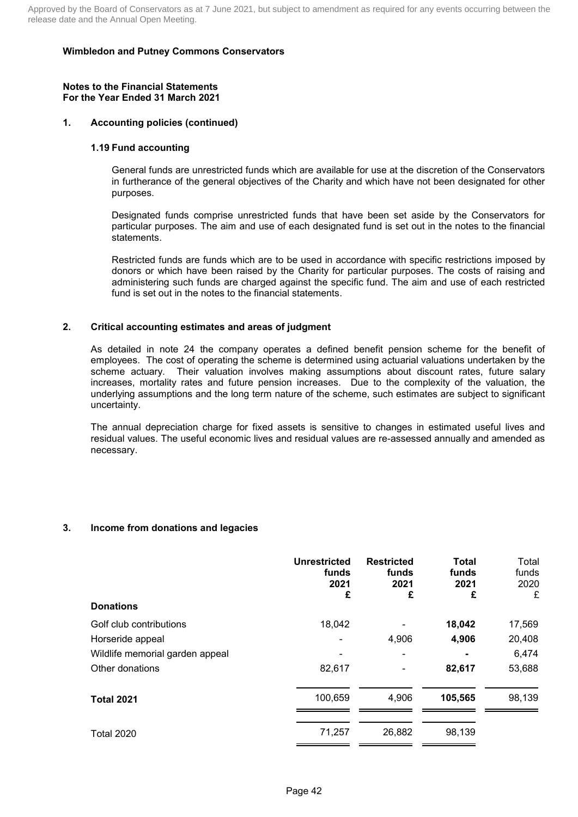#### **Notes to the Financial Statements For the Year Ended 31 March 2021**

### **1. Accounting policies (continued)**

### **1.19 Fund accounting**

General funds are unrestricted funds which are available for use at the discretion of the Conservators in furtherance of the general objectives of the Charity and which have not been designated for other purposes.

Designated funds comprise unrestricted funds that have been set aside by the Conservators for particular purposes. The aim and use of each designated fund is set out in the notes to the financial statements.

Restricted funds are funds which are to be used in accordance with specific restrictions imposed by donors or which have been raised by the Charity for particular purposes. The costs of raising and administering such funds are charged against the specific fund. The aim and use of each restricted fund is set out in the notes to the financial statements.

### **2. Critical accounting estimates and areas of judgment**

As detailed in note 24 the company operates a defined benefit pension scheme for the benefit of employees. The cost of operating the scheme is determined using actuarial valuations undertaken by the scheme actuary. Their valuation involves making assumptions about discount rates, future salary increases, mortality rates and future pension increases. Due to the complexity of the valuation, the underlying assumptions and the long term nature of the scheme, such estimates are subject to significant uncertainty.

The annual depreciation charge for fixed assets is sensitive to changes in estimated useful lives and residual values. The useful economic lives and residual values are re-assessed annually and amended as necessary.

## **3. Income from donations and legacies**

| <b>Donations</b>                | <b>Unrestricted</b><br>funds<br>2021<br>£ | <b>Restricted</b><br>funds<br>2021<br>£ | <b>Total</b><br>funds<br>2021<br>£ | Total<br>funds<br>2020<br>£ |
|---------------------------------|-------------------------------------------|-----------------------------------------|------------------------------------|-----------------------------|
|                                 |                                           |                                         |                                    |                             |
| Golf club contributions         | 18,042                                    |                                         | 18,042                             | 17,569                      |
| Horseride appeal                |                                           | 4,906                                   | 4,906                              | 20,408                      |
| Wildlife memorial garden appeal |                                           |                                         |                                    | 6,474                       |
| Other donations                 | 82,617                                    |                                         | 82,617                             | 53,688                      |
| <b>Total 2021</b>               | 100,659                                   | 4,906                                   | 105,565                            | 98,139                      |
| <b>Total 2020</b>               | 71,257                                    | 26,882                                  | 98,139                             |                             |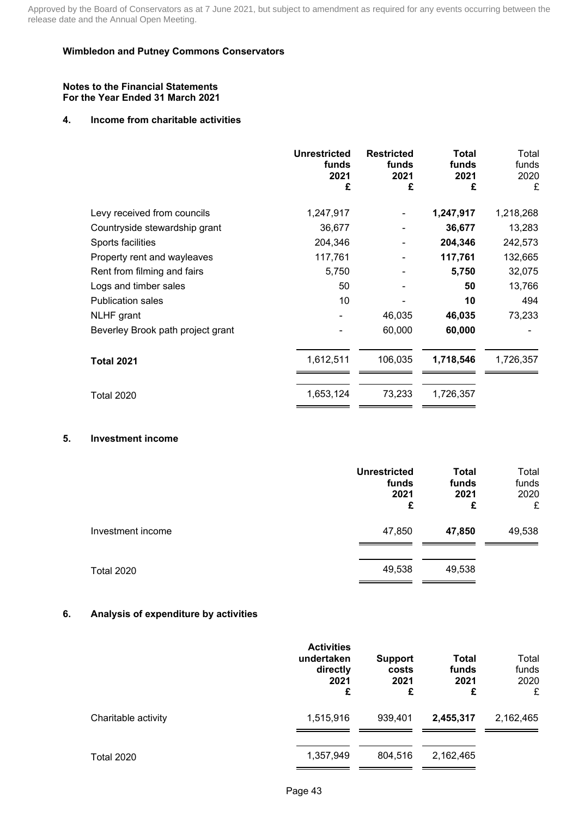#### **Notes to the Financial Statements For the Year Ended 31 March 2021**

### **4. Income from charitable activities**

|                                   | <b>Unrestricted</b><br>funds<br>2021<br>£ | <b>Restricted</b><br>funds<br>2021<br>£ | <b>Total</b><br>funds<br>2021<br>£ | Total<br>funds<br>2020<br>£ |
|-----------------------------------|-------------------------------------------|-----------------------------------------|------------------------------------|-----------------------------|
| Levy received from councils       | 1,247,917                                 |                                         | 1,247,917                          | 1,218,268                   |
| Countryside stewardship grant     | 36,677                                    |                                         | 36,677                             | 13,283                      |
| Sports facilities                 | 204,346                                   |                                         | 204,346                            | 242,573                     |
| Property rent and wayleaves       | 117,761                                   |                                         | 117,761                            | 132,665                     |
| Rent from filming and fairs       | 5,750                                     |                                         | 5,750                              | 32,075                      |
| Logs and timber sales             | 50                                        |                                         | 50                                 | 13,766                      |
| <b>Publication sales</b>          | 10                                        |                                         | 10                                 | 494                         |
| <b>NLHF</b> grant                 |                                           | 46,035                                  | 46,035                             | 73,233                      |
| Beverley Brook path project grant |                                           | 60,000                                  | 60,000                             |                             |
| <b>Total 2021</b>                 | 1,612,511                                 | 106,035                                 | 1,718,546                          | 1,726,357                   |
| <b>Total 2020</b>                 | 1,653,124                                 | 73,233                                  | 1,726,357                          |                             |

## **5. Investment income**

|                   | <b>Unrestricted</b><br>funds<br>2021<br>£ | <b>Total</b><br>funds<br>2021<br>£ | Total<br>funds<br>2020<br>£ |
|-------------------|-------------------------------------------|------------------------------------|-----------------------------|
| Investment income | 47,850                                    | 47,850                             | 49,538                      |
| <b>Total 2020</b> | 49,538                                    | 49,538                             |                             |

## **6. Analysis of expenditure by activities**

|                     | <b>Activities</b><br>undertaken<br>directly<br>2021<br>£ | <b>Support</b><br>costs<br>2021<br>£ | Total<br>funds<br>2021<br>£ | Total<br>funds<br>2020<br>£ |
|---------------------|----------------------------------------------------------|--------------------------------------|-----------------------------|-----------------------------|
| Charitable activity | 1,515,916                                                | 939,401                              | 2,455,317                   | 2,162,465                   |
| <b>Total 2020</b>   | 1,357,949                                                | 804,516                              | 2,162,465                   |                             |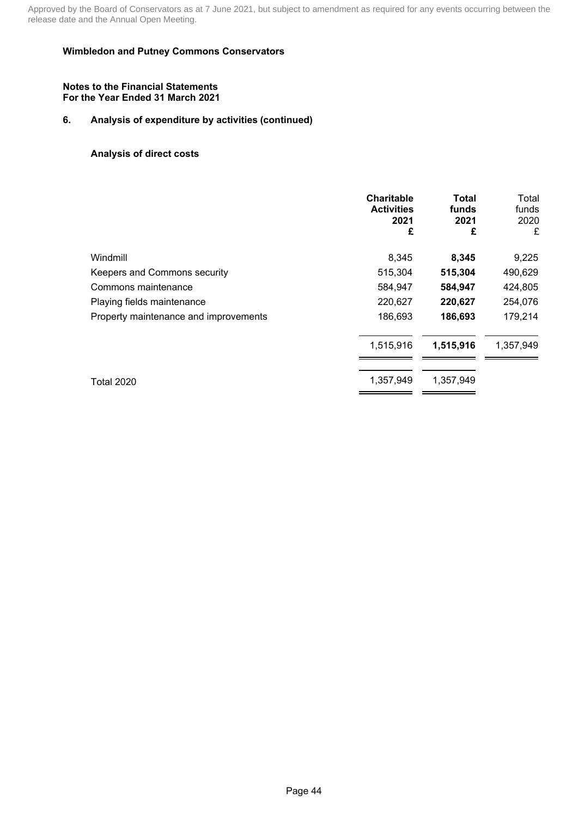### **Wimbledon and Putney Commons Conservators**

#### **Notes to the Financial Statements For the Year Ended 31 March 2021**

## **6. Analysis of expenditure by activities (continued)**

### **Analysis of direct costs**

|                                       | <b>Charitable</b><br><b>Activities</b><br>2021<br>£ | Total<br>funds<br>2021<br>£ | Total<br>funds<br>2020<br>£ |
|---------------------------------------|-----------------------------------------------------|-----------------------------|-----------------------------|
| Windmill                              | 8,345                                               | 8,345                       | 9,225                       |
| Keepers and Commons security          | 515,304                                             | 515,304                     | 490,629                     |
| Commons maintenance                   | 584,947                                             | 584,947                     | 424,805                     |
| Playing fields maintenance            | 220,627                                             | 220,627                     | 254,076                     |
| Property maintenance and improvements | 186,693                                             | 186,693                     | 179,214                     |
|                                       | 1,515,916                                           | 1,515,916                   | 1,357,949                   |
| <b>Total 2020</b>                     | 1,357,949                                           | 1,357,949                   |                             |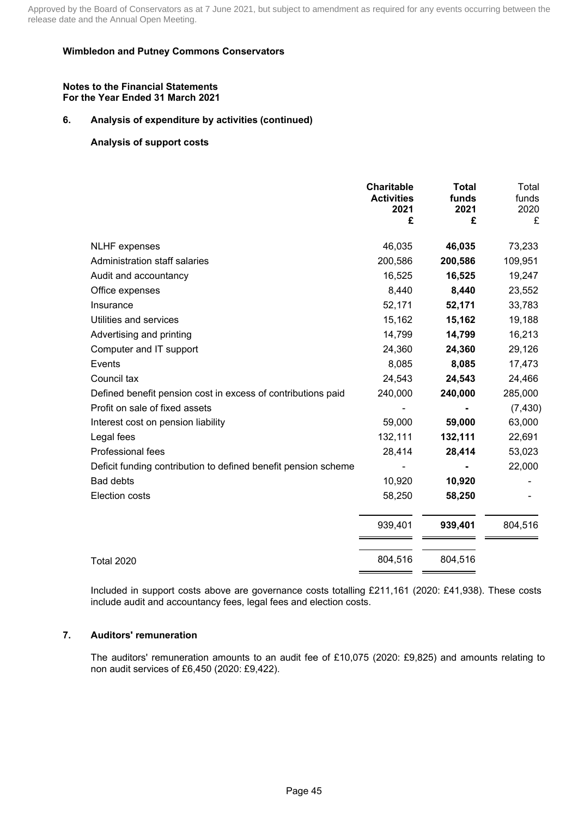### **Wimbledon and Putney Commons Conservators**

#### **Notes to the Financial Statements For the Year Ended 31 March 2021**

### **6. Analysis of expenditure by activities (continued)**

### **Analysis of support costs**

|                                                                | <b>Charitable</b><br><b>Activities</b><br>2021<br>£ | <b>Total</b><br>funds<br>2021<br>£ | Total<br>funds<br>2020<br>£ |
|----------------------------------------------------------------|-----------------------------------------------------|------------------------------------|-----------------------------|
| <b>NLHF</b> expenses                                           | 46,035                                              | 46,035                             | 73,233                      |
| Administration staff salaries                                  | 200,586                                             | 200,586                            | 109,951                     |
| Audit and accountancy                                          | 16,525                                              | 16,525                             | 19,247                      |
| Office expenses                                                | 8,440                                               | 8,440                              | 23,552                      |
| Insurance                                                      | 52,171                                              | 52,171                             | 33,783                      |
| Utilities and services                                         | 15,162                                              | 15,162                             | 19,188                      |
| Advertising and printing                                       | 14,799                                              | 14,799                             | 16,213                      |
| Computer and IT support                                        | 24,360                                              | 24,360                             | 29,126                      |
| Events                                                         | 8,085                                               | 8,085                              | 17,473                      |
| Council tax                                                    | 24,543                                              | 24,543                             | 24,466                      |
| Defined benefit pension cost in excess of contributions paid   | 240,000                                             | 240,000                            | 285,000                     |
| Profit on sale of fixed assets                                 |                                                     |                                    | (7, 430)                    |
| Interest cost on pension liability                             | 59,000                                              | 59,000                             | 63,000                      |
| Legal fees                                                     | 132,111                                             | 132,111                            | 22,691                      |
| Professional fees                                              | 28,414                                              | 28,414                             | 53,023                      |
| Deficit funding contribution to defined benefit pension scheme |                                                     |                                    | 22,000                      |
| <b>Bad debts</b>                                               | 10,920                                              | 10,920                             |                             |
| Election costs                                                 | 58,250                                              | 58,250                             |                             |
|                                                                | 939,401                                             | 939,401                            | 804,516                     |
| <b>Total 2020</b>                                              | 804,516                                             | 804,516                            |                             |

Included in support costs above are governance costs totalling £211,161 (2020: £41,938). These costs include audit and accountancy fees, legal fees and election costs.

### **7. Auditors' remuneration**

The auditors' remuneration amounts to an audit fee of £10,075 (2020: £9,825) and amounts relating to non audit services of £6,450 (2020: £9,422).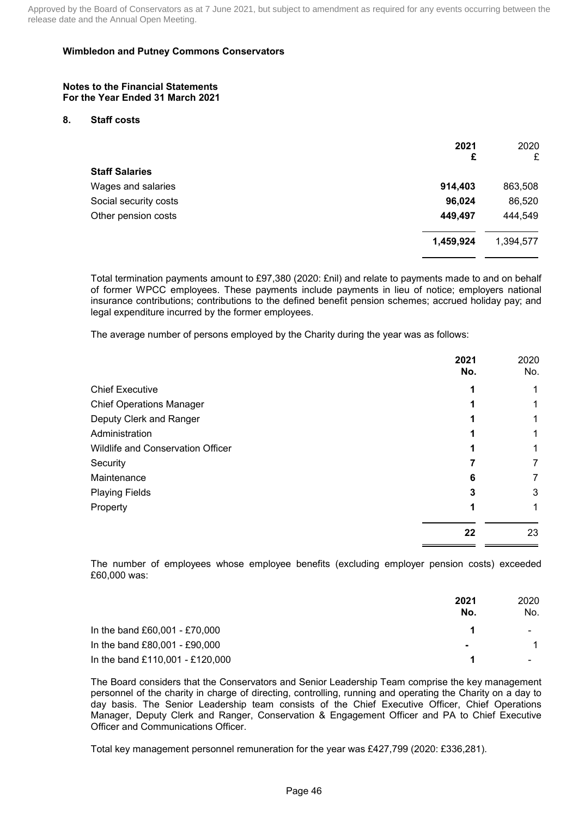#### **Notes to the Financial Statements For the Year Ended 31 March 2021**

#### **8. Staff costs**

|                       | 2021<br>£ | 2020<br>£ |
|-----------------------|-----------|-----------|
| <b>Staff Salaries</b> |           |           |
| Wages and salaries    | 914,403   | 863,508   |
| Social security costs | 96,024    | 86,520    |
| Other pension costs   | 449,497   | 444,549   |
|                       | 1,459,924 | 1,394,577 |

Total termination payments amount to £97,380 (2020: £nil) and relate to payments made to and on behalf of former WPCC employees. These payments include payments in lieu of notice; employers national insurance contributions; contributions to the defined benefit pension schemes; accrued holiday pay; and legal expenditure incurred by the former employees.

The average number of persons employed by the Charity during the year was as follows:

|                                   | 2021<br>No. | 2020<br>No. |
|-----------------------------------|-------------|-------------|
| <b>Chief Executive</b>            |             |             |
| <b>Chief Operations Manager</b>   |             |             |
| Deputy Clerk and Ranger           |             |             |
| Administration                    |             |             |
| Wildlife and Conservation Officer |             |             |
| Security                          |             |             |
| Maintenance                       | 6           |             |
| <b>Playing Fields</b>             |             | 3           |
| Property                          |             | 1           |
|                                   | 22          | 23          |

The number of employees whose employee benefits (excluding employer pension costs) exceeded £60,000 was:

|                                 | 2021<br>No.    | 2020<br>No.    |
|---------------------------------|----------------|----------------|
| In the band £60,001 - £70,000   |                | $\blacksquare$ |
| In the band £80,001 - £90,000   | $\blacksquare$ |                |
| In the band £110,001 - £120,000 |                |                |

The Board considers that the Conservators and Senior Leadership Team comprise the key management personnel of the charity in charge of directing, controlling, running and operating the Charity on a day to day basis. The Senior Leadership team consists of the Chief Executive Officer, Chief Operations Manager, Deputy Clerk and Ranger, Conservation & Engagement Officer and PA to Chief Executive Officer and Communications Officer.

Total key management personnel remuneration for the year was £427,799 (2020: £336,281).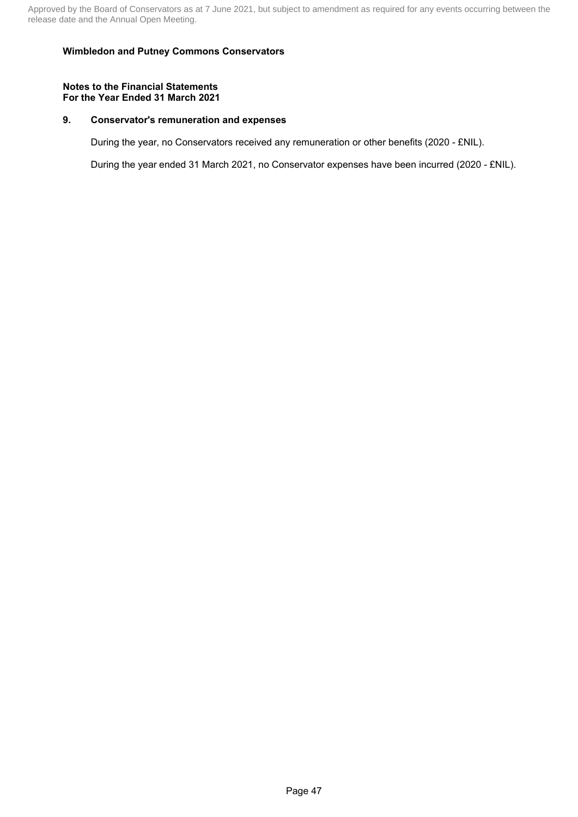#### **Notes to the Financial Statements For the Year Ended 31 March 2021**

### **9. Conservator's remuneration and expenses**

During the year, no Conservators received any remuneration or other benefits (2020 - £NIL).

During the year ended 31 March 2021, no Conservator expenses have been incurred (2020 - £NIL).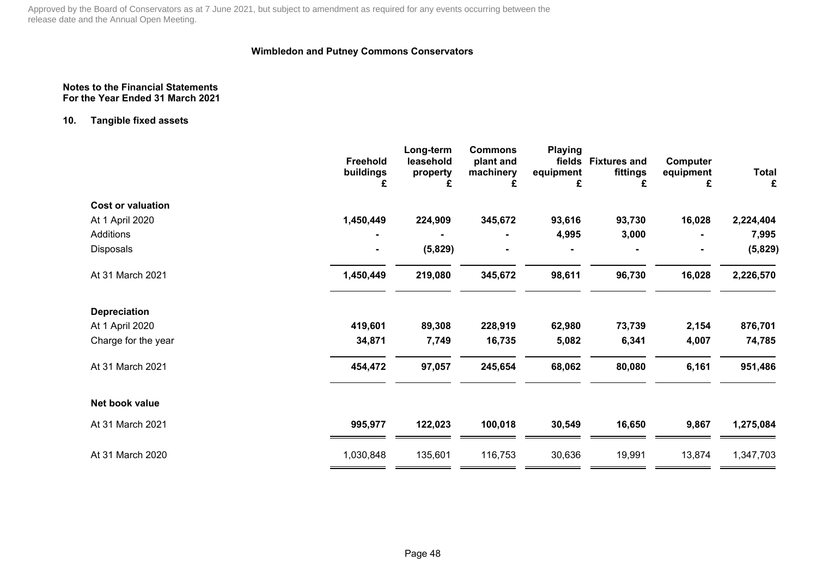## **Wimbledon and Putney Commons Conservators**

#### **Notes to the Financial StatementsFor the Year Ended 31 March 2021**

### **10. Tangible fixed assets**

|                          | Freehold<br>buildings | Long-term<br>leasehold<br>property | <b>Commons</b><br>plant and<br>machinery | <b>Playing</b><br>fields<br>equipment | <b>Fixtures and</b><br>fittings | Computer<br>equipment | <b>Total</b> |
|--------------------------|-----------------------|------------------------------------|------------------------------------------|---------------------------------------|---------------------------------|-----------------------|--------------|
|                          | £                     | £                                  | £                                        | £                                     | £                               | £                     | £            |
| <b>Cost or valuation</b> |                       |                                    |                                          |                                       |                                 |                       |              |
| At 1 April 2020          | 1,450,449             | 224,909                            | 345,672                                  | 93,616                                | 93,730                          | 16,028                | 2,224,404    |
| Additions                |                       |                                    |                                          | 4,995                                 | 3,000                           |                       | 7,995        |
| <b>Disposals</b>         | Ξ.                    | (5,829)                            | ۰                                        | $\blacksquare$                        |                                 |                       | (5,829)      |
| At 31 March 2021         | 1,450,449             | 219,080                            | 345,672                                  | 98,611                                | 96,730                          | 16,028                | 2,226,570    |
| <b>Depreciation</b>      |                       |                                    |                                          |                                       |                                 |                       |              |
| At 1 April 2020          | 419,601               | 89,308                             | 228,919                                  | 62,980                                | 73,739                          | 2,154                 | 876,701      |
| Charge for the year      | 34,871                | 7,749                              | 16,735                                   | 5,082                                 | 6,341                           | 4,007                 | 74,785       |
| At 31 March 2021         | 454,472               | 97,057                             | 245,654                                  | 68,062                                | 80,080                          | 6,161                 | 951,486      |
| Net book value           |                       |                                    |                                          |                                       |                                 |                       |              |
| At 31 March 2021         | 995,977               | 122,023                            | 100,018                                  | 30,549                                | 16,650                          | 9,867                 | 1,275,084    |
| At 31 March 2020         | 1,030,848             | 135,601                            | 116,753                                  | 30,636                                | 19,991                          | 13,874                | 1,347,703    |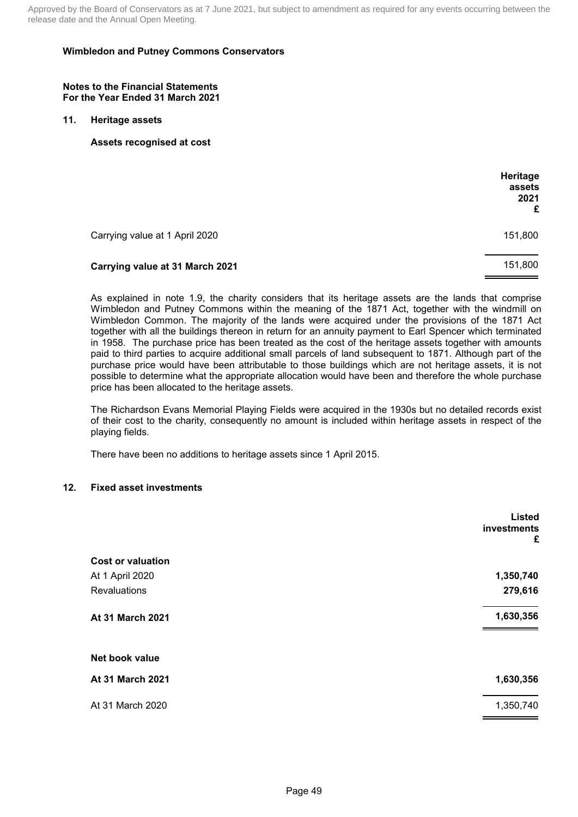### **Wimbledon and Putney Commons Conservators**

#### **Notes to the Financial Statements For the Year Ended 31 March 2021**

### **11. Heritage assets**

**Assets recognised at cost**

|                                 | Heritage<br>assets<br>2021<br>£ |
|---------------------------------|---------------------------------|
| Carrying value at 1 April 2020  | 151,800                         |
| Carrying value at 31 March 2021 | 151,800                         |

As explained in note 1.9, the charity considers that its heritage assets are the lands that comprise Wimbledon and Putney Commons within the meaning of the 1871 Act, together with the windmill on Wimbledon Common. The majority of the lands were acquired under the provisions of the 1871 Act together with all the buildings thereon in return for an annuity payment to Earl Spencer which terminated in 1958. The purchase price has been treated as the cost of the heritage assets together with amounts paid to third parties to acquire additional small parcels of land subsequent to 1871. Although part of the purchase price would have been attributable to those buildings which are not heritage assets, it is not possible to determine what the appropriate allocation would have been and therefore the whole purchase price has been allocated to the heritage assets.

The Richardson Evans Memorial Playing Fields were acquired in the 1930s but no detailed records exist of their cost to the charity, consequently no amount is included within heritage assets in respect of the playing fields.

There have been no additions to heritage assets since 1 April 2015.

#### **12. Fixed asset investments**

|                          | Listed<br>investments<br>£ |
|--------------------------|----------------------------|
| <b>Cost or valuation</b> |                            |
| At 1 April 2020          | 1,350,740                  |
| <b>Revaluations</b>      | 279,616                    |
| At 31 March 2021         | 1,630,356                  |
| Net book value           |                            |
| At 31 March 2021         | 1,630,356                  |
| At 31 March 2020         | 1,350,740                  |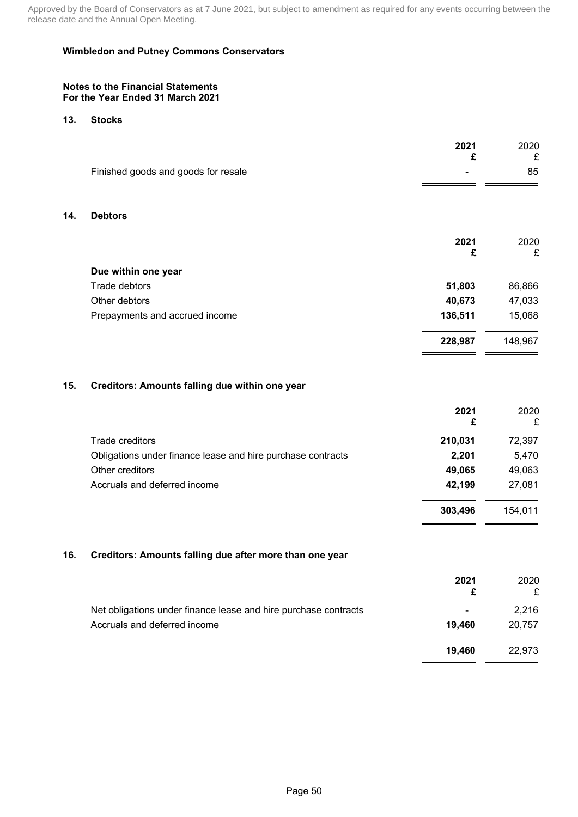#### **Notes to the Financial Statements For the Year Ended 31 March 2021**

### **13. Stocks**

**14. Debtors**

| Finished goods and goods for resale       |         |
|-------------------------------------------|---------|
|                                           | 85      |
|                                           |         |
| <b>Debtors</b>                            |         |
| 2021                                      | 2020    |
| £                                         | £       |
| Due within one year                       |         |
| Trade debtors<br>51,803                   | 86,866  |
| 40,673<br>Other debtors                   | 47,033  |
| 136,511<br>Prepayments and accrued income | 15,068  |
| 228,987                                   | 148,967 |

## **15. Creditors: Amounts falling due within one year**

|                                                             | 2021<br>£ | 2020<br>£ |
|-------------------------------------------------------------|-----------|-----------|
| Trade creditors                                             | 210,031   | 72,397    |
| Obligations under finance lease and hire purchase contracts | 2,201     | 5,470     |
| Other creditors                                             | 49,065    | 49,063    |
| Accruals and deferred income                                | 42,199    | 27,081    |
|                                                             | 303,496   | 154.011   |

## **16. Creditors: Amounts falling due after more than one year**

|                                                                 | 2021           | 2020<br>£ |
|-----------------------------------------------------------------|----------------|-----------|
| Net obligations under finance lease and hire purchase contracts | $\blacksquare$ | 2,216     |
| Accruals and deferred income                                    | 19.460         | 20,757    |
|                                                                 | 19.460         | 22.973    |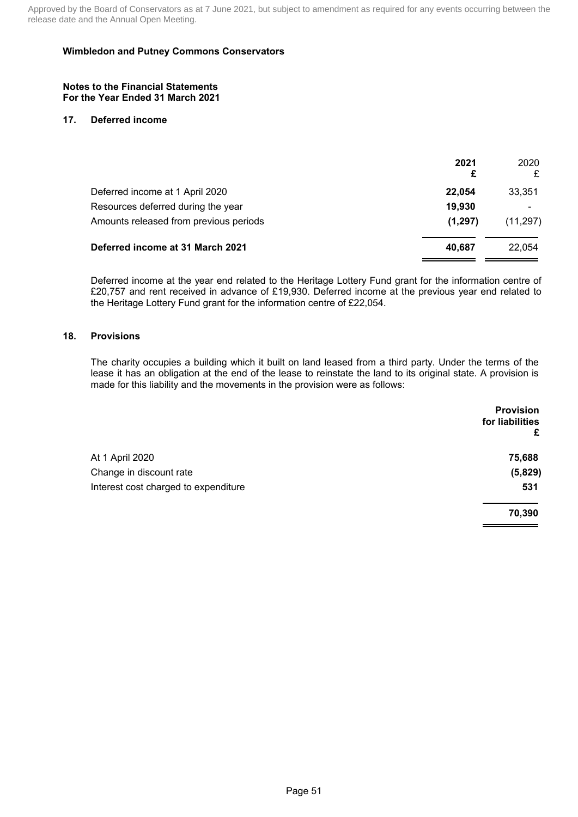#### **Notes to the Financial Statements For the Year Ended 31 March 2021**

### **17. Deferred income**

|                                        | 2021     | 2020<br>£ |
|----------------------------------------|----------|-----------|
| Deferred income at 1 April 2020        | 22.054   | 33,351    |
| Resources deferred during the year     | 19,930   |           |
| Amounts released from previous periods | (1, 297) | (11, 297) |
| Deferred income at 31 March 2021       | 40.687   | 22.054    |

Deferred income at the year end related to the Heritage Lottery Fund grant for the information centre of £20,757 and rent received in advance of £19,930. Deferred income at the previous year end related to the Heritage Lottery Fund grant for the information centre of £22,054.

### **18. Provisions**

The charity occupies a building which it built on land leased from a third party. Under the terms of the lease it has an obligation at the end of the lease to reinstate the land to its original state. A provision is made for this liability and the movements in the provision were as follows:

|                                      | <b>Provision</b><br>for liabilities |
|--------------------------------------|-------------------------------------|
|                                      | £                                   |
| At 1 April 2020                      | 75,688                              |
| Change in discount rate              | (5,829)                             |
| Interest cost charged to expenditure | 531                                 |
|                                      | 70,390                              |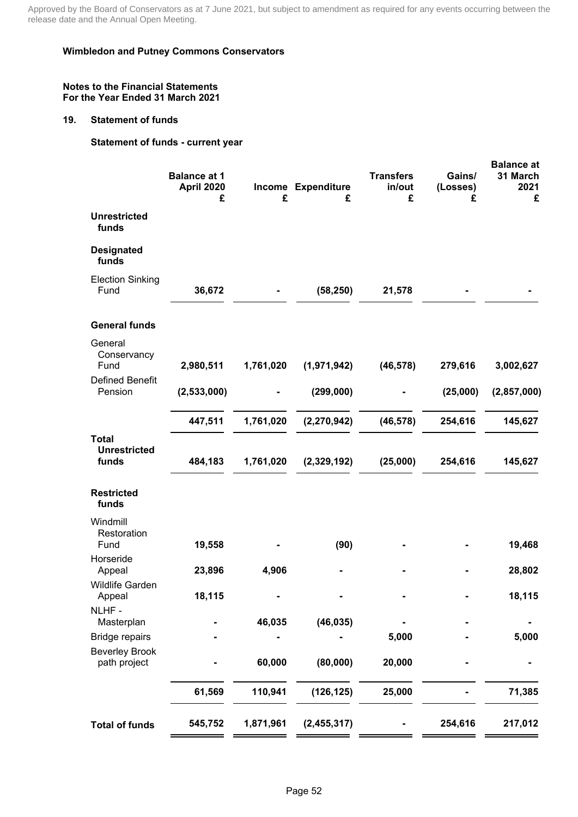### **Wimbledon and Putney Commons Conservators**

#### **Notes to the Financial Statements For the Year Ended 31 March 2021**

#### **19. Statement of funds**

## **Statement of funds - current year**

|                                                | <b>Balance at 1</b><br>April 2020<br>£ | £         | Income Expenditure<br>£ | <b>Transfers</b><br>in/out<br>£ | Gains/<br>(Losses)<br>£ | <b>Balance at</b><br>31 March<br>2021<br>£ |
|------------------------------------------------|----------------------------------------|-----------|-------------------------|---------------------------------|-------------------------|--------------------------------------------|
| <b>Unrestricted</b><br>funds                   |                                        |           |                         |                                 |                         |                                            |
| <b>Designated</b><br>funds                     |                                        |           |                         |                                 |                         |                                            |
| <b>Election Sinking</b><br>Fund                | 36,672                                 |           | (58, 250)               | 21,578                          |                         |                                            |
| <b>General funds</b>                           |                                        |           |                         |                                 |                         |                                            |
| General<br>Conservancy<br>Fund                 | 2,980,511                              | 1,761,020 | (1,971,942)             | (46, 578)                       | 279,616                 | 3,002,627                                  |
| <b>Defined Benefit</b><br>Pension              | (2,533,000)                            |           | (299,000)               |                                 | (25,000)                | (2,857,000)                                |
|                                                | 447,511                                | 1,761,020 | (2, 270, 942)           | (46, 578)                       | 254,616                 | 145,627                                    |
| <b>Total</b><br><b>Unrestricted</b><br>funds   | 484,183                                | 1,761,020 | (2,329,192)             | (25,000)                        | 254,616                 | 145,627                                    |
| <b>Restricted</b><br>funds                     |                                        |           |                         |                                 |                         |                                            |
| Windmill<br>Restoration<br>Fund                | 19,558                                 |           | (90)                    |                                 |                         | 19,468                                     |
| Horseride<br>Appeal                            | 23,896                                 | 4,906     |                         |                                 |                         | 28,802                                     |
| <b>Wildlife Garden</b><br>Appeal               | 18,115                                 |           |                         |                                 |                         | 18,115                                     |
| NLHF-<br>Masterplan                            |                                        | 46,035    | (46, 035)               |                                 |                         |                                            |
| <b>Bridge repairs</b><br><b>Beverley Brook</b> |                                        |           |                         | 5,000                           |                         | 5,000                                      |
| path project                                   |                                        | 60,000    | (80,000)                | 20,000                          |                         |                                            |
|                                                | 61,569                                 | 110,941   | (126, 125)              | 25,000                          |                         | 71,385                                     |
| <b>Total of funds</b>                          | 545,752                                | 1,871,961 | (2,455,317)             |                                 | 254,616                 | 217,012                                    |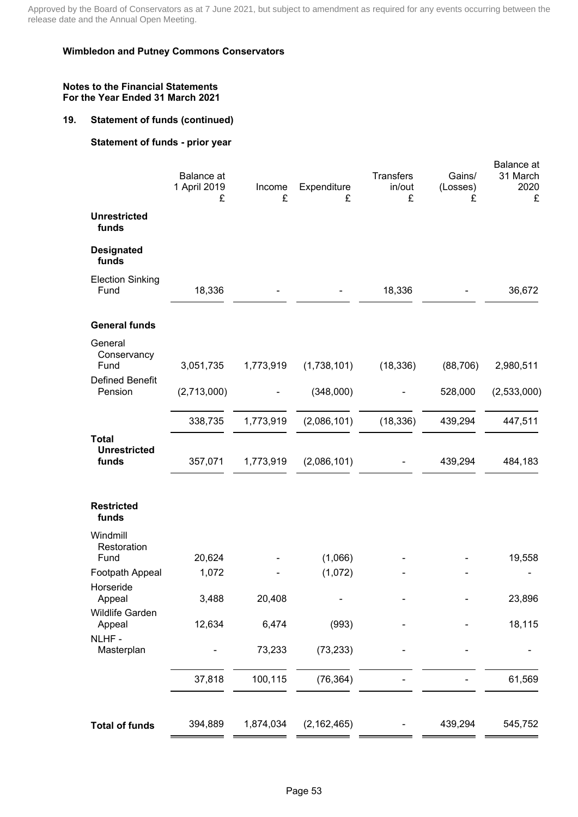### **Wimbledon and Putney Commons Conservators**

### **Notes to the Financial Statements For the Year Ended 31 March 2021**

## **19. Statement of funds (continued)**

## **Statement of funds - prior year**

|                                              | <b>Balance</b> at<br>1 April 2019<br>£ | Income<br>£ | Expenditure<br>£ | Transfers<br>in/out<br>£ | Gains/<br>(Losses)<br>£ | Balance at<br>31 March<br>2020<br>£ |
|----------------------------------------------|----------------------------------------|-------------|------------------|--------------------------|-------------------------|-------------------------------------|
| <b>Unrestricted</b><br>funds                 |                                        |             |                  |                          |                         |                                     |
| <b>Designated</b><br>funds                   |                                        |             |                  |                          |                         |                                     |
| <b>Election Sinking</b><br>Fund              | 18,336                                 |             |                  | 18,336                   |                         | 36,672                              |
| <b>General funds</b>                         |                                        |             |                  |                          |                         |                                     |
| General<br>Conservancy<br>Fund               | 3,051,735                              | 1,773,919   | (1,738,101)      | (18, 336)                | (88, 706)               | 2,980,511                           |
| <b>Defined Benefit</b><br>Pension            | (2,713,000)                            |             | (348,000)        |                          | 528,000                 | (2,533,000)                         |
|                                              | 338,735                                | 1,773,919   | (2,086,101)      | (18, 336)                | 439,294                 | 447,511                             |
| <b>Total</b><br><b>Unrestricted</b><br>funds | 357,071                                | 1,773,919   | (2,086,101)      |                          | 439,294                 | 484,183                             |
| <b>Restricted</b><br>funds                   |                                        |             |                  |                          |                         |                                     |
| Windmill<br>Restoration<br>Fund              | 20,624                                 |             | (1,066)          |                          |                         | 19,558                              |
| Footpath Appeal<br>Horseride                 | 1,072                                  |             | (1,072)          |                          |                         |                                     |
| Appeal<br>Wildlife Garden                    | 3,488                                  | 20,408      | ۰                |                          |                         | 23,896                              |
| Appeal<br>NLHF-                              | 12,634                                 | 6,474       | (993)            |                          |                         | 18,115                              |
| Masterplan                                   |                                        | 73,233      | (73, 233)        |                          |                         |                                     |
|                                              | 37,818                                 | 100,115     | (76, 364)        |                          |                         | 61,569                              |
| <b>Total of funds</b>                        | 394,889                                | 1,874,034   | (2, 162, 465)    |                          | 439,294                 | 545,752                             |
|                                              |                                        |             |                  |                          |                         |                                     |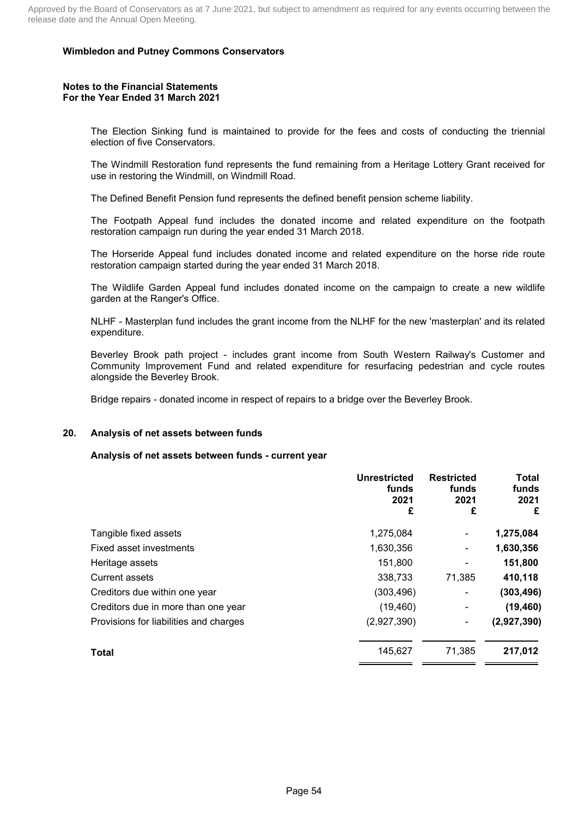#### **Notes to the Financial Statements For the Year Ended 31 March 2021**

The Election Sinking fund is maintained to provide for the fees and costs of conducting the triennial election of five Conservators.

The Windmill Restoration fund represents the fund remaining from a Heritage Lottery Grant received for use in restoring the Windmill, on Windmill Road.

The Defined Benefit Pension fund represents the defined benefit pension scheme liability.

The Footpath Appeal fund includes the donated income and related expenditure on the footpath restoration campaign run during the year ended 31 March 2018.

The Horseride Appeal fund includes donated income and related expenditure on the horse ride route restoration campaign started during the year ended 31 March 2018.

The Wildlife Garden Appeal fund includes donated income on the campaign to create a new wildlife garden at the Ranger's Office.

NLHF - Masterplan fund includes the grant income from the NLHF for the new 'masterplan' and its related expenditure.

Beverley Brook path project - includes grant income from South Western Railway's Customer and Community Improvement Fund and related expenditure for resurfacing pedestrian and cycle routes alongside the Beverley Brook.

Bridge repairs - donated income in respect of repairs to a bridge over the Beverley Brook.

## **20. Analysis of net assets between funds**

#### **Analysis of net assets between funds - current year**

|                                        | <b>Unrestricted</b><br>funds<br>2021<br>£ | <b>Restricted</b><br>funds<br>2021<br>£ | <b>Total</b><br>funds<br>2021<br>£ |
|----------------------------------------|-------------------------------------------|-----------------------------------------|------------------------------------|
| Tangible fixed assets                  | 1,275,084                                 | ۰                                       | 1,275,084                          |
| Fixed asset investments                | 1,630,356                                 | ۰                                       | 1,630,356                          |
| Heritage assets                        | 151,800                                   |                                         | 151,800                            |
| <b>Current assets</b>                  | 338,733                                   | 71,385                                  | 410,118                            |
| Creditors due within one year          | (303, 496)                                |                                         | (303, 496)                         |
| Creditors due in more than one year    | (19, 460)                                 | ۰                                       | (19, 460)                          |
| Provisions for liabilities and charges | (2,927,390)                               |                                         | (2,927,390)                        |
| Total                                  | 145,627                                   | 71,385                                  | 217,012                            |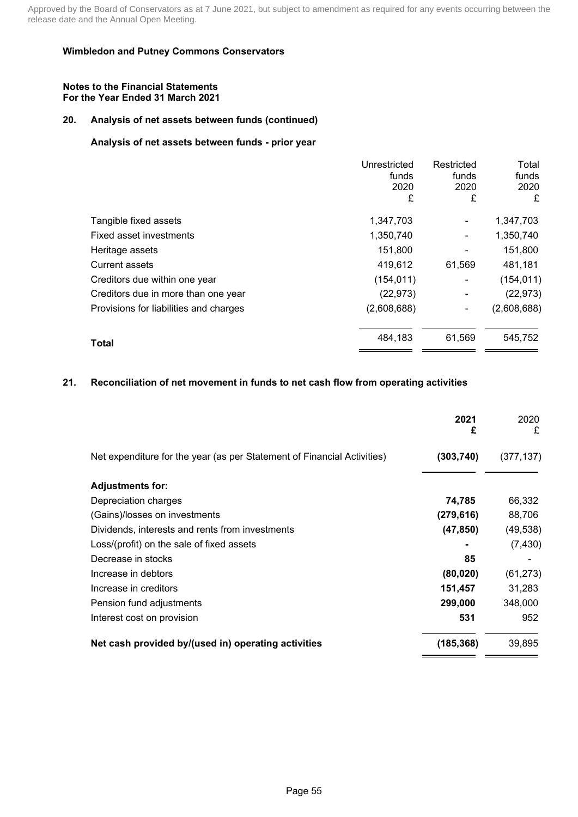#### **Notes to the Financial Statements For the Year Ended 31 March 2021**

## **20. Analysis of net assets between funds (continued)**

## **Analysis of net assets between funds - prior year**

|                                        | Unrestricted<br>funds<br>2020 | Restricted<br>funds<br>2020 | Total<br>funds<br>2020 |
|----------------------------------------|-------------------------------|-----------------------------|------------------------|
|                                        | £                             | £                           | £                      |
| Tangible fixed assets                  | 1,347,703                     | ۰                           | 1,347,703              |
| Fixed asset investments                | 1,350,740                     | ۰                           | 1,350,740              |
| Heritage assets                        | 151,800                       | ۰                           | 151,800                |
| <b>Current assets</b>                  | 419,612                       | 61,569                      | 481,181                |
| Creditors due within one year          | (154, 011)                    | ٠                           | (154, 011)             |
| Creditors due in more than one year    | (22, 973)                     |                             | (22, 973)              |
| Provisions for liabilities and charges | (2,608,688)                   | $\blacksquare$              | (2,608,688)            |
| <b>Total</b>                           | 484,183                       | 61,569                      | 545,752                |

## **21. Reconciliation of net movement in funds to net cash flow from operating activities**

|                                                                         | 2021<br>£  | 2020<br>£  |
|-------------------------------------------------------------------------|------------|------------|
| Net expenditure for the year (as per Statement of Financial Activities) | (303, 740) | (377, 137) |
| <b>Adjustments for:</b>                                                 |            |            |
| Depreciation charges                                                    | 74,785     | 66,332     |
| (Gains)/losses on investments                                           | (279, 616) | 88,706     |
| Dividends, interests and rents from investments                         | (47, 850)  | (49, 538)  |
| Loss/(profit) on the sale of fixed assets                               |            | (7, 430)   |
| Decrease in stocks                                                      | 85         |            |
| Increase in debtors                                                     | (80, 020)  | (61, 273)  |
| Increase in creditors                                                   | 151,457    | 31,283     |
| Pension fund adjustments                                                | 299,000    | 348,000    |
| Interest cost on provision                                              | 531        | 952        |
| Net cash provided by/(used in) operating activities                     | (185, 368) | 39,895     |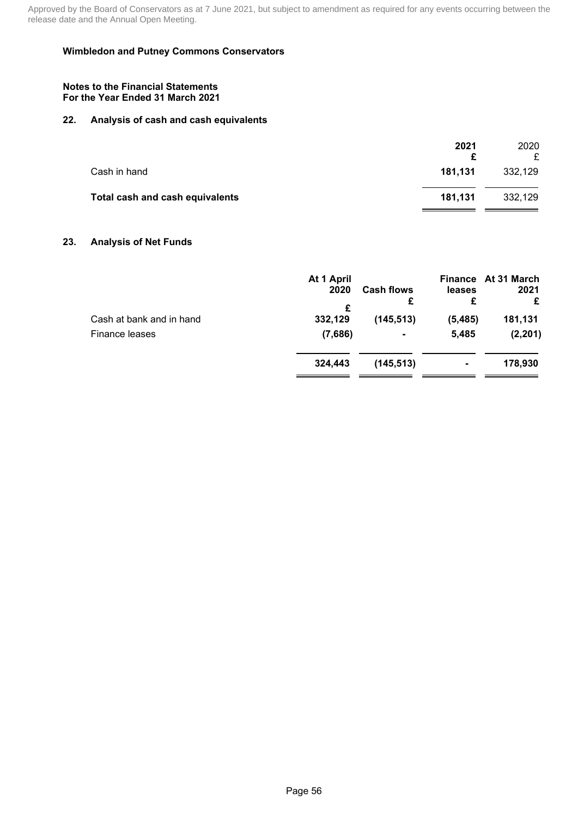### **Wimbledon and Putney Commons Conservators**

#### **Notes to the Financial Statements For the Year Ended 31 March 2021**

## **22. Analysis of cash and cash equivalents**

|                                 | 2021    | 2020<br>£ |
|---------------------------------|---------|-----------|
| Cash in hand                    | 181.131 | 332,129   |
| Total cash and cash equivalents | 181.131 | 332,129   |

### **23. Analysis of Net Funds**

|                          | At 1 April |                   |          | Finance At 31 March |
|--------------------------|------------|-------------------|----------|---------------------|
|                          | 2020       | <b>Cash flows</b> | leases   | 2021                |
|                          | £          | £                 | £        | £                   |
| Cash at bank and in hand | 332,129    | (145, 513)        | (5, 485) | 181,131             |
| Finance leases           | (7,686)    |                   | 5,485    | (2, 201)            |
|                          | 324.443    | (145, 513)        | ۰        | 178,930             |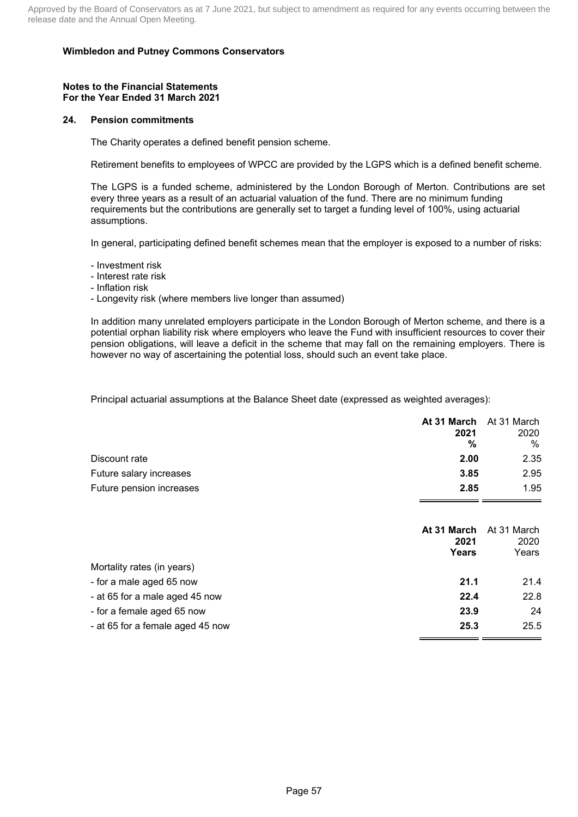#### **Notes to the Financial Statements For the Year Ended 31 March 2021**

#### **24. Pension commitments**

The Charity operates a defined benefit pension scheme.

Retirement benefits to employees of WPCC are provided by the LGPS which is a defined benefit scheme.

The LGPS is a funded scheme, administered by the London Borough of Merton. Contributions are set every three years as a result of an actuarial valuation of the fund. There are no minimum funding requirements but the contributions are generally set to target a funding level of 100%, using actuarial assumptions.

In general, participating defined benefit schemes mean that the employer is exposed to a number of risks:

- Investment risk
- Interest rate risk
- Inflation risk

- Longevity risk (where members live longer than assumed)

In addition many unrelated employers participate in the London Borough of Merton scheme, and there is a potential orphan liability risk where employers who leave the Fund with insufficient resources to cover their pension obligations, will leave a deficit in the scheme that may fall on the remaining employers. There is however no way of ascertaining the potential loss, should such an event take place.

Principal actuarial assumptions at the Balance Sheet date (expressed as weighted averages):

| At 31 March At 31 March |      |
|-------------------------|------|
| 2021                    | 2020 |
| %                       | %    |
| 2.00                    | 2.35 |
| 3.85                    | 2.95 |
| 2.85                    | 1.95 |
|                         |      |

|                                  | At 31 March<br>2021<br>Years | At 31 March<br>2020<br>Years |
|----------------------------------|------------------------------|------------------------------|
| Mortality rates (in years)       |                              |                              |
| - for a male aged 65 now         | 21.1                         | 21.4                         |
| - at 65 for a male aged 45 now   | 22.4                         | 22.8                         |
| - for a female aged 65 now       | 23.9                         | 24                           |
| - at 65 for a female aged 45 now | 25.3                         | 25.5                         |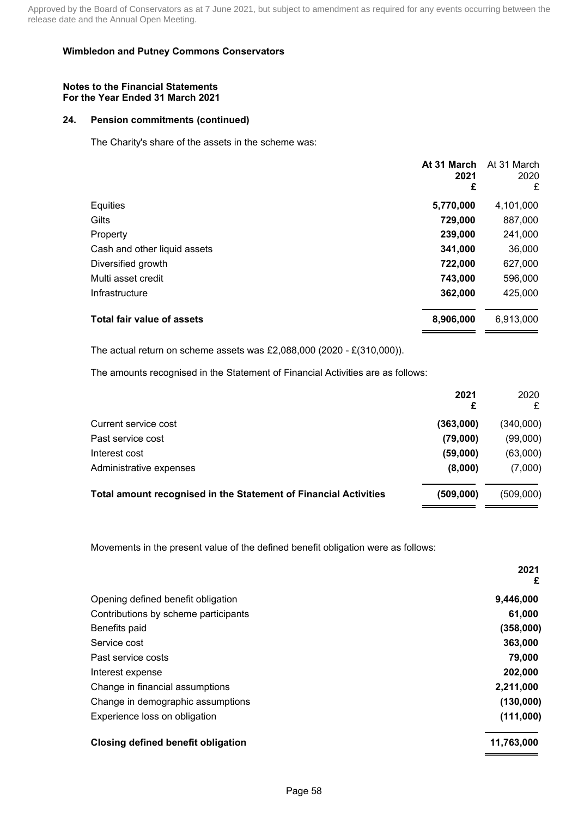#### **Notes to the Financial Statements For the Year Ended 31 March 2021**

### **24. Pension commitments (continued)**

The Charity's share of the assets in the scheme was:

|                                   | At 31 March<br>2021<br>£ | At 31 March<br>2020<br>£ |
|-----------------------------------|--------------------------|--------------------------|
| Equities                          | 5,770,000                | 4,101,000                |
| Gilts                             | 729,000                  | 887,000                  |
| Property                          | 239,000                  | 241,000                  |
| Cash and other liquid assets      | 341,000                  | 36,000                   |
| Diversified growth                | 722,000                  | 627,000                  |
| Multi asset credit                | 743,000                  | 596,000                  |
| Infrastructure                    | 362,000                  | 425,000                  |
| <b>Total fair value of assets</b> | 8,906,000                | 6,913,000                |

The actual return on scheme assets was £2,088,000 (2020 - £(310,000)).

The amounts recognised in the Statement of Financial Activities are as follows:

|                                                                         | 2021      | 2020<br>£ |
|-------------------------------------------------------------------------|-----------|-----------|
| Current service cost                                                    | (363,000) | (340,000) |
| Past service cost                                                       | (79,000)  | (99,000)  |
| Interest cost                                                           | (59,000)  | (63,000)  |
| Administrative expenses                                                 | (8,000)   | (7,000)   |
| <b>Total amount recognised in the Statement of Financial Activities</b> | (509,000) | (509,000) |

Movements in the present value of the defined benefit obligation were as follows:

|                                      | 2021<br>£  |
|--------------------------------------|------------|
| Opening defined benefit obligation   | 9,446,000  |
| Contributions by scheme participants | 61,000     |
| Benefits paid                        | (358,000)  |
| Service cost                         | 363,000    |
| Past service costs                   | 79,000     |
| Interest expense                     | 202,000    |
| Change in financial assumptions      | 2,211,000  |
| Change in demographic assumptions    | (130,000)  |
| Experience loss on obligation        | (111,000)  |
| Closing defined benefit obligation   | 11,763,000 |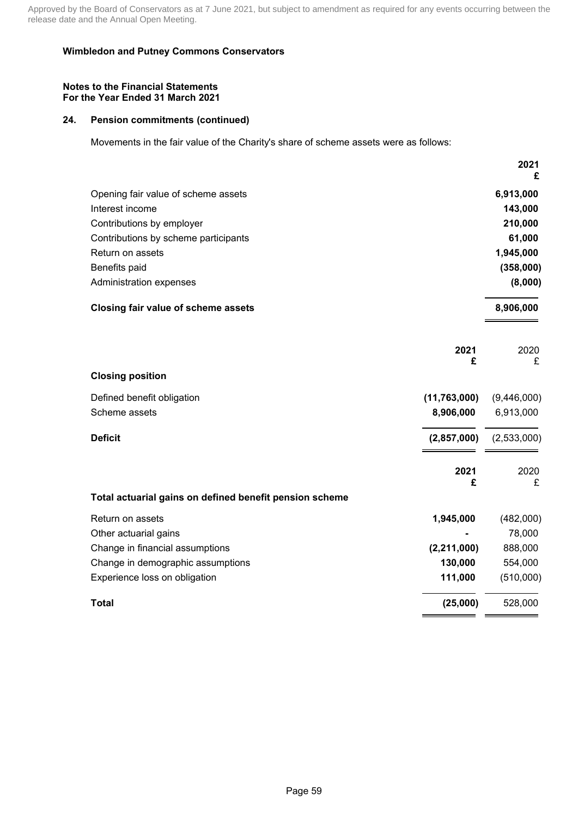### **Wimbledon and Putney Commons Conservators**

#### **Notes to the Financial Statements For the Year Ended 31 March 2021**

## **24. Pension commitments (continued)**

Movements in the fair value of the Charity's share of scheme assets were as follows:

|                                                         |                | 2021<br>£   |
|---------------------------------------------------------|----------------|-------------|
| Opening fair value of scheme assets                     |                | 6,913,000   |
| Interest income                                         |                | 143,000     |
| Contributions by employer                               |                | 210,000     |
| Contributions by scheme participants                    |                | 61,000      |
| Return on assets                                        |                | 1,945,000   |
| Benefits paid                                           |                | (358,000)   |
| Administration expenses                                 |                | (8,000)     |
| Closing fair value of scheme assets                     |                | 8,906,000   |
|                                                         | 2021<br>£      | 2020<br>£   |
| <b>Closing position</b>                                 |                |             |
| Defined benefit obligation                              | (11, 763, 000) | (9,446,000) |
| Scheme assets                                           | 8,906,000      | 6,913,000   |
| <b>Deficit</b>                                          | (2,857,000)    | (2,533,000) |
|                                                         | 2021<br>£      | 2020<br>£   |
| Total actuarial gains on defined benefit pension scheme |                |             |
| Return on assets                                        | 1,945,000      | (482,000)   |
| Other actuarial gains                                   |                | 78,000      |
| Change in financial assumptions                         | (2, 211, 000)  | 888,000     |
| Change in demographic assumptions                       | 130,000        | 554,000     |
| Experience loss on obligation                           | 111,000        | (510,000)   |
| <b>Total</b>                                            | (25,000)       | 528,000     |